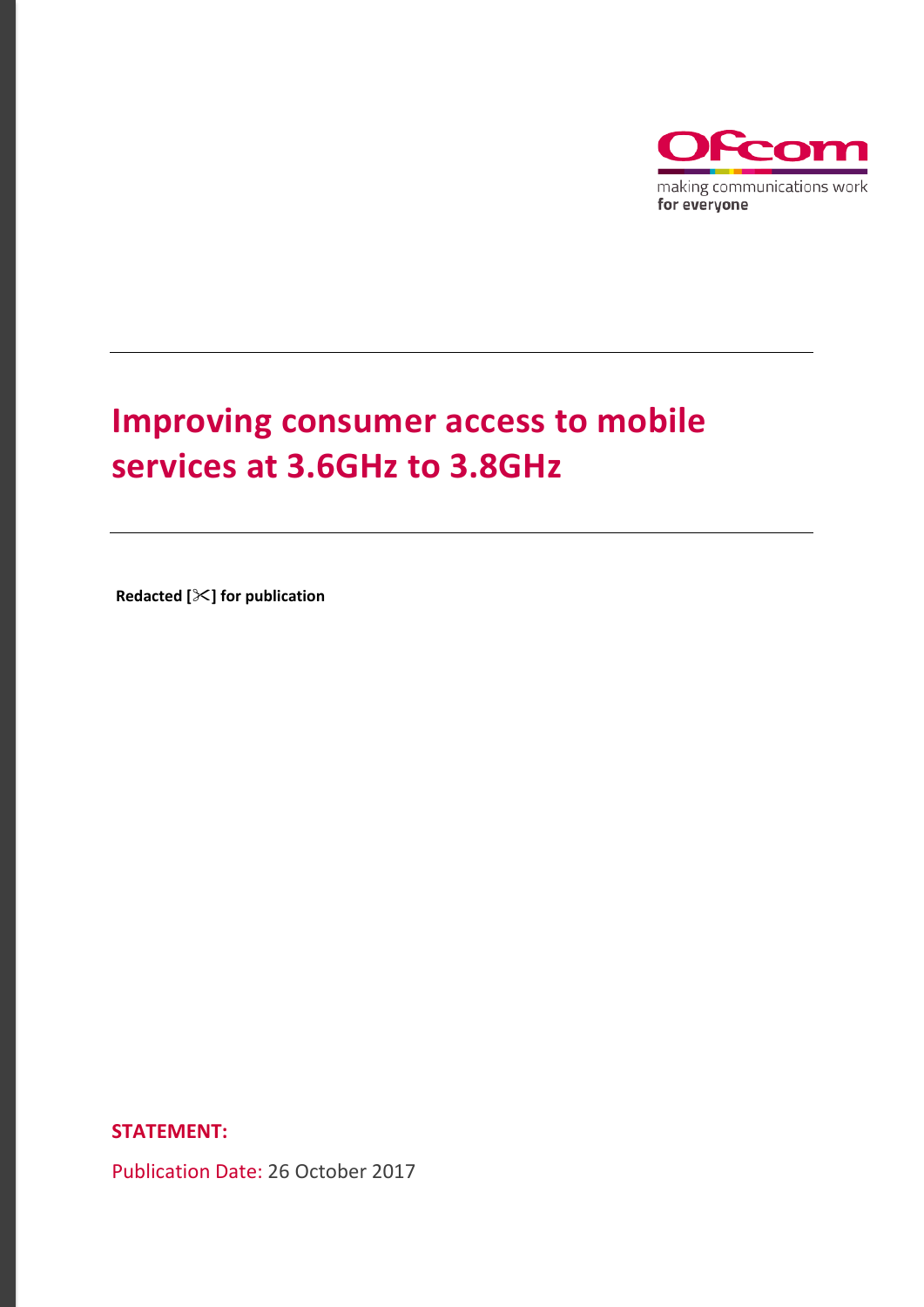

# **Improving consumer access to mobile services at 3.6GHz to 3.8GHz**

**Redacted [] for publication** 

**STATEMENT:**

Publication Date: 26 October 2017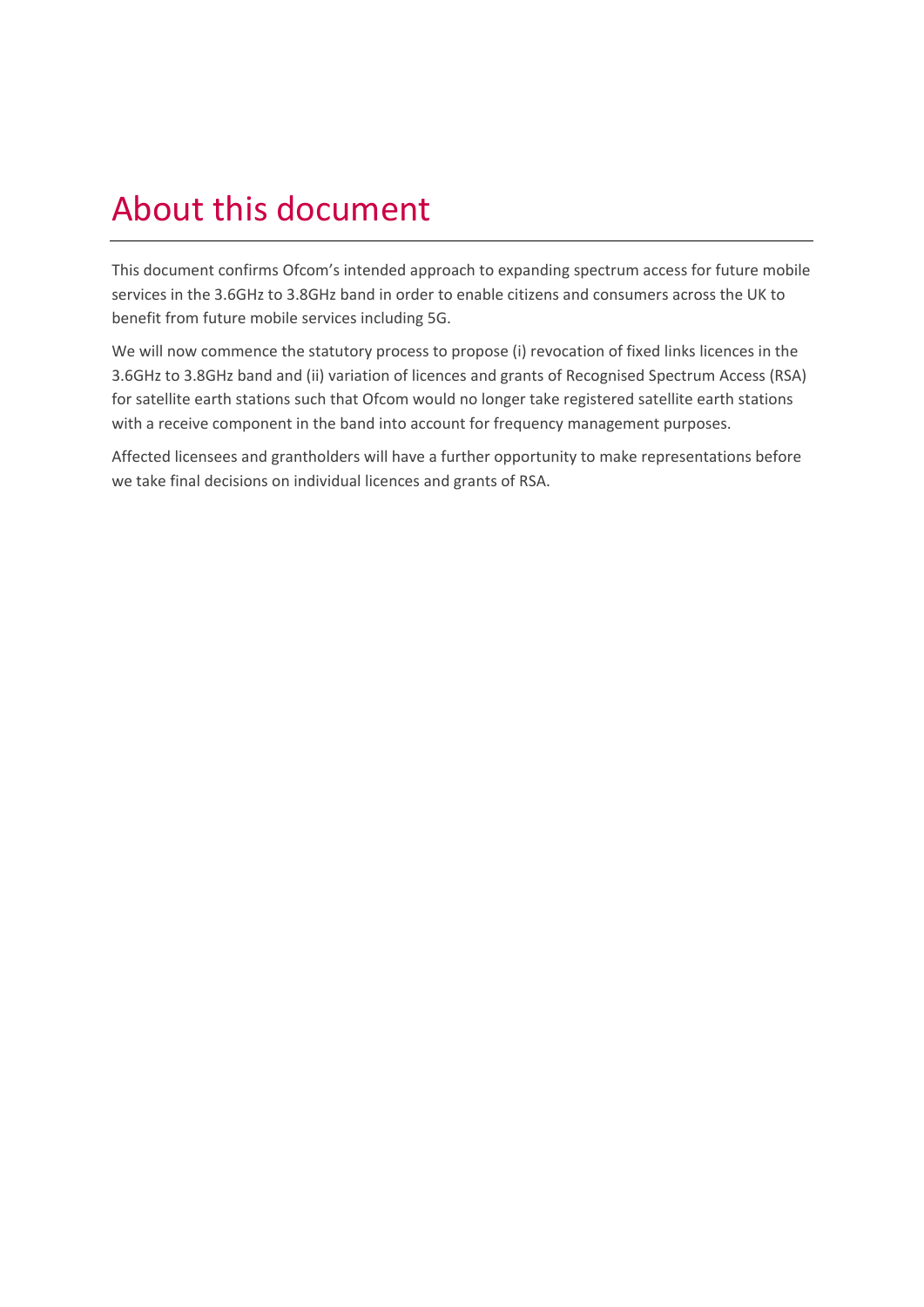# About this document

This document confirms Ofcom's intended approach to expanding spectrum access for future mobile services in the 3.6GHz to 3.8GHz band in order to enable citizens and consumers across the UK to benefit from future mobile services including 5G.

We will now commence the statutory process to propose (i) revocation of fixed links licences in the 3.6GHz to 3.8GHz band and (ii) variation of licences and grants of Recognised Spectrum Access (RSA) for satellite earth stations such that Ofcom would no longer take registered satellite earth stations with a receive component in the band into account for frequency management purposes.

Affected licensees and grantholders will have a further opportunity to make representations before we take final decisions on individual licences and grants of RSA.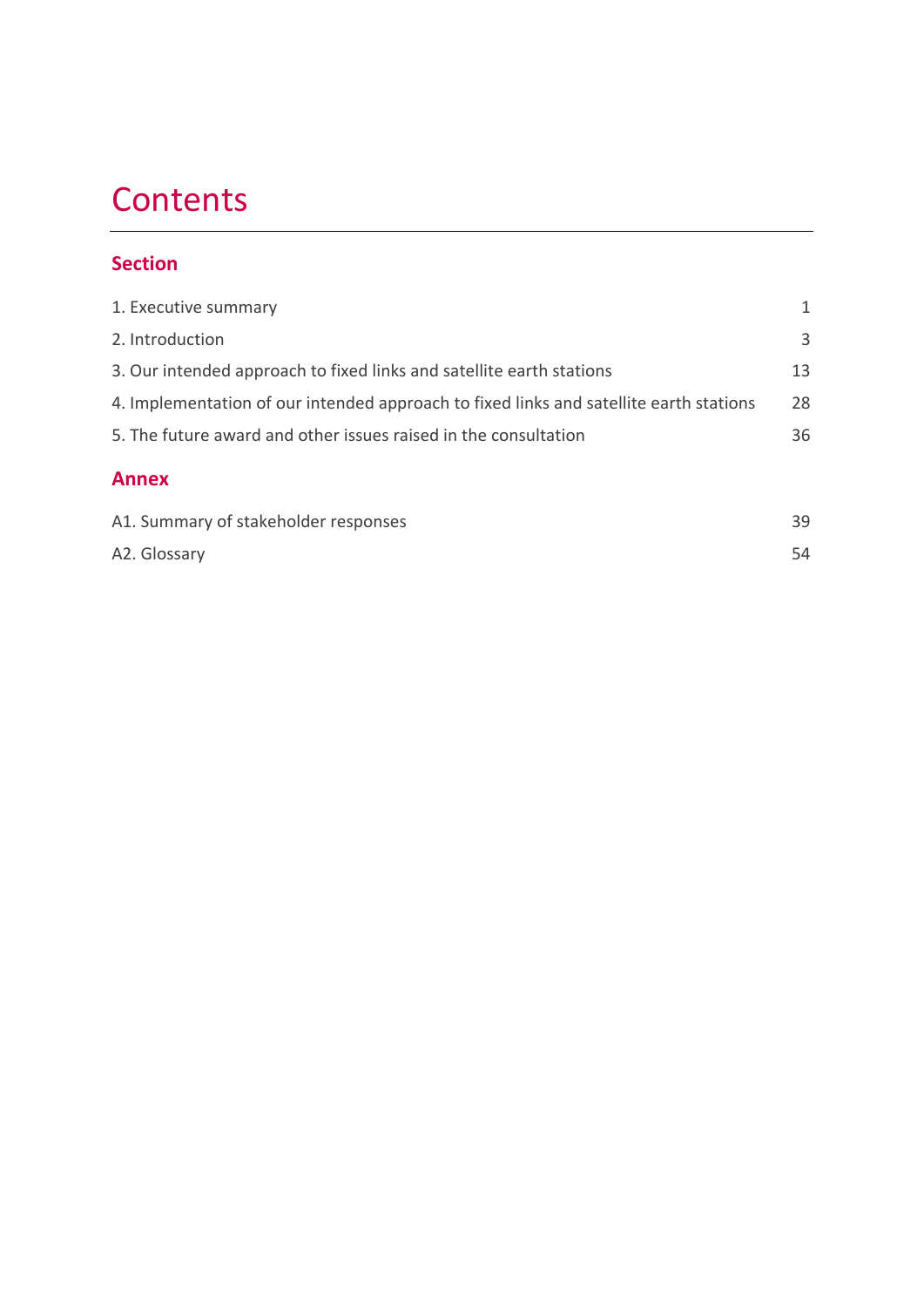# **Contents**

## **Section**

| 1. Executive summary                                                                   | 1  |
|----------------------------------------------------------------------------------------|----|
| 2. Introduction                                                                        | 3  |
| 3. Our intended approach to fixed links and satellite earth stations                   | 13 |
| 4. Implementation of our intended approach to fixed links and satellite earth stations | 28 |
| 5. The future award and other issues raised in the consultation                        | 36 |
| <b>Annex</b>                                                                           |    |
| A1. Summary of stakeholder responses                                                   | 39 |
| A2. Glossary                                                                           | 54 |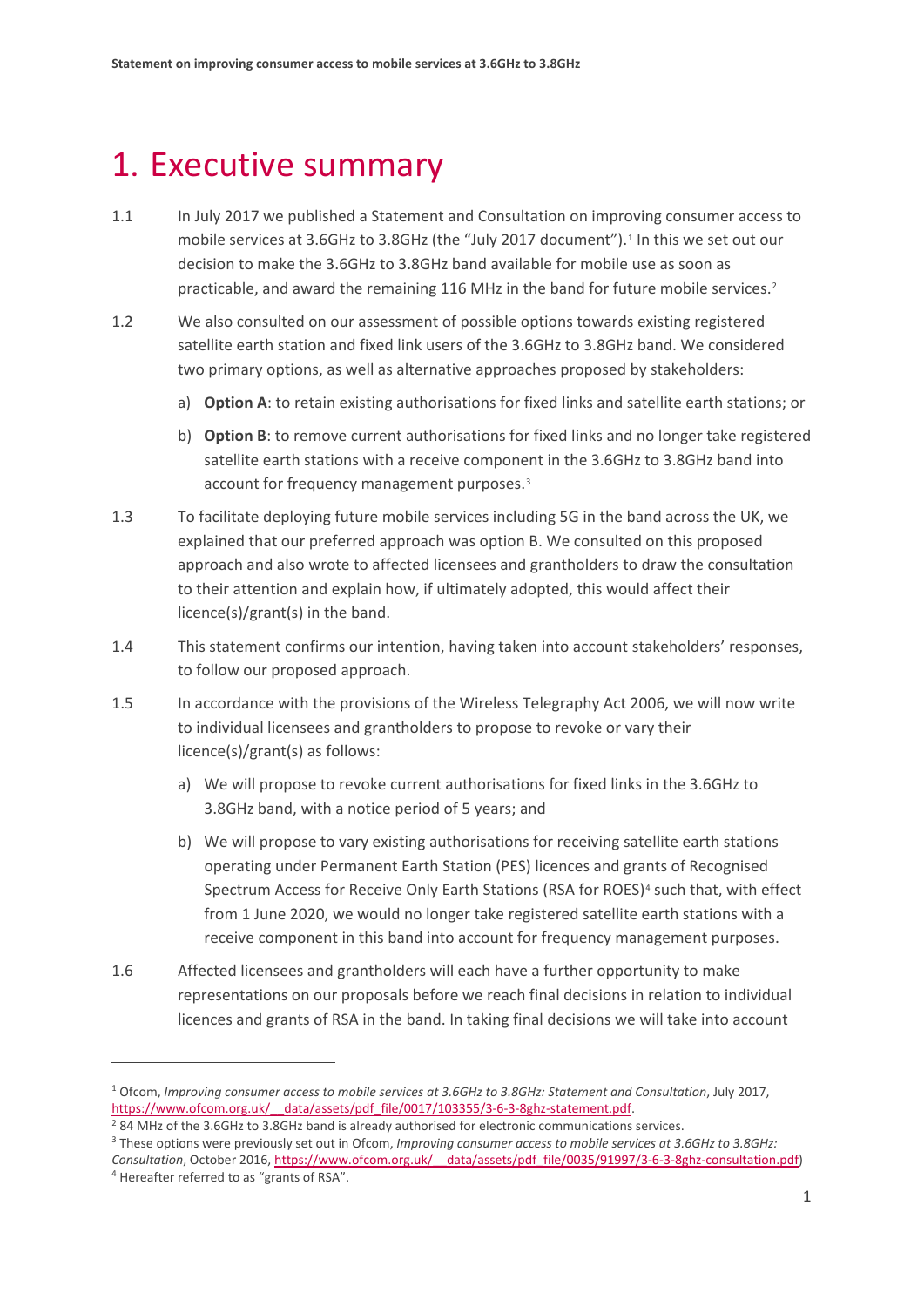# <span id="page-3-0"></span>1. Executive summary

- 1.1 In July 2017 we published a Statement and Consultation on improving consumer access to mobile services at 3.6GHz to 3.8GHz (the "July 2017 document").[1](#page-3-1) In this we set out our decision to make the 3.6GHz to 3.8GHz band available for mobile use as soon as practicable, and award the remaining 116 MHz in the band for future mobile services.[2](#page-3-2)
- 1.2 We also consulted on our assessment of possible options towards existing registered satellite earth station and fixed link users of the 3.6GHz to 3.8GHz band. We considered two primary options, as well as alternative approaches proposed by stakeholders:
	- a) **Option A**: to retain existing authorisations for fixed links and satellite earth stations; or
	- b) **Option B**: to remove current authorisations for fixed links and no longer take registered satellite earth stations with a receive component in the 3.6GHz to 3.8GHz band into account for frequency management purposes.<sup>[3](#page-3-3)</sup>
- 1.3 To facilitate deploying future mobile services including 5G in the band across the UK, we explained that our preferred approach was option B. We consulted on this proposed approach and also wrote to affected licensees and grantholders to draw the consultation to their attention and explain how, if ultimately adopted, this would affect their licence(s)/grant(s) in the band.
- 1.4 This statement confirms our intention, having taken into account stakeholders' responses, to follow our proposed approach.
- 1.5 In accordance with the provisions of the Wireless Telegraphy Act 2006, we will now write to individual licensees and grantholders to propose to revoke or vary their licence(s)/grant(s) as follows:
	- a) We will propose to revoke current authorisations for fixed links in the 3.6GHz to 3.8GHz band, with a notice period of 5 years; and
	- b) We will propose to vary existing authorisations for receiving satellite earth stations operating under Permanent Earth Station (PES) licences and grants of Recognised Spectrum Access for Receive Only Earth Stations (RSA for ROES)<sup>[4](#page-3-4)</sup> such that, with effect from 1 June 2020, we would no longer take registered satellite earth stations with a receive component in this band into account for frequency management purposes.
- 1.6 Affected licensees and grantholders will each have a further opportunity to make representations on our proposals before we reach final decisions in relation to individual licences and grants of RSA in the band. In taking final decisions we will take into account

<span id="page-3-1"></span><sup>1</sup> Ofcom, *Improving consumer access to mobile services at 3.6GHz to 3.8GHz: Statement and Consultation*, July 2017, https://www.ofcom.org.uk/ data/assets/pdf file/0017/103355/3-6-3-8ghz-statement.pdf.

<span id="page-3-2"></span><sup>&</sup>lt;sup>2</sup> 84 MHz of the 3.6GHz to 3.8GHz band is already authorised for electronic communications services.

<span id="page-3-3"></span><sup>3</sup> These options were previously set out in Ofcom, *Improving consumer access to mobile services at 3.6GHz to 3.8GHz: Consultation*, October 2016, https://www.ofcom.org.uk/ data/assets/pdf file/0035/91997/3-6-3-8ghz-consultation.pdf) <sup>4</sup> Hereafter referred to as "grants of RSA".

<span id="page-3-4"></span>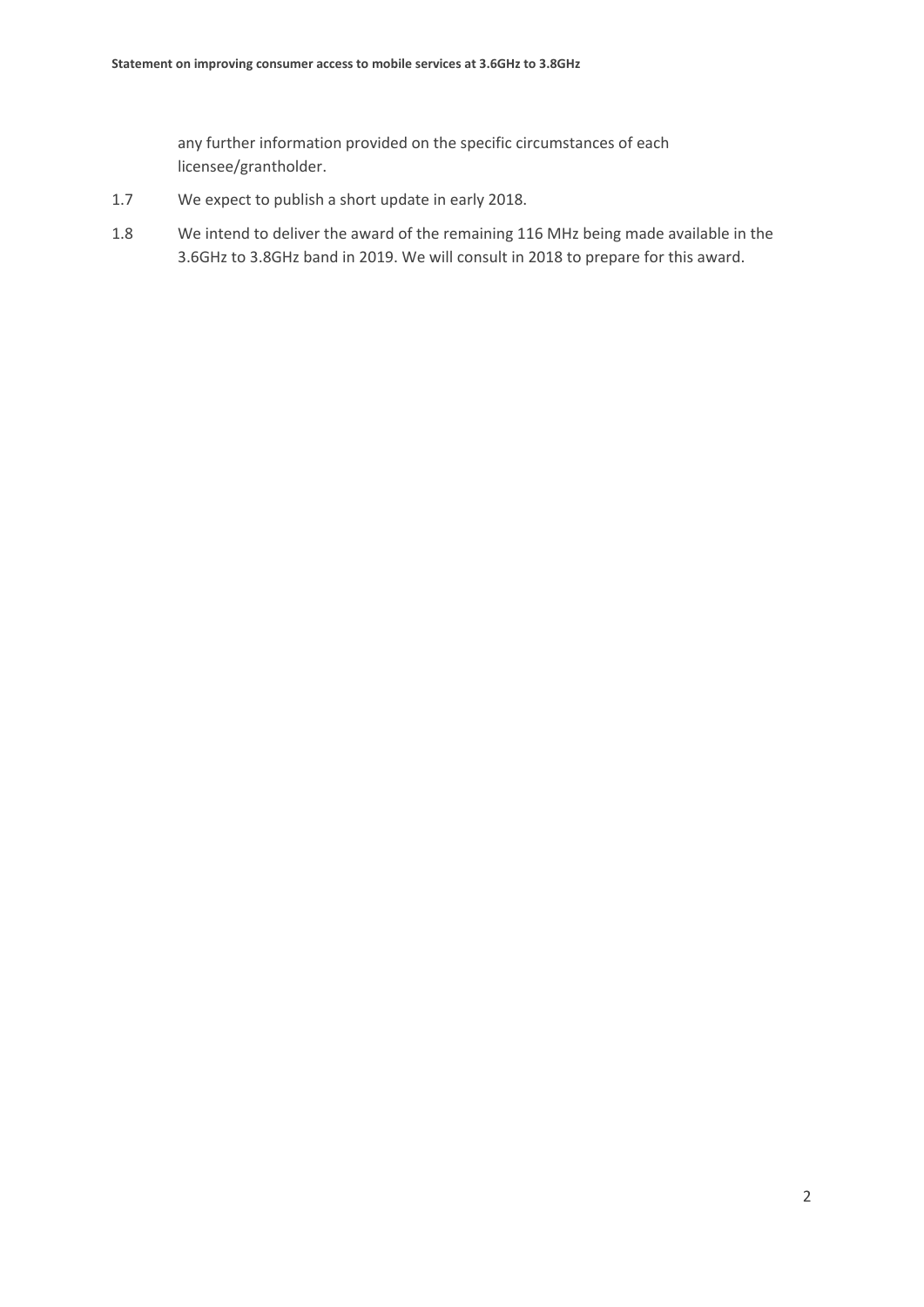any further information provided on the specific circumstances of each licensee/grantholder.

- 1.7 We expect to publish a short update in early 2018.
- 1.8 We intend to deliver the award of the remaining 116 MHz being made available in the 3.6GHz to 3.8GHz band in 2019. We will consult in 2018 to prepare for this award.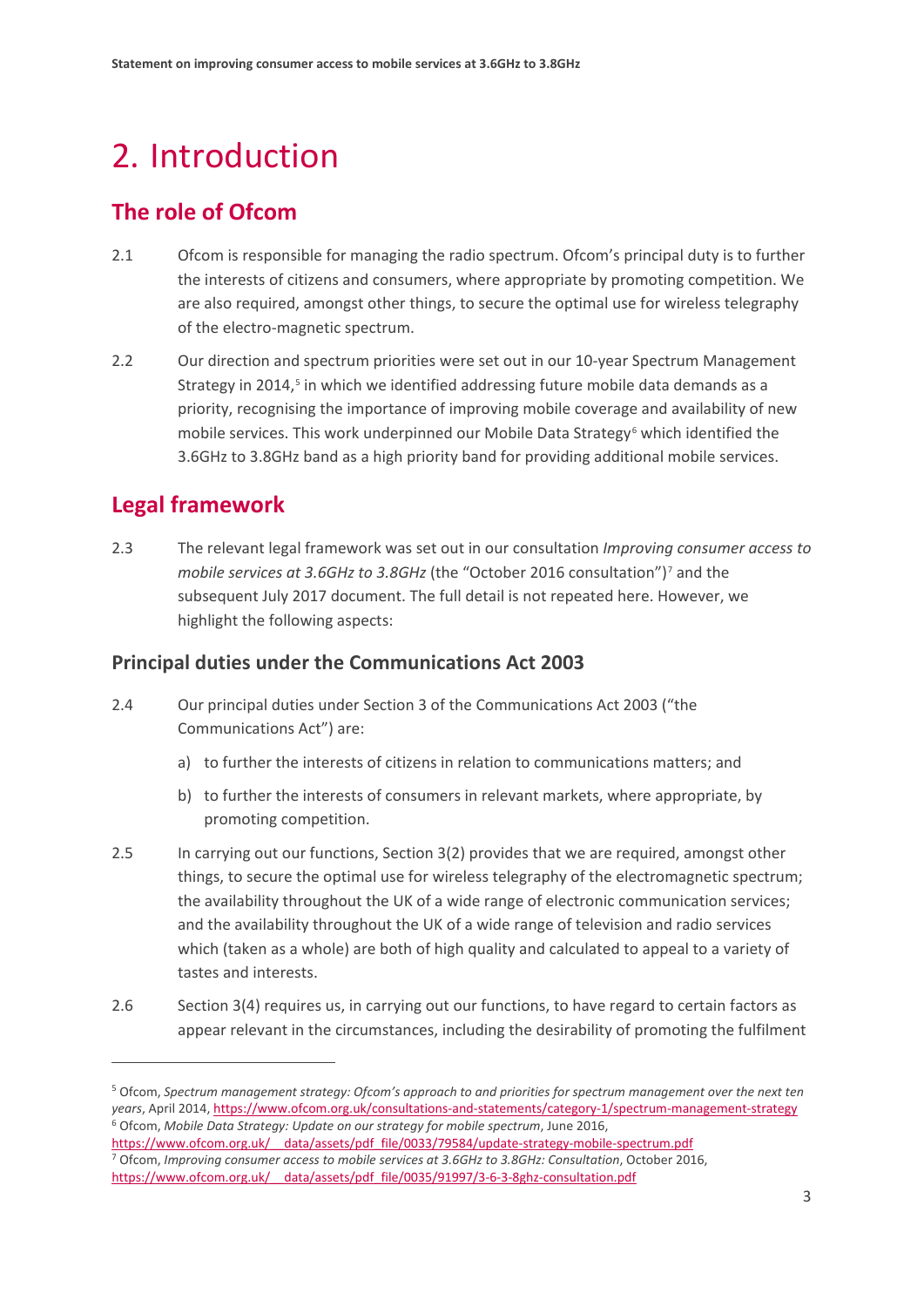# <span id="page-5-0"></span>2. Introduction

## **The role of Ofcom**

- 2.1 Ofcom is responsible for managing the radio spectrum. Ofcom's principal duty is to further the interests of citizens and consumers, where appropriate by promoting competition. We are also required, amongst other things, to secure the optimal use for wireless telegraphy of the electro-magnetic spectrum.
- 2.2 Our direction and spectrum priorities were set out in our 10-year Spectrum Management Strategy in 2014,<sup>5</sup> in which we identified addressing future mobile data demands as a priority, recognising the importance of improving mobile coverage and availability of new mobile services. This work underpinned our Mobile Data Strategy<sup>[6](#page-5-2)</sup> which identified the 3.6GHz to 3.8GHz band as a high priority band for providing additional mobile services.

## **Legal framework**

 $\overline{a}$ 

2.3 The relevant legal framework was set out in our consultation *Improving consumer access to mobile services at 3.6GHz to 3.8GHz* (the "October 2016 consultation")<sup>[7](#page-5-3)</sup> and the subsequent July 2017 document. The full detail is not repeated here. However, we highlight the following aspects:

## **Principal duties under the Communications Act 2003**

- 2.4 Our principal duties under Section 3 of the Communications Act 2003 ("the Communications Act") are:
	- a) to further the interests of citizens in relation to communications matters; and
	- b) to further the interests of consumers in relevant markets, where appropriate, by promoting competition.
- 2.5 In carrying out our functions, Section 3(2) provides that we are required, amongst other things, to secure the optimal use for wireless telegraphy of the electromagnetic spectrum; the availability throughout the UK of a wide range of electronic communication services; and the availability throughout the UK of a wide range of television and radio services which (taken as a whole) are both of high quality and calculated to appeal to a variety of tastes and interests.
- 2.6 Section 3(4) requires us, in carrying out our functions, to have regard to certain factors as appear relevant in the circumstances, including the desirability of promoting the fulfilment

<span id="page-5-1"></span><sup>5</sup> Ofcom, *Spectrum management strategy: Ofcom's approach to and priorities for spectrum management over the next ten years*, April 2014[, https://www.ofcom.org.uk/consultations-and-statements/category-1/spectrum-management-strategy](https://www.ofcom.org.uk/consultations-and-statements/category-1/spectrum-management-strategy) <sup>6</sup> Ofcom, *Mobile Data Strategy: Update on our strategy for mobile spectrum*, June 2016,

<span id="page-5-3"></span><span id="page-5-2"></span>https://www.ofcom.org.uk/ data/assets/pdf file/0033/79584/update-strategy-mobile-spectrum.pdf <sup>7</sup> Ofcom, *Improving consumer access to mobile services at 3.6GHz to 3.8GHz: Consultation*, October 2016, https://www.ofcom.org.uk/ data/assets/pdf file/0035/91997/3-6-3-8ghz-consultation.pdf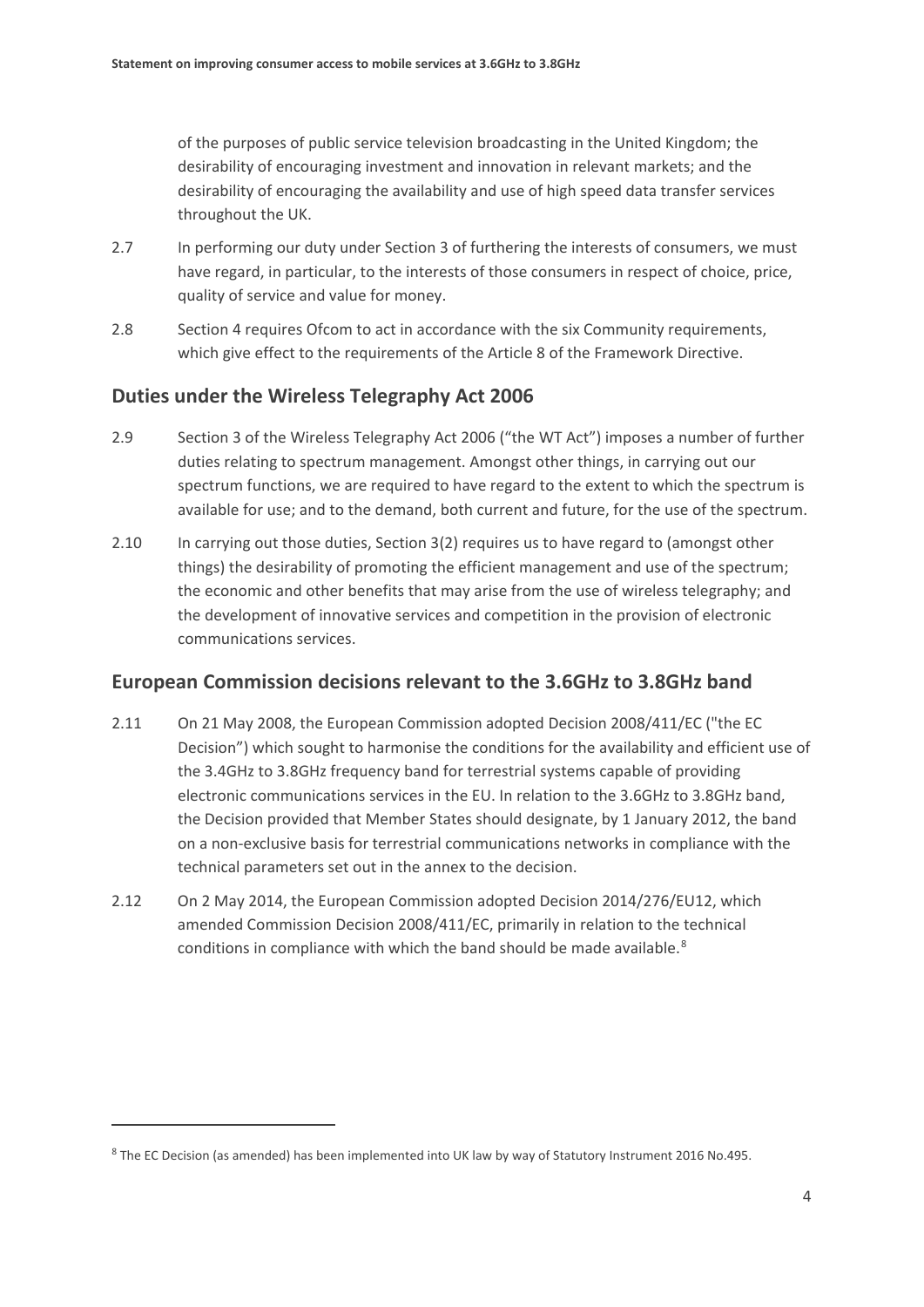of the purposes of public service television broadcasting in the United Kingdom; the desirability of encouraging investment and innovation in relevant markets; and the desirability of encouraging the availability and use of high speed data transfer services throughout the UK.

- 2.7 In performing our duty under Section 3 of furthering the interests of consumers, we must have regard, in particular, to the interests of those consumers in respect of choice, price, quality of service and value for money.
- 2.8 Section 4 requires Ofcom to act in accordance with the six Community requirements, which give effect to the requirements of the Article 8 of the Framework Directive.

## **Duties under the Wireless Telegraphy Act 2006**

- 2.9 Section 3 of the Wireless Telegraphy Act 2006 ("the WT Act") imposes a number of further duties relating to spectrum management. Amongst other things, in carrying out our spectrum functions, we are required to have regard to the extent to which the spectrum is available for use; and to the demand, both current and future, for the use of the spectrum.
- 2.10 In carrying out those duties, Section 3(2) requires us to have regard to (amongst other things) the desirability of promoting the efficient management and use of the spectrum; the economic and other benefits that may arise from the use of wireless telegraphy; and the development of innovative services and competition in the provision of electronic communications services.

## **European Commission decisions relevant to the 3.6GHz to 3.8GHz band**

- 2.11 On 21 May 2008, the European Commission adopted Decision 2008/411/EC ("the EC Decision") which sought to harmonise the conditions for the availability and efficient use of the 3.4GHz to 3.8GHz frequency band for terrestrial systems capable of providing electronic communications services in the EU. In relation to the 3.6GHz to 3.8GHz band, the Decision provided that Member States should designate, by 1 January 2012, the band on a non-exclusive basis for terrestrial communications networks in compliance with the technical parameters set out in the annex to the decision.
- 2.12 On 2 May 2014, the European Commission adopted Decision 2014/276/EU12, which amended Commission Decision 2008/411/EC, primarily in relation to the technical conditions in compliance with which the band should be made available.<sup>[8](#page-6-0)</sup>

<span id="page-6-0"></span><sup>&</sup>lt;sup>8</sup> The EC Decision (as amended) has been implemented into UK law by way of Statutory Instrument 2016 No.495.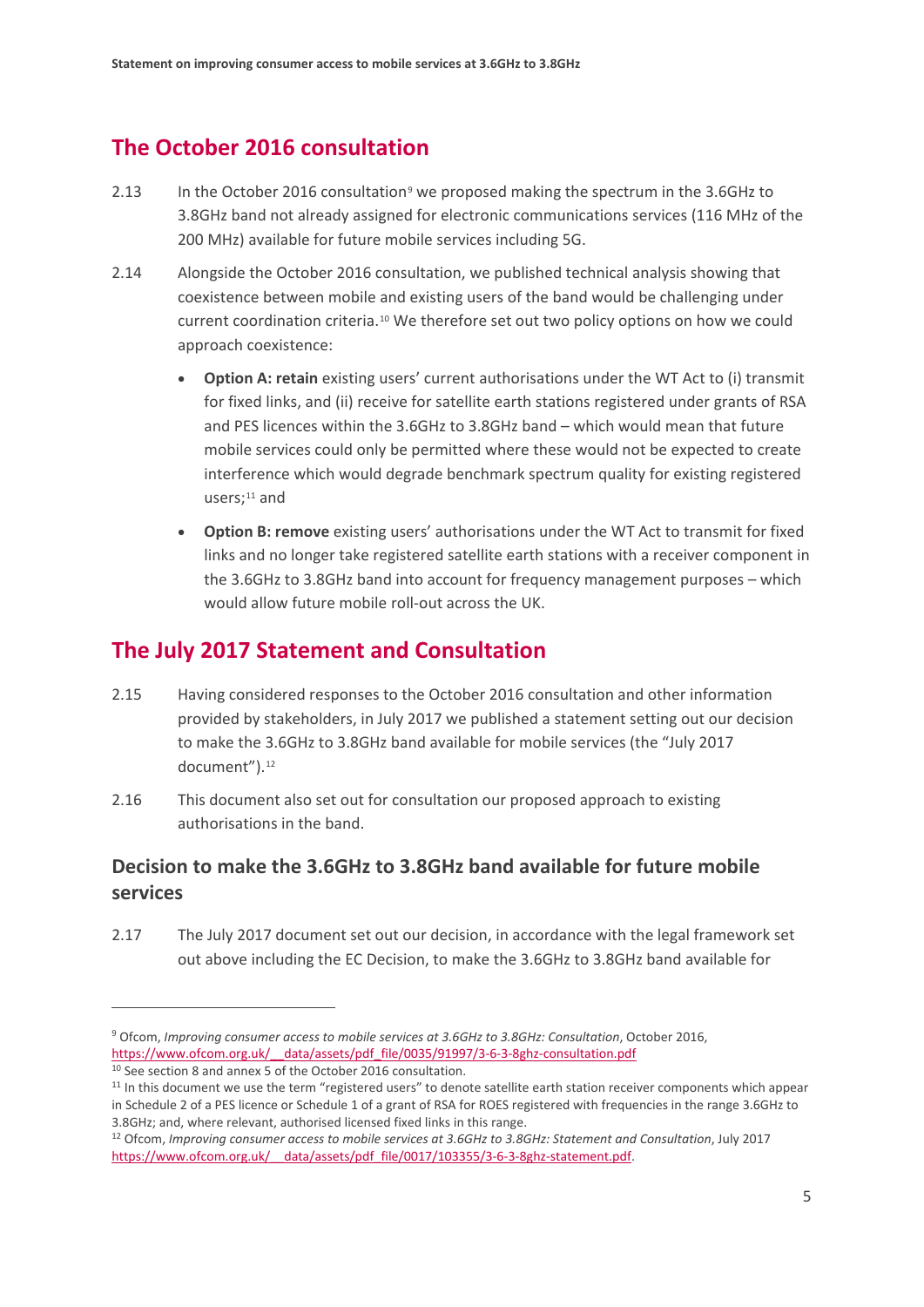## **The October 2016 consultation**

- 2.13 In the October 2016 consultation<sup>[9](#page-7-0)</sup> we proposed making the spectrum in the 3.6GHz to 3.8GHz band not already assigned for electronic communications services (116 MHz of the 200 MHz) available for future mobile services including 5G.
- 2.14 Alongside the October 2016 consultation, we published technical analysis showing that coexistence between mobile and existing users of the band would be challenging under current coordination criteria.[10](#page-7-1) We therefore set out two policy options on how we could approach coexistence:
	- **Option A: retain** existing users' current authorisations under the WT Act to (i) transmit for fixed links, and (ii) receive for satellite earth stations registered under grants of RSA and PES licences within the 3.6GHz to 3.8GHz band – which would mean that future mobile services could only be permitted where these would not be expected to create interference which would degrade benchmark spectrum quality for existing registered users; $11$  and
	- **Option B: remove** existing users' authorisations under the WT Act to transmit for fixed links and no longer take registered satellite earth stations with a receiver component in the 3.6GHz to 3.8GHz band into account for frequency management purposes – which would allow future mobile roll-out across the UK.

## **The July 2017 Statement and Consultation**

- 2.15 Having considered responses to the October 2016 consultation and other information provided by stakeholders, in July 2017 we published a statement setting out our decision to make the 3.6GHz to 3.8GHz band available for mobile services (the "July 2017 document").<sup>[12](#page-7-3)</sup>
- 2.16 This document also set out for consultation our proposed approach to existing authorisations in the band.

## **Decision to make the 3.6GHz to 3.8GHz band available for future mobile services**

2.17 The July 2017 document set out our decision, in accordance with the legal framework set out above including the EC Decision, to make the 3.6GHz to 3.8GHz band available for

<span id="page-7-0"></span><sup>9</sup> Ofcom, *Improving consumer access to mobile services at 3.6GHz to 3.8GHz: Consultation*, October 2016, [https://www.ofcom.org.uk/\\_\\_data/assets/pdf\\_file/0035/91997/3-6-3-8ghz-consultation.pdf](https://www.ofcom.org.uk/__data/assets/pdf_file/0035/91997/3-6-3-8ghz-consultation.pdf)

<span id="page-7-1"></span><sup>&</sup>lt;sup>10</sup> See section 8 and annex 5 of the October 2016 consultation.

<span id="page-7-2"></span><sup>&</sup>lt;sup>11</sup> In this document we use the term "registered users" to denote satellite earth station receiver components which appear in Schedule 2 of a PES licence or Schedule 1 of a grant of RSA for ROES registered with frequencies in the range 3.6GHz to 3.8GHz; and, where relevant, authorised licensed fixed links in this range.

<span id="page-7-3"></span><sup>12</sup> Ofcom, *Improving consumer access to mobile services at 3.6GHz to 3.8GHz: Statement and Consultation*, July 2017 [https://www.ofcom.org.uk/\\_\\_data/assets/pdf\\_file/0017/103355/3-6-3-8ghz-statement.pdf.](https://www.ofcom.org.uk/__data/assets/pdf_file/0017/103355/3-6-3-8ghz-statement.pdf)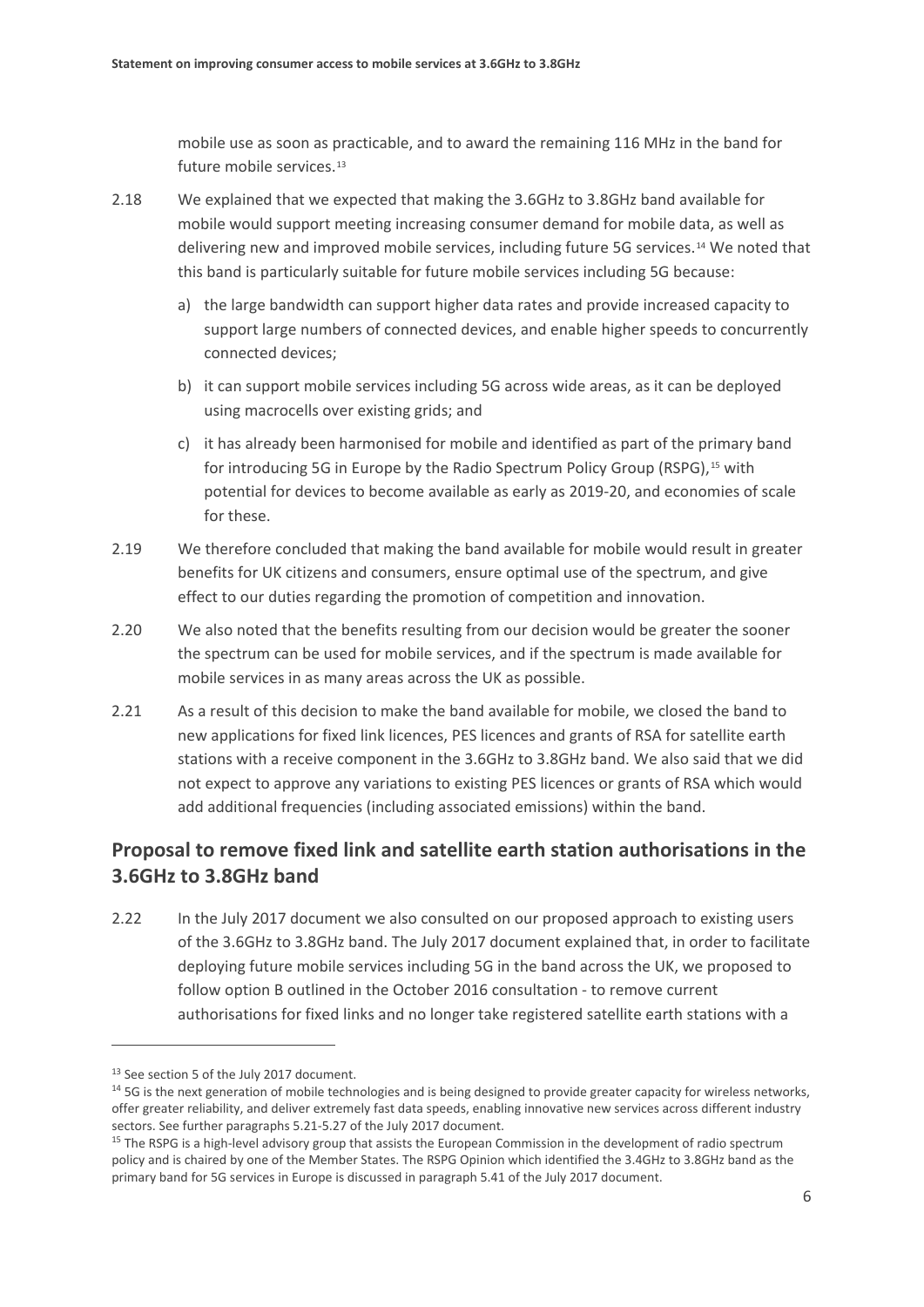mobile use as soon as practicable, and to award the remaining 116 MHz in the band for future mobile services.<sup>[13](#page-8-0)</sup>

- 2.18 We explained that we expected that making the 3.6GHz to 3.8GHz band available for mobile would support meeting increasing consumer demand for mobile data, as well as delivering new and improved mobile services, including future 5G services.<sup>[14](#page-8-1)</sup> We noted that this band is particularly suitable for future mobile services including 5G because:
	- a) the large bandwidth can support higher data rates and provide increased capacity to support large numbers of connected devices, and enable higher speeds to concurrently connected devices;
	- b) it can support mobile services including 5G across wide areas, as it can be deployed using macrocells over existing grids; and
	- c) it has already been harmonised for mobile and identified as part of the primary band for introducing 5G in Europe by the Radio Spectrum Policy Group (RSPG),<sup>[15](#page-8-2)</sup> with potential for devices to become available as early as 2019-20, and economies of scale for these.
- 2.19 We therefore concluded that making the band available for mobile would result in greater benefits for UK citizens and consumers, ensure optimal use of the spectrum, and give effect to our duties regarding the promotion of competition and innovation.
- 2.20 We also noted that the benefits resulting from our decision would be greater the sooner the spectrum can be used for mobile services, and if the spectrum is made available for mobile services in as many areas across the UK as possible.
- <span id="page-8-3"></span>2.21 As a result of this decision to make the band available for mobile, we closed the band to new applications for fixed link licences, PES licences and grants of RSA for satellite earth stations with a receive component in the 3.6GHz to 3.8GHz band. We also said that we did not expect to approve any variations to existing PES licences or grants of RSA which would add additional frequencies (including associated emissions) within the band.

## **Proposal to remove fixed link and satellite earth station authorisations in the 3.6GHz to 3.8GHz band**

2.22 In the July 2017 document we also consulted on our proposed approach to existing users of the 3.6GHz to 3.8GHz band. The July 2017 document explained that, in order to facilitate deploying future mobile services including 5G in the band across the UK, we proposed to follow option B outlined in the October 2016 consultation - to remove current authorisations for fixed links and no longer take registered satellite earth stations with a

<span id="page-8-1"></span><span id="page-8-0"></span><sup>&</sup>lt;sup>13</sup> See section 5 of the July 2017 document.<br><sup>14</sup> 5G is the next generation of mobile technologies and is being designed to provide greater capacity for wireless networks, offer greater reliability, and deliver extremely fast data speeds, enabling innovative new services across different industry sectors. See further paragraphs 5.21-5.27 of the July 2017 document.

<span id="page-8-2"></span><sup>&</sup>lt;sup>15</sup> The RSPG is a high-level advisory group that assists the European Commission in the development of radio spectrum policy and is chaired by one of the Member States. The RSPG Opinion which identified the 3.4GHz to 3.8GHz band as the primary band for 5G services in Europe is discussed in paragraph 5.41 of the July 2017 document.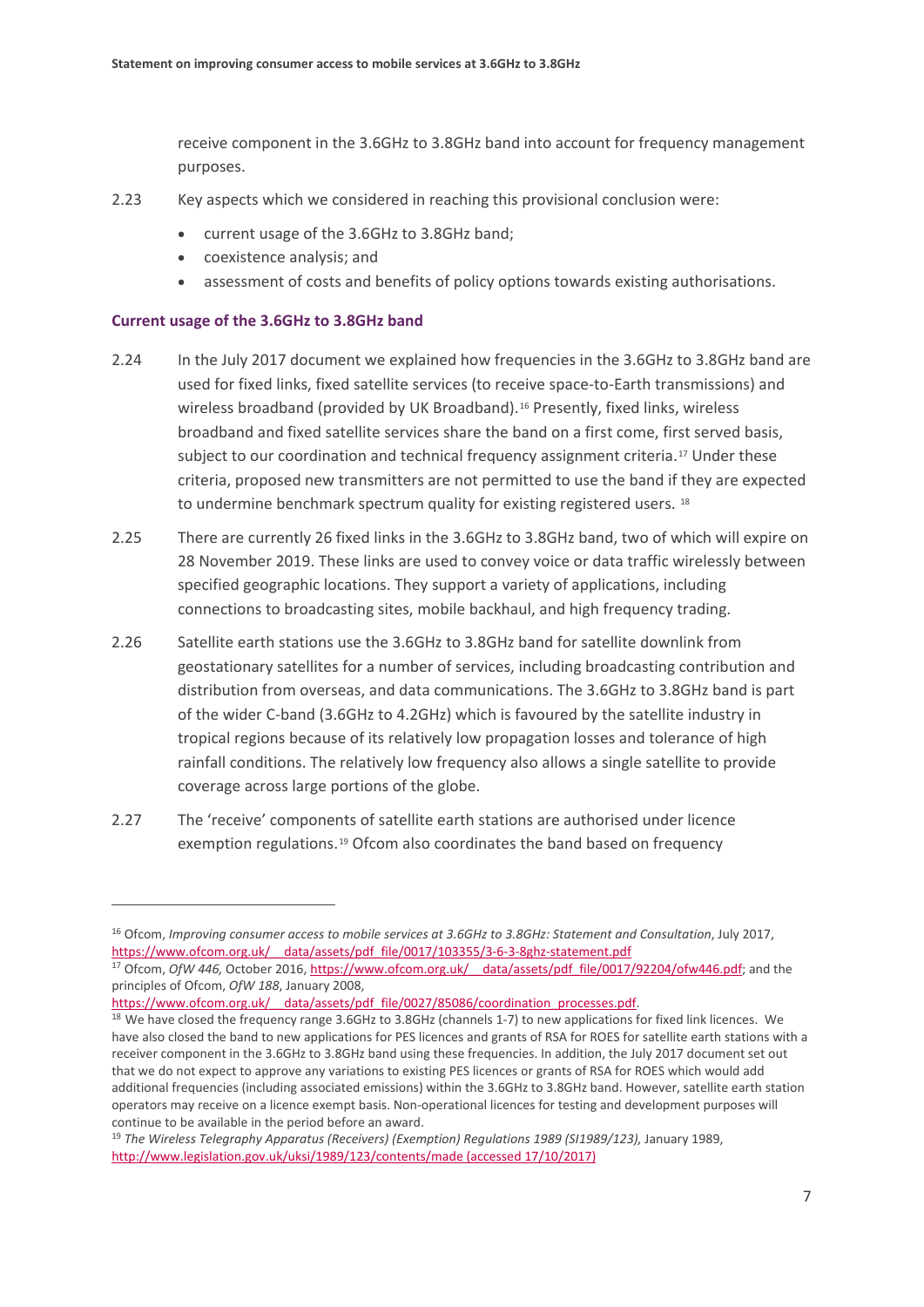receive component in the 3.6GHz to 3.8GHz band into account for frequency management purposes.

- 2.23 Key aspects which we considered in reaching this provisional conclusion were:
	- current usage of the 3.6GHz to 3.8GHz band;
	- coexistence analysis; and
	- assessment of costs and benefits of policy options towards existing authorisations.

#### **Current usage of the 3.6GHz to 3.8GHz band**

- 2.24 In the July 2017 document we explained how frequencies in the 3.6GHz to 3.8GHz band are used for fixed links, fixed satellite services (to receive space-to-Earth transmissions) and wireless broadband (provided by UK Broadband).<sup>[16](#page-9-0)</sup> Presently, fixed links, wireless broadband and fixed satellite services share the band on a first come, first served basis, subject to our coordination and technical frequency assignment criteria.<sup>[17](#page-9-1)</sup> Under these criteria, proposed new transmitters are not permitted to use the band if they are expected to undermine benchmark spectrum quality for existing registered users. [18](#page-9-2)
- 2.25 There are currently 26 fixed links in the 3.6GHz to 3.8GHz band, two of which will expire on 28 November 2019. These links are used to convey voice or data traffic wirelessly between specified geographic locations. They support a variety of applications, including connections to broadcasting sites, mobile backhaul, and high frequency trading.
- 2.26 Satellite earth stations use the 3.6GHz to 3.8GHz band for satellite downlink from geostationary satellites for a number of services, including broadcasting contribution and distribution from overseas, and data communications. The 3.6GHz to 3.8GHz band is part of the wider C-band (3.6GHz to 4.2GHz) which is favoured by the satellite industry in tropical regions because of its relatively low propagation losses and tolerance of high rainfall conditions. The relatively low frequency also allows a single satellite to provide coverage across large portions of the globe.
- 2.27 The 'receive' components of satellite earth stations are authorised under licence exemption regulations.[19](#page-9-3) Ofcom also coordinates the band based on frequency

<span id="page-9-0"></span><sup>16</sup> Ofcom, *Improving consumer access to mobile services at 3.6GHz to 3.8GHz: Statement and Consultation*, July 2017, https://www.ofcom.org.uk/ data/assets/pdf file/0017/103355/3-6-3-8ghz-statement.pdf

<span id="page-9-1"></span><sup>&</sup>lt;sup>17</sup> Ofcom, *OfW 446, October 2016, https://www.ofcom.org.uk/* data/assets/pdf\_file/0017/92204/ofw446.pdf; and the principles of Ofcom, *OfW 188*, January 2008,

<span id="page-9-2"></span>https://www.ofcom.org.uk/ data/assets/pdf file/0027/85086/coordination processes.pdf. 18 We have closed the frequency range 3.6GHz to 3.8GHz (channels 1-7) to new applications for fixed link licences. We have also closed the band to new applications for PES licences and grants of RSA for ROES for satellite earth stations with a receiver component in the 3.6GHz to 3.8GHz band using these frequencies. In addition, the July 2017 document set out that we do not expect to approve any variations to existing PES licences or grants of RSA for ROES which would add additional frequencies (including associated emissions) within the 3.6GHz to 3.8GHz band. However, satellite earth station operators may receive on a licence exempt basis. Non-operational licences for testing and development purposes will continue to be available in the period before an award.

<span id="page-9-3"></span><sup>19</sup> *The Wireless Telegraphy Apparatus (Receivers) (Exemption) Regulations 1989 (SI1989/123),* January 1989, <http://www.legislation.gov.uk/uksi/1989/123/contents/made> (accessed 17/10/2017)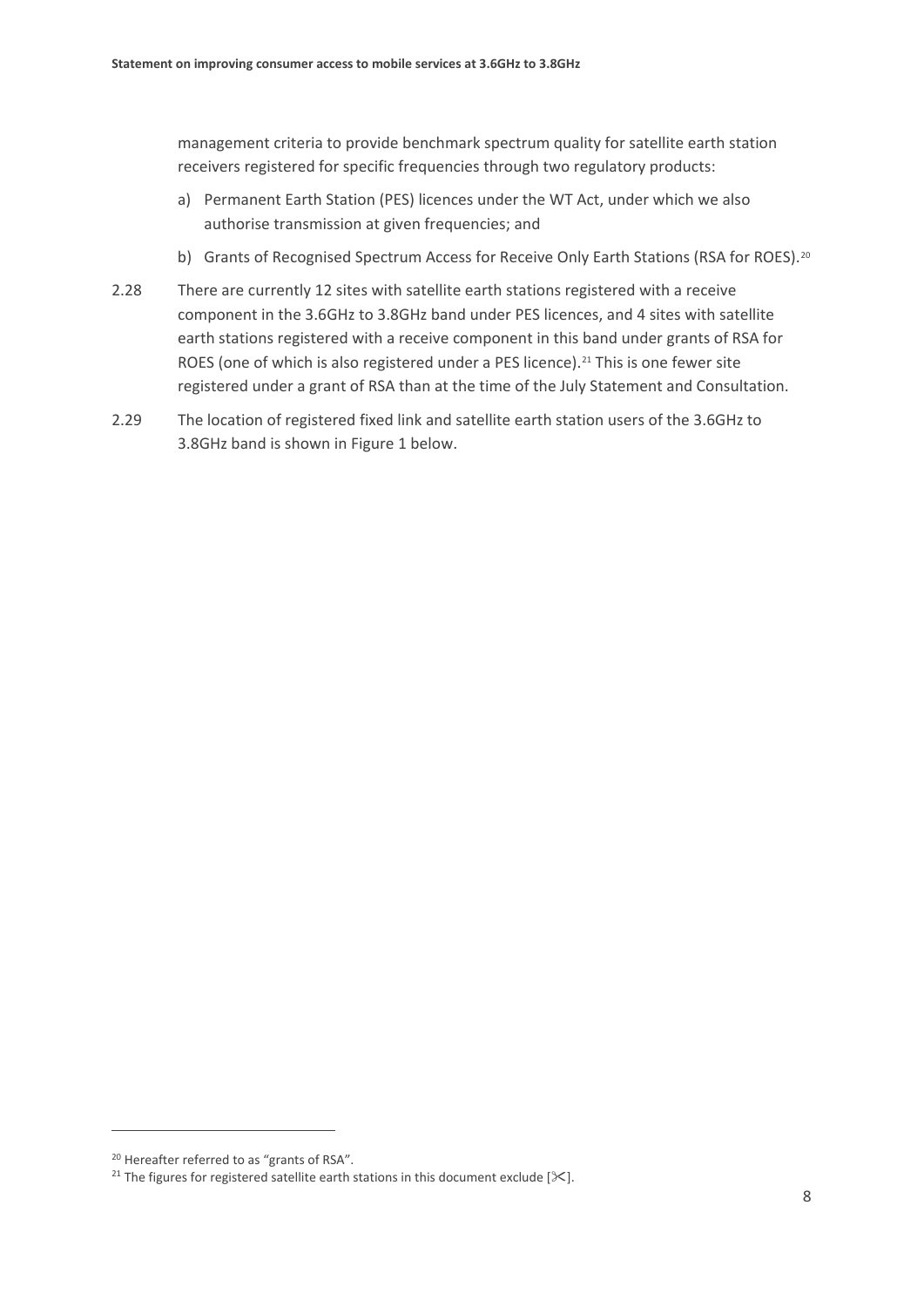management criteria to provide benchmark spectrum quality for satellite earth station receivers registered for specific frequencies through two regulatory products:

- a) Permanent Earth Station (PES) licences under the WT Act, under which we also authorise transmission at given frequencies; and
- b) Grants of Recognised Spectrum Access for Receive Only Earth Stations (RSA for ROES).<sup>[20](#page-10-0)</sup>
- 2.28 There are currently 12 sites with satellite earth stations registered with a receive component in the 3.6GHz to 3.8GHz band under PES licences, and 4 sites with satellite earth stations registered with a receive component in this band under grants of RSA for ROES (one of which is also registered under a PES licence).<sup>[21](#page-10-1)</sup> This is one fewer site registered under a grant of RSA than at the time of the July Statement and Consultation.
- 2.29 The location of registered fixed link and satellite earth station users of the 3.6GHz to 3.8GHz band is shown in Figure 1 below.

<span id="page-10-0"></span><sup>&</sup>lt;sup>20</sup> Hereafter referred to as "grants of RSA".

<span id="page-10-1"></span><sup>&</sup>lt;sup>21</sup> The figures for registered satellite earth stations in this document exclude  $[\mathcal{K}]$ .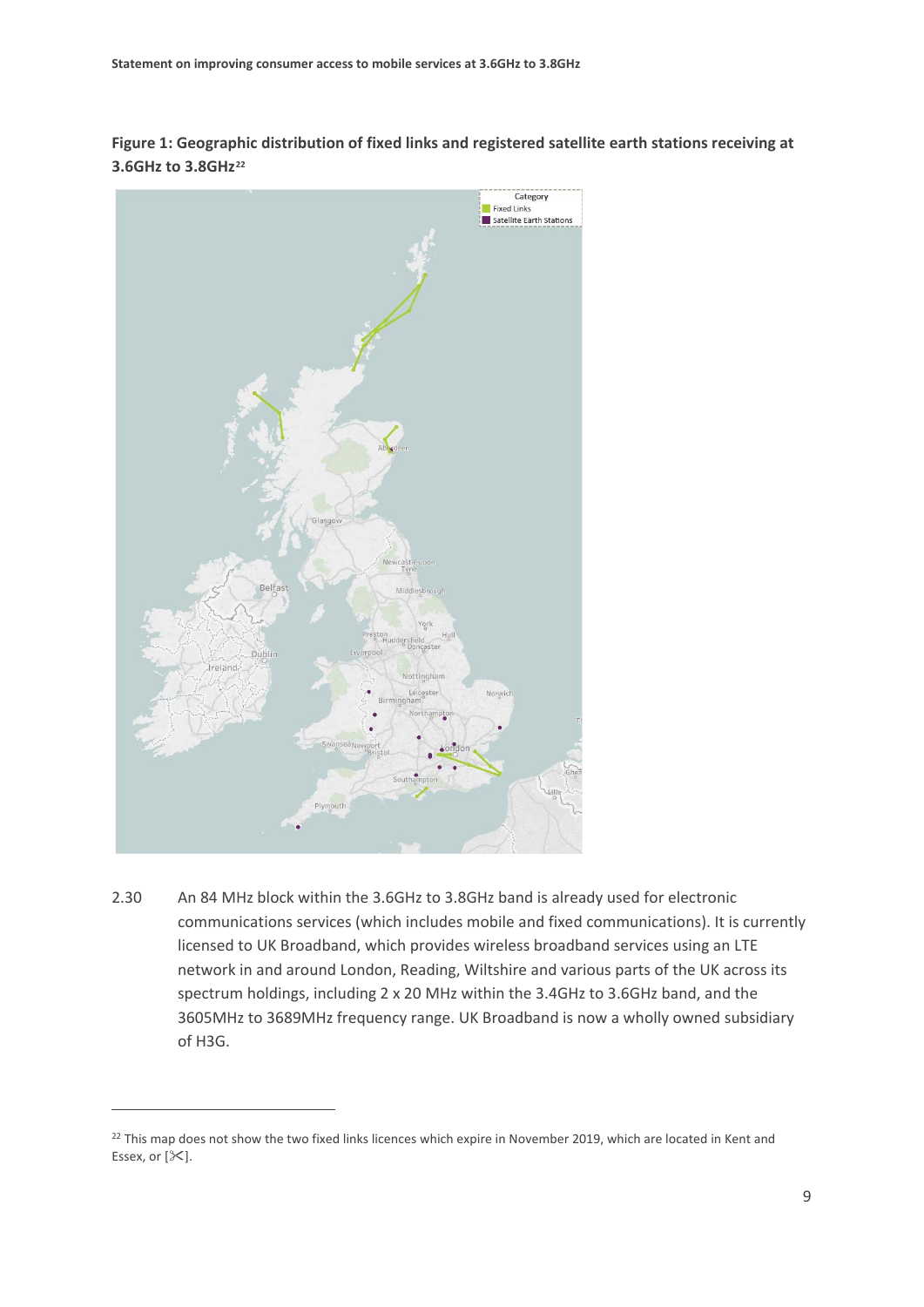**Figure 1: Geographic distribution of fixed links and registered satellite earth stations receiving at 3.6GHz to 3.8GHz[22](#page-11-0)**



2.30 An 84 MHz block within the 3.6GHz to 3.8GHz band is already used for electronic communications services (which includes mobile and fixed communications). It is currently licensed to UK Broadband, which provides wireless broadband services using an LTE network in and around London, Reading, Wiltshire and various parts of the UK across its spectrum holdings, including 2 x 20 MHz within the 3.4GHz to 3.6GHz band, and the 3605MHz to 3689MHz frequency range. UK Broadband is now a wholly owned subsidiary of H3G.

<span id="page-11-0"></span><sup>&</sup>lt;sup>22</sup> This map does not show the two fixed links licences which expire in November 2019, which are located in Kent and Essex, or  $[\times]$ .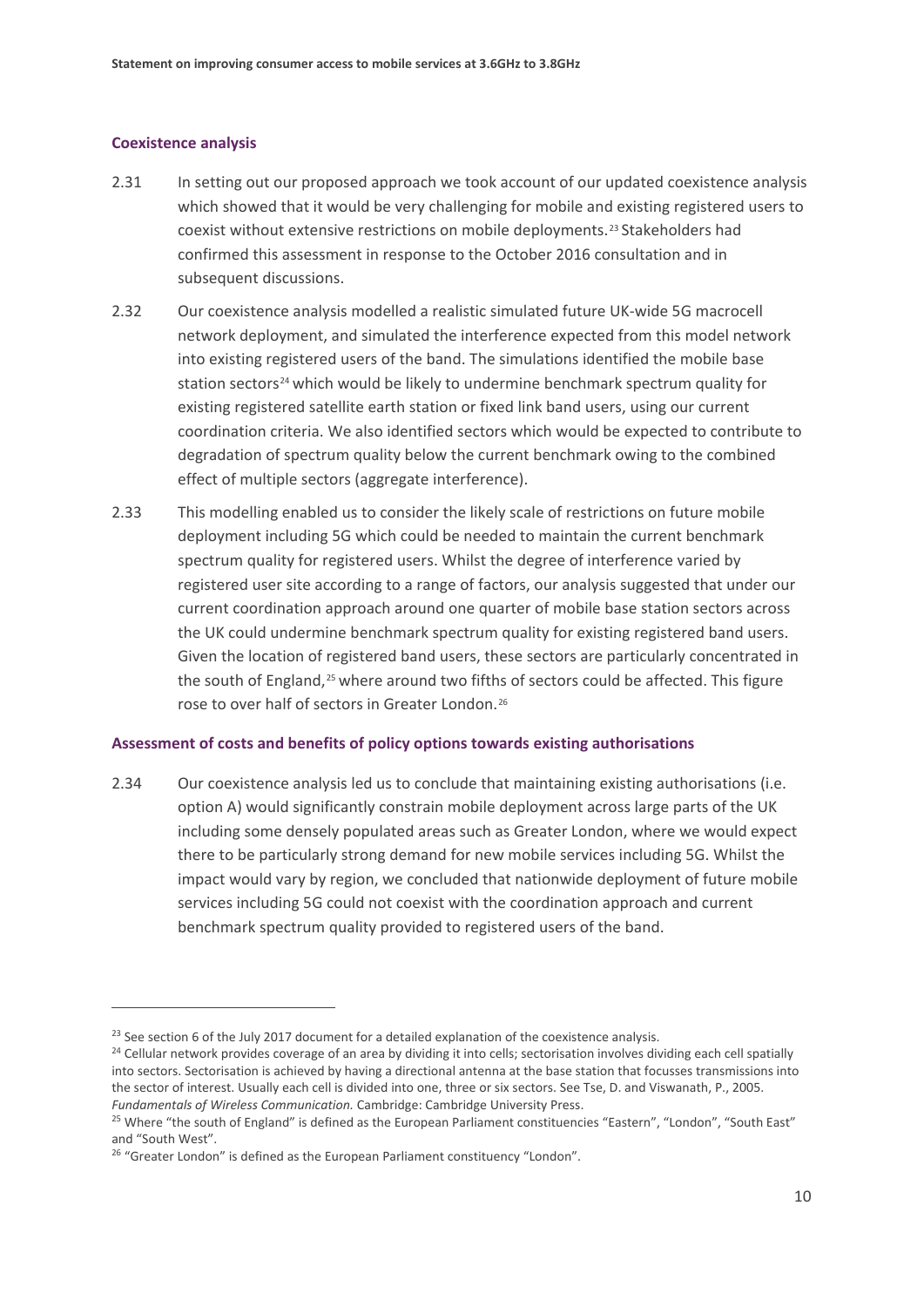#### **Coexistence analysis**

**.** 

- 2.31 In setting out our proposed approach we took account of our updated coexistence analysis which showed that it would be very challenging for mobile and existing registered users to coexist without extensive restrictions on mobile deployments.<sup>[23](#page-12-0)</sup> Stakeholders had confirmed this assessment in response to the October 2016 consultation and in subsequent discussions.
- 2.32 Our coexistence analysis modelled a realistic simulated future UK-wide 5G macrocell network deployment, and simulated the interference expected from this model network into existing registered users of the band. The simulations identified the mobile base station sectors<sup>[24](#page-12-1)</sup> which would be likely to undermine benchmark spectrum quality for existing registered satellite earth station or fixed link band users, using our current coordination criteria. We also identified sectors which would be expected to contribute to degradation of spectrum quality below the current benchmark owing to the combined effect of multiple sectors (aggregate interference).
- 2.33 This modelling enabled us to consider the likely scale of restrictions on future mobile deployment including 5G which could be needed to maintain the current benchmark spectrum quality for registered users. Whilst the degree of interference varied by registered user site according to a range of factors, our analysis suggested that under our current coordination approach around one quarter of mobile base station sectors across the UK could undermine benchmark spectrum quality for existing registered band users. Given the location of registered band users, these sectors are particularly concentrated in the south of England.<sup>[25](#page-12-2)</sup> where around two fifths of sectors could be affected. This figure rose to over half of sectors in Greater London.[26](#page-12-3)

#### **Assessment of costs and benefits of policy options towards existing authorisations**

2.34 Our coexistence analysis led us to conclude that maintaining existing authorisations (i.e. option A) would significantly constrain mobile deployment across large parts of the UK including some densely populated areas such as Greater London, where we would expect there to be particularly strong demand for new mobile services including 5G. Whilst the impact would vary by region, we concluded that nationwide deployment of future mobile services including 5G could not coexist with the coordination approach and current benchmark spectrum quality provided to registered users of the band.

<span id="page-12-0"></span><sup>&</sup>lt;sup>23</sup> See section 6 of the July 2017 document for a detailed explanation of the coexistence analysis.

<span id="page-12-1"></span><sup>&</sup>lt;sup>24</sup> Cellular network provides coverage of an area by dividing it into cells; sectorisation involves dividing each cell spatially into sectors. Sectorisation is achieved by having a directional antenna at the base station that focusses transmissions into the sector of interest. Usually each cell is divided into one, three or six sectors. See Tse, D. and Viswanath, P., 2005.

<span id="page-12-2"></span>*Fundamentals of Wireless Communication.* Cambridge: Cambridge University Press.<br><sup>25</sup> Where "the south of England" is defined as the European Parliament constituencies "Eastern", "London", "South East" and "South West".

<span id="page-12-3"></span> $26$  "Greater London" is defined as the European Parliament constituency "London".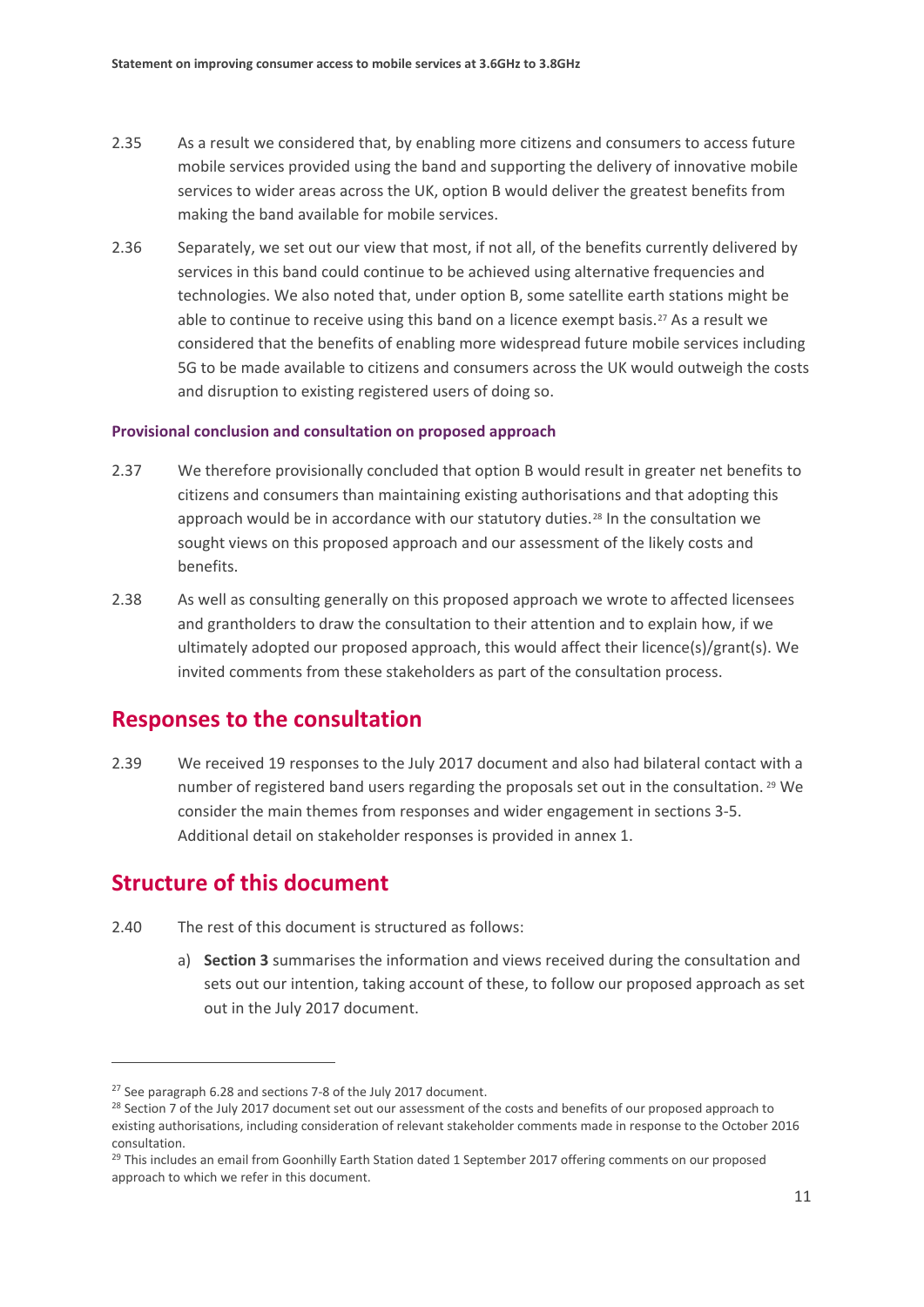- 2.35 As a result we considered that, by enabling more citizens and consumers to access future mobile services provided using the band and supporting the delivery of innovative mobile services to wider areas across the UK, option B would deliver the greatest benefits from making the band available for mobile services.
- 2.36 Separately, we set out our view that most, if not all, of the benefits currently delivered by services in this band could continue to be achieved using alternative frequencies and technologies. We also noted that, under option B, some satellite earth stations might be able to continue to receive using this band on a licence exempt basis.<sup>[27](#page-13-0)</sup> As a result we considered that the benefits of enabling more widespread future mobile services including 5G to be made available to citizens and consumers across the UK would outweigh the costs and disruption to existing registered users of doing so.

#### **Provisional conclusion and consultation on proposed approach**

- 2.37 We therefore provisionally concluded that option B would result in greater net benefits to citizens and consumers than maintaining existing authorisations and that adopting this approach would be in accordance with our statutory duties.<sup>[28](#page-13-1)</sup> In the consultation we sought views on this proposed approach and our assessment of the likely costs and benefits.
- 2.38 As well as consulting generally on this proposed approach we wrote to affected licensees and grantholders to draw the consultation to their attention and to explain how, if we ultimately adopted our proposed approach, this would affect their licence(s)/grant(s). We invited comments from these stakeholders as part of the consultation process.

## **Responses to the consultation**

2.39 We received 19 responses to the July 2017 document and also had bilateral contact with a number of registered band users regarding the proposals set out in the consultation. [29](#page-13-2) We consider the main themes from responses and wider engagement in sections 3-5. Additional detail on stakeholder responses is provided in annex 1.

## **Structure of this document**

- 2.40 The rest of this document is structured as follows:
	- a) **Section 3** summarises the information and views received during the consultation and sets out our intention, taking account of these, to follow our proposed approach as set out in the July 2017 document.

<span id="page-13-0"></span><sup>&</sup>lt;sup>27</sup> See paragraph 6.28 and sections 7-8 of the July 2017 document.

<span id="page-13-1"></span><sup>&</sup>lt;sup>28</sup> Section 7 of the July 2017 document set out our assessment of the costs and benefits of our proposed approach to existing authorisations, including consideration of relevant stakeholder comments made in response to the October 2016 consultation.

<span id="page-13-2"></span><sup>&</sup>lt;sup>29</sup> This includes an email from Goonhilly Earth Station dated 1 September 2017 offering comments on our proposed approach to which we refer in this document.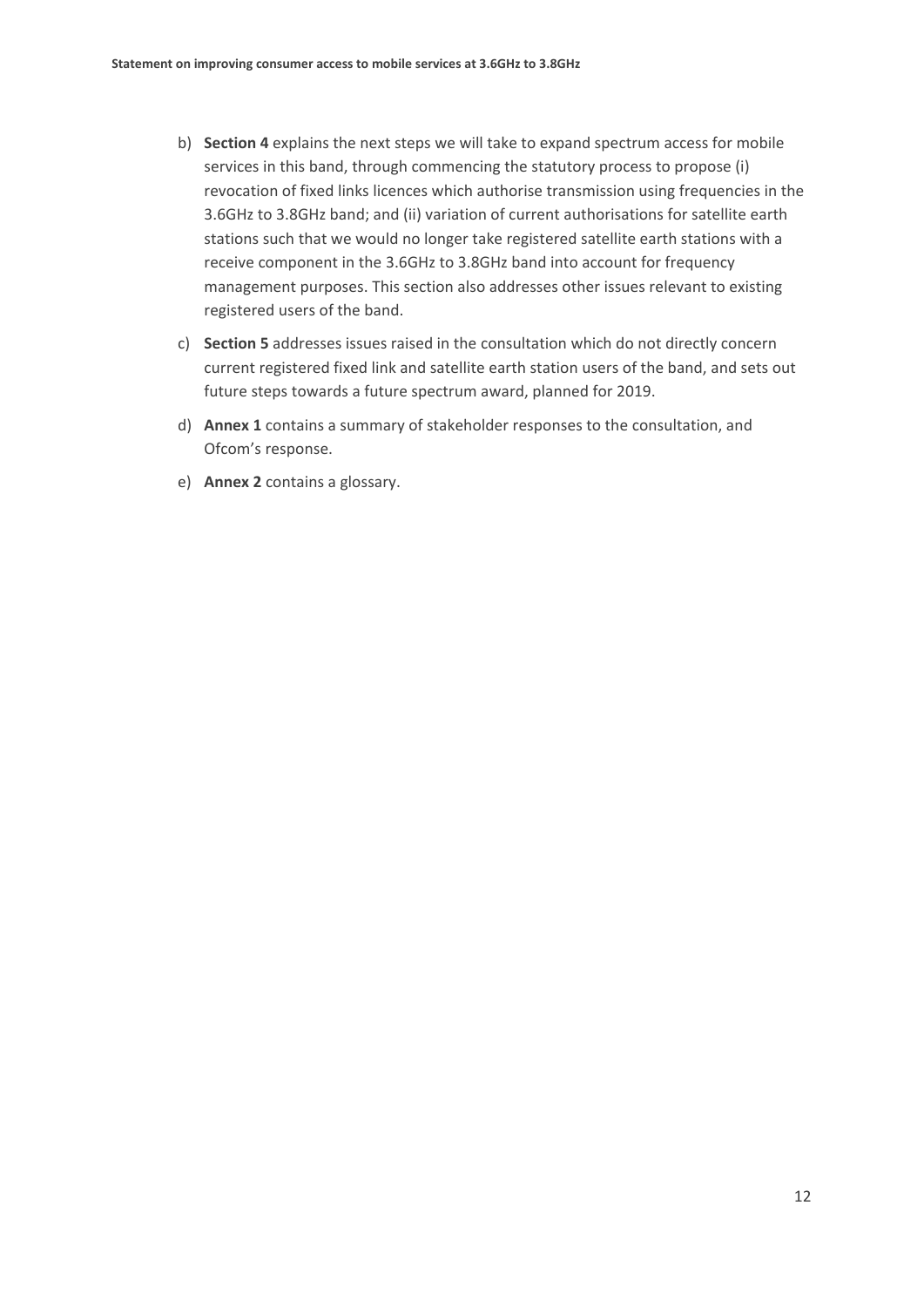- b) **Section 4** explains the next steps we will take to expand spectrum access for mobile services in this band, through commencing the statutory process to propose (i) revocation of fixed links licences which authorise transmission using frequencies in the 3.6GHz to 3.8GHz band; and (ii) variation of current authorisations for satellite earth stations such that we would no longer take registered satellite earth stations with a receive component in the 3.6GHz to 3.8GHz band into account for frequency management purposes. This section also addresses other issues relevant to existing registered users of the band.
- c) **Section 5** addresses issues raised in the consultation which do not directly concern current registered fixed link and satellite earth station users of the band, and sets out future steps towards a future spectrum award, planned for 2019.
- d) **Annex 1** contains a summary of stakeholder responses to the consultation, and Ofcom's response.
- e) **Annex 2** contains a glossary.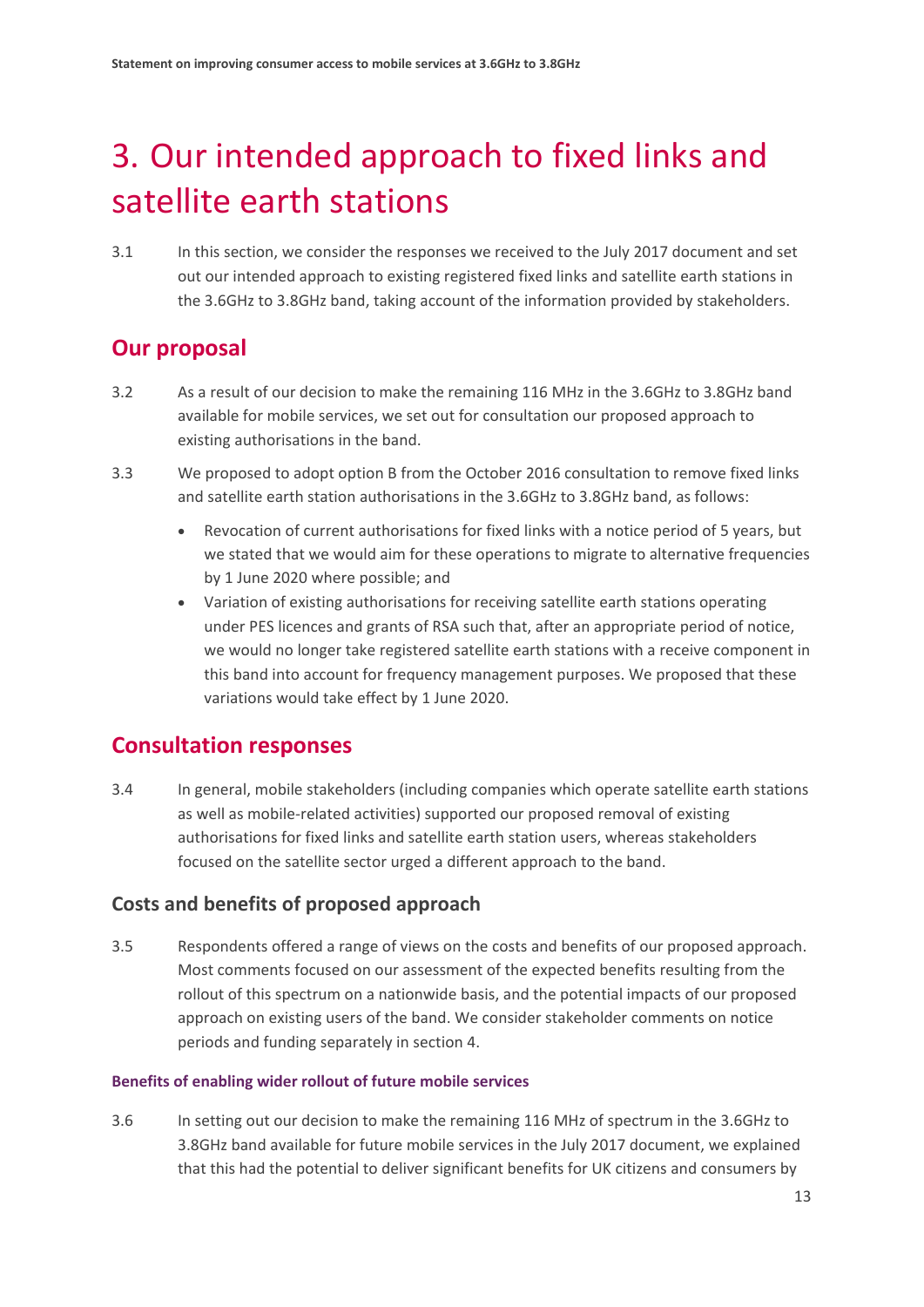# <span id="page-15-0"></span>3. Our intended approach to fixed links and satellite earth stations

3.1 In this section, we consider the responses we received to the July 2017 document and set out our intended approach to existing registered fixed links and satellite earth stations in the 3.6GHz to 3.8GHz band, taking account of the information provided by stakeholders.

## **Our proposal**

- 3.2 As a result of our decision to make the remaining 116 MHz in the 3.6GHz to 3.8GHz band available for mobile services, we set out for consultation our proposed approach to existing authorisations in the band.
- 3.3 We proposed to adopt option B from the October 2016 consultation to remove fixed links and satellite earth station authorisations in the 3.6GHz to 3.8GHz band, as follows:
	- Revocation of current authorisations for fixed links with a notice period of 5 years, but we stated that we would aim for these operations to migrate to alternative frequencies by 1 June 2020 where possible; and
	- Variation of existing authorisations for receiving satellite earth stations operating under PES licences and grants of RSA such that, after an appropriate period of notice, we would no longer take registered satellite earth stations with a receive component in this band into account for frequency management purposes. We proposed that these variations would take effect by 1 June 2020.

## **Consultation responses**

3.4 In general, mobile stakeholders (including companies which operate satellite earth stations as well as mobile-related activities) supported our proposed removal of existing authorisations for fixed links and satellite earth station users, whereas stakeholders focused on the satellite sector urged a different approach to the band.

## **Costs and benefits of proposed approach**

3.5 Respondents offered a range of views on the costs and benefits of our proposed approach. Most comments focused on our assessment of the expected benefits resulting from the rollout of this spectrum on a nationwide basis, and the potential impacts of our proposed approach on existing users of the band. We consider stakeholder comments on notice periods and funding separately in section 4.

## **Benefits of enabling wider rollout of future mobile services**

<span id="page-15-1"></span>3.6 In setting out our decision to make the remaining 116 MHz of spectrum in the 3.6GHz to 3.8GHz band available for future mobile services in the July 2017 document, we explained that this had the potential to deliver significant benefits for UK citizens and consumers by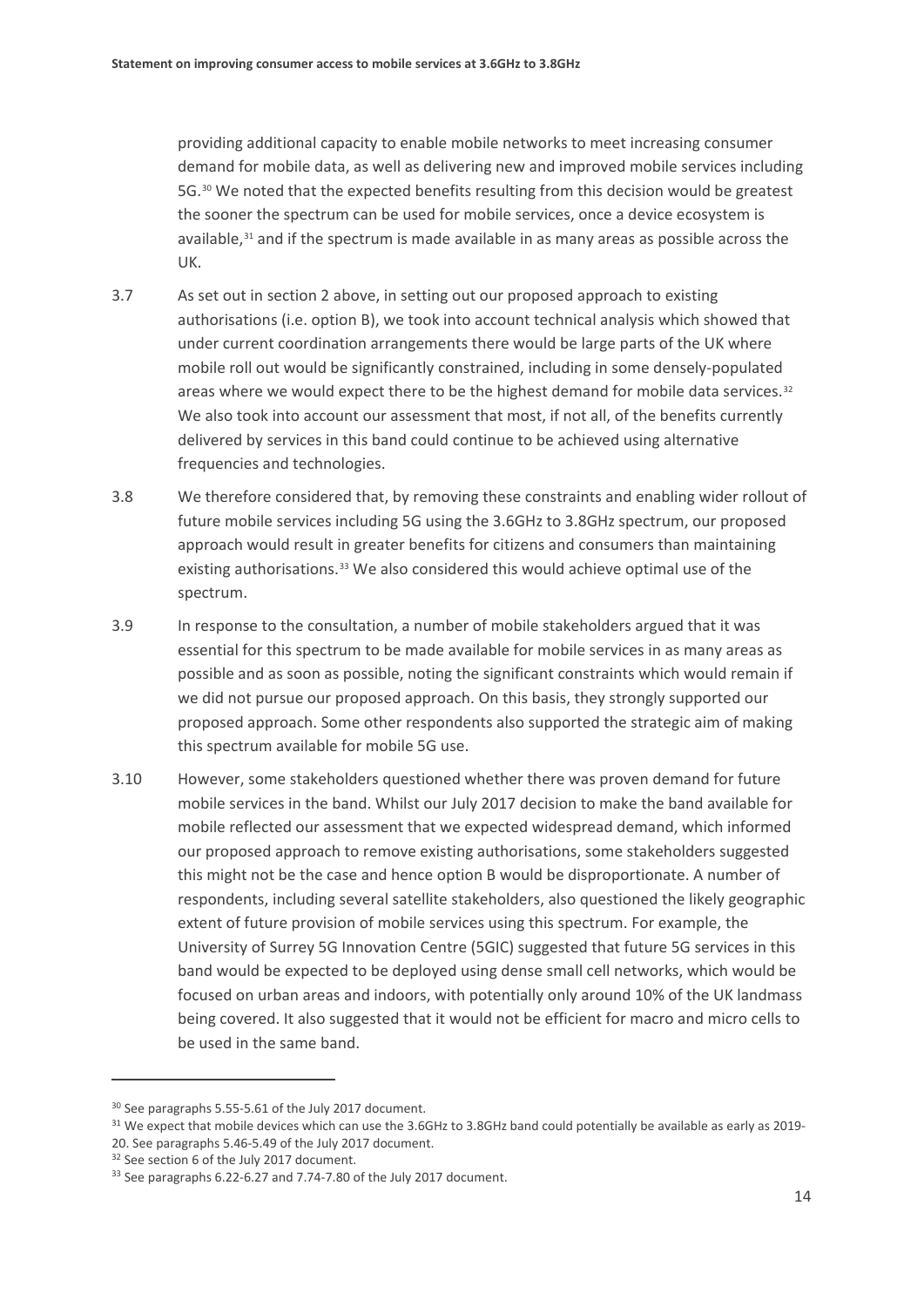providing additional capacity to enable mobile networks to meet increasing consumer demand for mobile data, as well as delivering new and improved mobile services including 5G.[30](#page-16-0) We noted that the expected benefits resulting from this decision would be greatest the sooner the spectrum can be used for mobile services, once a device ecosystem is available,<sup>[31](#page-16-1)</sup> and if the spectrum is made available in as many areas as possible across the UK.

- 3.7 As set out in section 2 above, in setting out our proposed approach to existing authorisations (i.e. option B), we took into account technical analysis which showed that under current coordination arrangements there would be large parts of the UK where mobile roll out would be significantly constrained, including in some densely-populated areas where we would expect there to be the highest demand for mobile data services. $32$ We also took into account our assessment that most, if not all, of the benefits currently delivered by services in this band could continue to be achieved using alternative frequencies and technologies.
- 3.8 We therefore considered that, by removing these constraints and enabling wider rollout of future mobile services including 5G using the 3.6GHz to 3.8GHz spectrum, our proposed approach would result in greater benefits for citizens and consumers than maintaining existing authorisations.<sup>[33](#page-16-3)</sup> We also considered this would achieve optimal use of the spectrum.
- 3.9 In response to the consultation, a number of mobile stakeholders argued that it was essential for this spectrum to be made available for mobile services in as many areas as possible and as soon as possible, noting the significant constraints which would remain if we did not pursue our proposed approach. On this basis, they strongly supported our proposed approach. Some other respondents also supported the strategic aim of making this spectrum available for mobile 5G use.
- 3.10 However, some stakeholders questioned whether there was proven demand for future mobile services in the band. Whilst our July 2017 decision to make the band available for mobile reflected our assessment that we expected widespread demand, which informed our proposed approach to remove existing authorisations, some stakeholders suggested this might not be the case and hence option B would be disproportionate. A number of respondents, including several satellite stakeholders, also questioned the likely geographic extent of future provision of mobile services using this spectrum. For example, the University of Surrey 5G Innovation Centre (5GIC) suggested that future 5G services in this band would be expected to be deployed using dense small cell networks, which would be focused on urban areas and indoors, with potentially only around 10% of the UK landmass being covered. It also suggested that it would not be efficient for macro and micro cells to be used in the same band.

<span id="page-16-0"></span><sup>30</sup> See paragraphs 5.55-5.61 of the July 2017 document.

<span id="page-16-1"></span><sup>&</sup>lt;sup>31</sup> We expect that mobile devices which can use the 3.6GHz to 3.8GHz band could potentially be available as early as 2019-20. See paragraphs 5.46-5.49 of the July 2017 document.

<span id="page-16-2"></span><sup>&</sup>lt;sup>32</sup> See section 6 of the July 2017 document.

<span id="page-16-3"></span> $33$  See paragraphs 6.22-6.27 and 7.74-7.80 of the July 2017 document.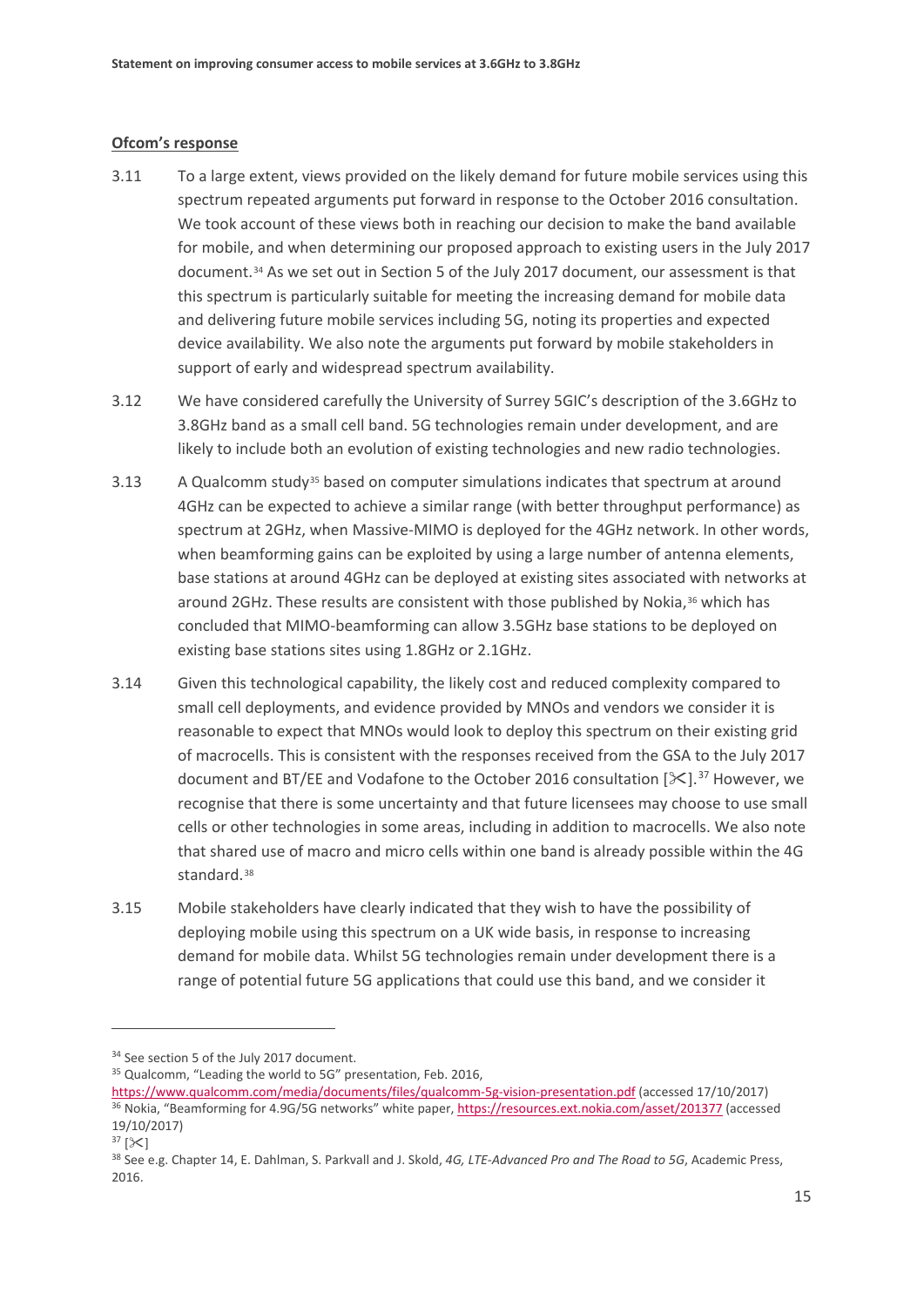#### **Ofcom's response**

- <span id="page-17-5"></span>3.11 To a large extent, views provided on the likely demand for future mobile services using this spectrum repeated arguments put forward in response to the October 2016 consultation. We took account of these views both in reaching our decision to make the band available for mobile, and when determining our proposed approach to existing users in the July 2017 document.[34](#page-17-0) As we set out in Section 5 of the July 2017 document, our assessment is that this spectrum is particularly suitable for meeting the increasing demand for mobile data and delivering future mobile services including 5G, noting its properties and expected device availability. We also note the arguments put forward by mobile stakeholders in support of early and widespread spectrum availability.
- 3.12 We have considered carefully the University of Surrey 5GIC's description of the 3.6GHz to 3.8GHz band as a small cell band. 5G technologies remain under development, and are likely to include both an evolution of existing technologies and new radio technologies.
- 3.13 A Qualcomm study<sup>[35](#page-17-1)</sup> based on computer simulations indicates that spectrum at around 4GHz can be expected to achieve a similar range (with better throughput performance) as spectrum at 2GHz, when Massive-MIMO is deployed for the 4GHz network. In other words, when beamforming gains can be exploited by using a large number of antenna elements, base stations at around 4GHz can be deployed at existing sites associated with networks at around 2GHz. These results are consistent with those published by Nokia,<sup>[36](#page-17-2)</sup> which has concluded that MIMO-beamforming can allow 3.5GHz base stations to be deployed on existing base stations sites using 1.8GHz or 2.1GHz.
- 3.14 Given this technological capability, the likely cost and reduced complexity compared to small cell deployments, and evidence provided by MNOs and vendors we consider it is reasonable to expect that MNOs would look to deploy this spectrum on their existing grid of macrocells. This is consistent with the responses received from the GSA to the July 2017 document and BT/EE and Vodafone to the October 2016 consultation  $[\mathcal{K}]$ .<sup>[37](#page-17-3)</sup> However, we recognise that there is some uncertainty and that future licensees may choose to use small cells or other technologies in some areas, including in addition to macrocells. We also note that shared use of macro and micro cells within one band is already possible within the 4G standard.<sup>[38](#page-17-4)</sup>
- 3.15 Mobile stakeholders have clearly indicated that they wish to have the possibility of deploying mobile using this spectrum on a UK wide basis, in response to increasing demand for mobile data. Whilst 5G technologies remain under development there is a range of potential future 5G applications that could use this band, and we consider it

<span id="page-17-0"></span><sup>&</sup>lt;sup>34</sup> See section 5 of the July 2017 document.

<span id="page-17-1"></span><sup>&</sup>lt;sup>35</sup> Qualcomm, "Leading the world to 5G" presentation, Feb. 2016,

<span id="page-17-2"></span><https://www.qualcomm.com/media/documents/files/qualcomm-5g-vision-presentation.pdf> (accessed 17/10/2017) <sup>36</sup> Nokia, "Beamforming for 4.9G/5G networks" white paper, <https://resources.ext.nokia.com/asset/201377> (accessed 19/10/2017)

<span id="page-17-3"></span> $37$   $[\times]$ 

<span id="page-17-4"></span><sup>38</sup> See e.g. Chapter 14, E. Dahlman, S. Parkvall and J. Skold, *4G, LTE-Advanced Pro and The Road to 5G*, Academic Press, 2016.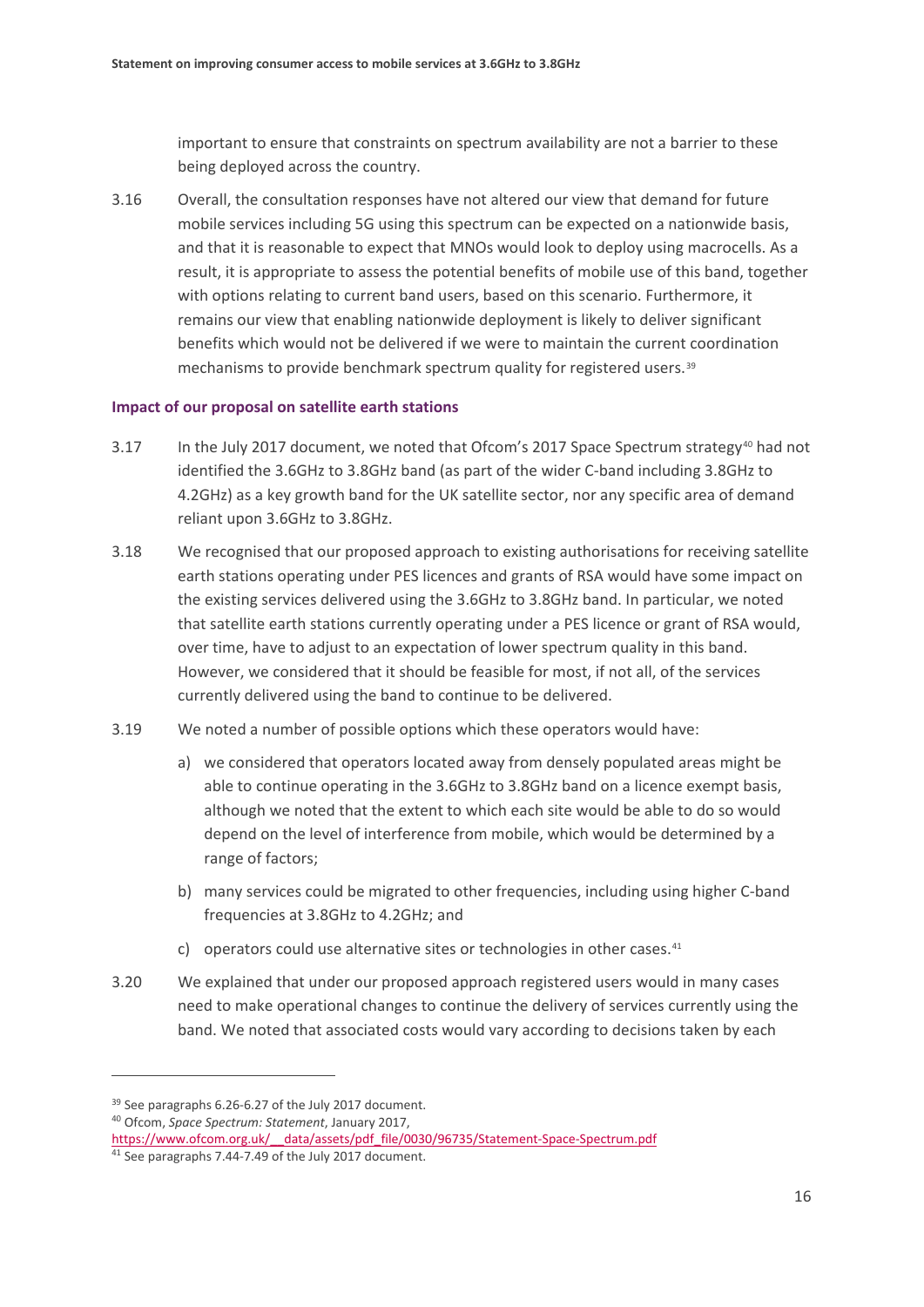important to ensure that constraints on spectrum availability are not a barrier to these being deployed across the country.

<span id="page-18-3"></span>3.16 Overall, the consultation responses have not altered our view that demand for future mobile services including 5G using this spectrum can be expected on a nationwide basis, and that it is reasonable to expect that MNOs would look to deploy using macrocells. As a result, it is appropriate to assess the potential benefits of mobile use of this band, together with options relating to current band users, based on this scenario. Furthermore, it remains our view that enabling nationwide deployment is likely to deliver significant benefits which would not be delivered if we were to maintain the current coordination mechanisms to provide benchmark spectrum quality for registered users.[39](#page-18-0)

### **Impact of our proposal on satellite earth stations**

- 3.17 In the July 2017 document, we noted that Ofcom's 2017 Space Spectrum strategy<sup>[40](#page-18-1)</sup> had not identified the 3.6GHz to 3.8GHz band (as part of the wider C-band including 3.8GHz to 4.2GHz) as a key growth band for the UK satellite sector, nor any specific area of demand reliant upon 3.6GHz to 3.8GHz.
- 3.18 We recognised that our proposed approach to existing authorisations for receiving satellite earth stations operating under PES licences and grants of RSA would have some impact on the existing services delivered using the 3.6GHz to 3.8GHz band. In particular, we noted that satellite earth stations currently operating under a PES licence or grant of RSA would, over time, have to adjust to an expectation of lower spectrum quality in this band. However, we considered that it should be feasible for most, if not all, of the services currently delivered using the band to continue to be delivered.
- 3.19 We noted a number of possible options which these operators would have:
	- a) we considered that operators located away from densely populated areas might be able to continue operating in the 3.6GHz to 3.8GHz band on a licence exempt basis, although we noted that the extent to which each site would be able to do so would depend on the level of interference from mobile, which would be determined by a range of factors;
	- b) many services could be migrated to other frequencies, including using higher C-band frequencies at 3.8GHz to 4.2GHz; and
	- c) operators could use alternative sites or technologies in other cases.<sup>[41](#page-18-2)</sup>
- 3.20 We explained that under our proposed approach registered users would in many cases need to make operational changes to continue the delivery of services currently using the band. We noted that associated costs would vary according to decisions taken by each

<span id="page-18-0"></span><sup>&</sup>lt;sup>39</sup> See paragraphs 6.26-6.27 of the July 2017 document.

<span id="page-18-1"></span><sup>40</sup> Ofcom, *Space Spectrum: Statement*, January 2017,

<span id="page-18-2"></span>https://www.ofcom.org.uk/ data/assets/pdf file/0030/96735/Statement-Space-Spectrum.pdf  $41$  See paragraphs 7.44-7.49 of the July 2017 document.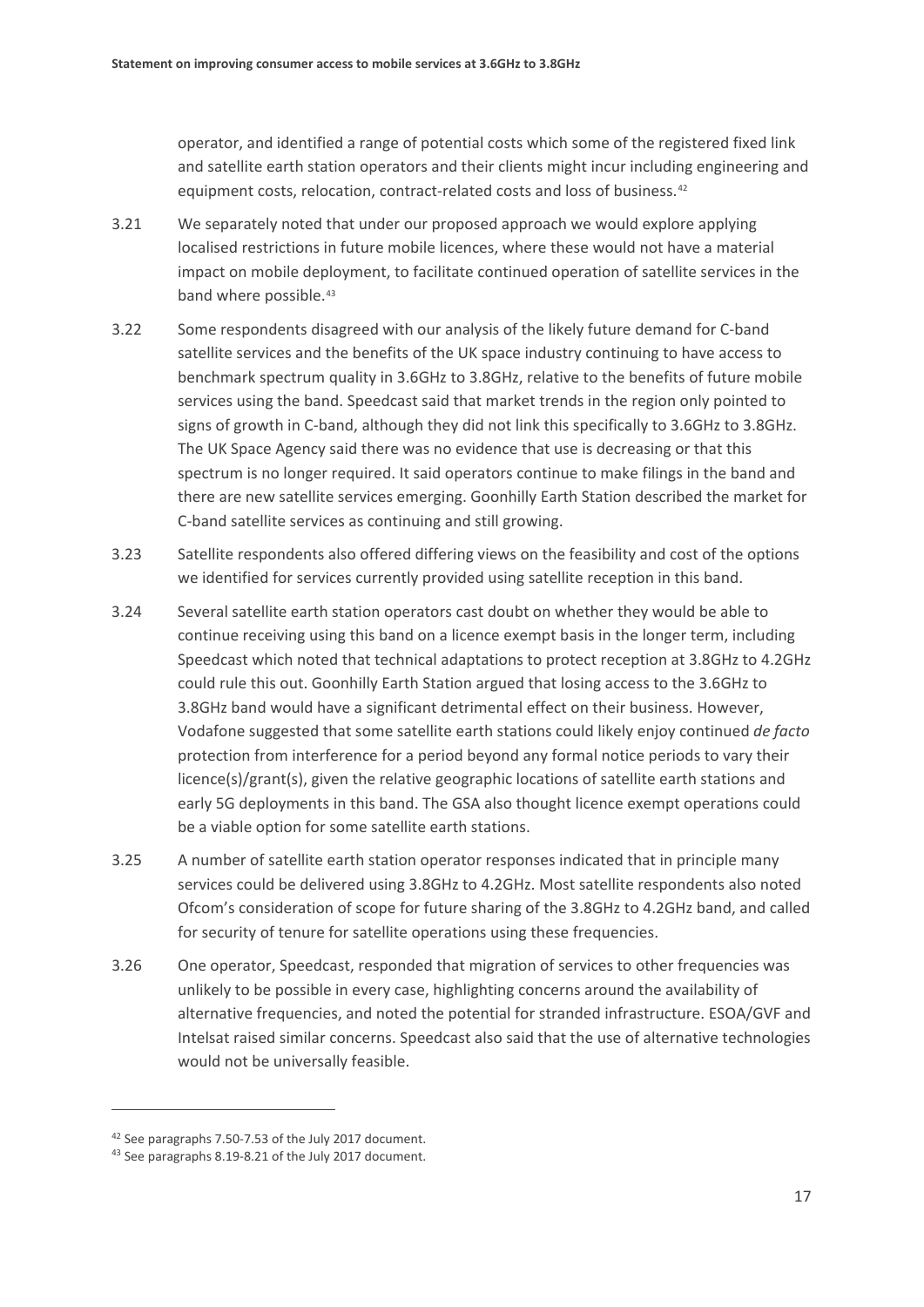operator, and identified a range of potential costs which some of the registered fixed link and satellite earth station operators and their clients might incur including engineering and equipment costs, relocation, contract-related costs and loss of business.[42](#page-19-0)

- 3.21 We separately noted that under our proposed approach we would explore applying localised restrictions in future mobile licences, where these would not have a material impact on mobile deployment, to facilitate continued operation of satellite services in the band where possible.<sup>[43](#page-19-1)</sup>
- 3.22 Some respondents disagreed with our analysis of the likely future demand for C-band satellite services and the benefits of the UK space industry continuing to have access to benchmark spectrum quality in 3.6GHz to 3.8GHz, relative to the benefits of future mobile services using the band. Speedcast said that market trends in the region only pointed to signs of growth in C-band, although they did not link this specifically to 3.6GHz to 3.8GHz. The UK Space Agency said there was no evidence that use is decreasing or that this spectrum is no longer required. It said operators continue to make filings in the band and there are new satellite services emerging. Goonhilly Earth Station described the market for C-band satellite services as continuing and still growing.
- 3.23 Satellite respondents also offered differing views on the feasibility and cost of the options we identified for services currently provided using satellite reception in this band.
- 3.24 Several satellite earth station operators cast doubt on whether they would be able to continue receiving using this band on a licence exempt basis in the longer term, including Speedcast which noted that technical adaptations to protect reception at 3.8GHz to 4.2GHz could rule this out. Goonhilly Earth Station argued that losing access to the 3.6GHz to 3.8GHz band would have a significant detrimental effect on their business. However, Vodafone suggested that some satellite earth stations could likely enjoy continued *de facto* protection from interference for a period beyond any formal notice periods to vary their licence(s)/grant(s), given the relative geographic locations of satellite earth stations and early 5G deployments in this band. The GSA also thought licence exempt operations could be a viable option for some satellite earth stations.
- <span id="page-19-2"></span>3.25 A number of satellite earth station operator responses indicated that in principle many services could be delivered using 3.8GHz to 4.2GHz. Most satellite respondents also noted Ofcom's consideration of scope for future sharing of the 3.8GHz to 4.2GHz band, and called for security of tenure for satellite operations using these frequencies.
- 3.26 One operator, Speedcast, responded that migration of services to other frequencies was unlikely to be possible in every case, highlighting concerns around the availability of alternative frequencies, and noted the potential for stranded infrastructure. ESOA/GVF and Intelsat raised similar concerns. Speedcast also said that the use of alternative technologies would not be universally feasible.

<span id="page-19-0"></span><sup>42</sup> See paragraphs 7.50-7.53 of the July 2017 document.

<span id="page-19-1"></span><sup>43</sup> See paragraphs 8.19-8.21 of the July 2017 document.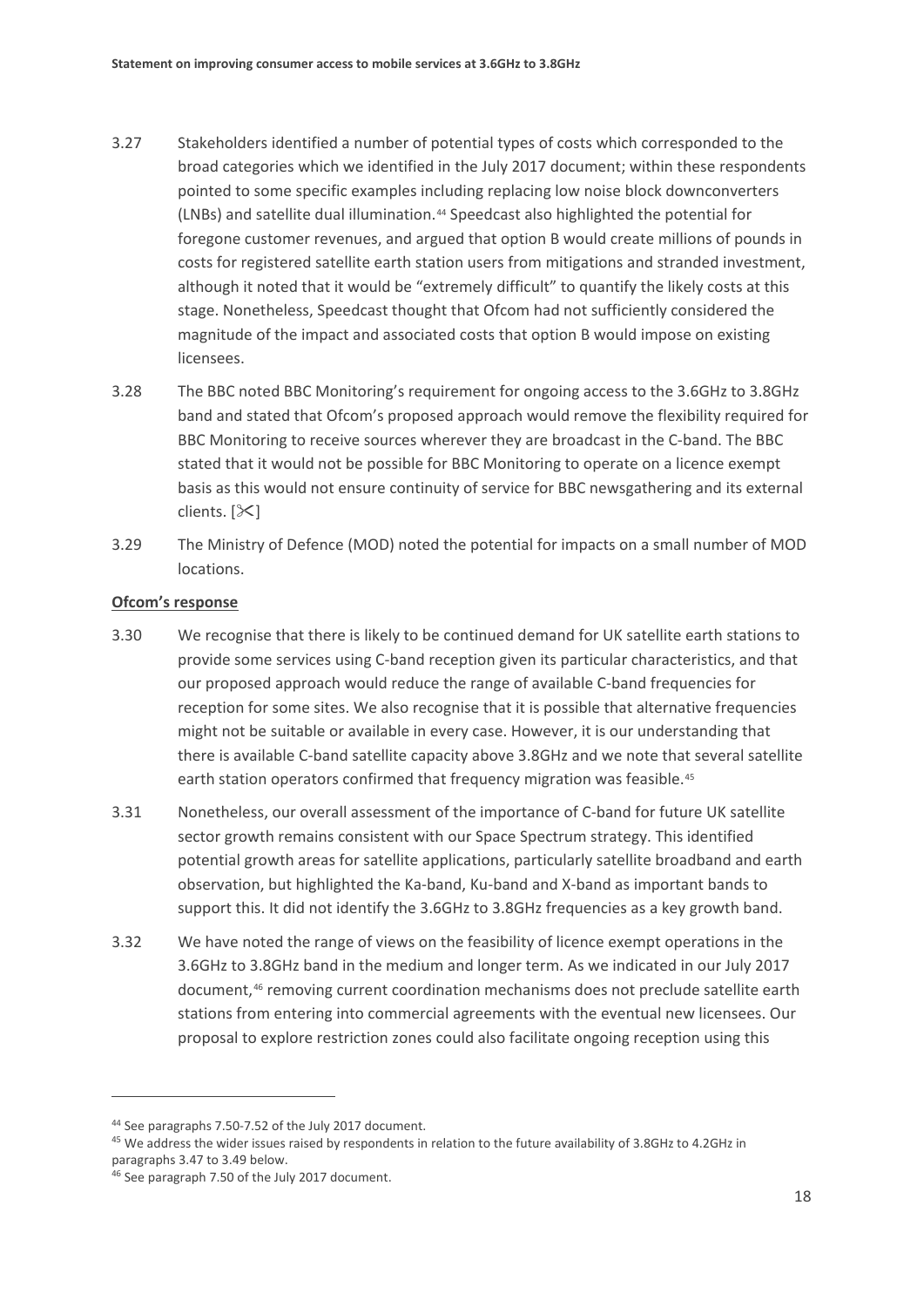- 3.27 Stakeholders identified a number of potential types of costs which corresponded to the broad categories which we identified in the July 2017 document; within these respondents pointed to some specific examples including replacing low noise block downconverters (LNBs) and satellite dual illumination.[44](#page-20-0) Speedcast also highlighted the potential for foregone customer revenues, and argued that option B would create millions of pounds in costs for registered satellite earth station users from mitigations and stranded investment, although it noted that it would be "extremely difficult" to quantify the likely costs at this stage. Nonetheless, Speedcast thought that Ofcom had not sufficiently considered the magnitude of the impact and associated costs that option B would impose on existing licensees.
- 3.28 The BBC noted BBC Monitoring's requirement for ongoing access to the 3.6GHz to 3.8GHz band and stated that Ofcom's proposed approach would remove the flexibility required for BBC Monitoring to receive sources wherever they are broadcast in the C-band. The BBC stated that it would not be possible for BBC Monitoring to operate on a licence exempt basis as this would not ensure continuity of service for BBC newsgathering and its external clients.  $[\times]$
- 3.29 The Ministry of Defence (MOD) noted the potential for impacts on a small number of MOD locations.

### **Ofcom's response**

- <span id="page-20-3"></span>3.30 We recognise that there is likely to be continued demand for UK satellite earth stations to provide some services using C-band reception given its particular characteristics, and that our proposed approach would reduce the range of available C-band frequencies for reception for some sites. We also recognise that it is possible that alternative frequencies might not be suitable or available in every case. However, it is our understanding that there is available C-band satellite capacity above 3.8GHz and we note that several satellite earth station operators confirmed that frequency migration was feasible.<sup>[45](#page-20-1)</sup>
- <span id="page-20-4"></span>3.31 Nonetheless, our overall assessment of the importance of C-band for future UK satellite sector growth remains consistent with our Space Spectrum strategy. This identified potential growth areas for satellite applications, particularly satellite broadband and earth observation, but highlighted the Ka-band, Ku-band and X-band as important bands to support this. It did not identify the 3.6GHz to 3.8GHz frequencies as a key growth band.
- 3.32 We have noted the range of views on the feasibility of licence exempt operations in the 3.6GHz to 3.8GHz band in the medium and longer term. As we indicated in our July 2017 document,<sup>[46](#page-20-2)</sup> removing current coordination mechanisms does not preclude satellite earth stations from entering into commercial agreements with the eventual new licensees. Our proposal to explore restriction zones could also facilitate ongoing reception using this

<span id="page-20-0"></span><sup>44</sup> See paragraphs 7.50-7.52 of the July 2017 document.

<span id="page-20-1"></span><sup>&</sup>lt;sup>45</sup> We address the wider issues raised by respondents in relation to the future availability of 3.8GHz to 4.2GHz in paragraph[s 3.47](#page-23-0) to [3.49](#page-24-0) below.

<span id="page-20-2"></span><sup>46</sup> See paragraph 7.50 of the July 2017 document.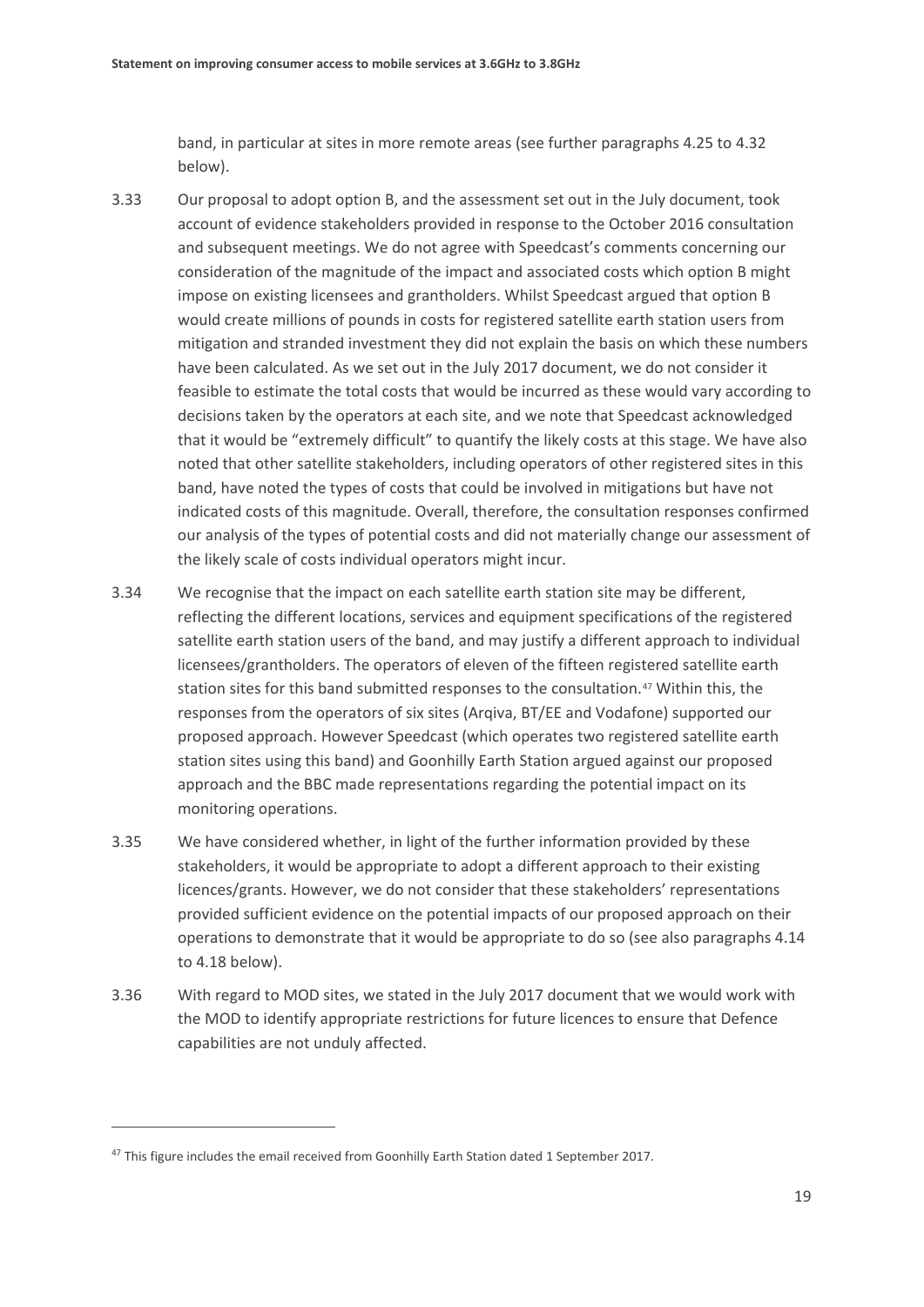band, in particular at sites in more remote areas (see further paragraphs [4.25](#page-34-0) to [4.32](#page-35-0) below).

- 3.33 Our proposal to adopt option B, and the assessment set out in the July document, took account of evidence stakeholders provided in response to the October 2016 consultation and subsequent meetings. We do not agree with Speedcast's comments concerning our consideration of the magnitude of the impact and associated costs which option B might impose on existing licensees and grantholders. Whilst Speedcast argued that option B would create millions of pounds in costs for registered satellite earth station users from mitigation and stranded investment they did not explain the basis on which these numbers have been calculated. As we set out in the July 2017 document, we do not consider it feasible to estimate the total costs that would be incurred as these would vary according to decisions taken by the operators at each site, and we note that Speedcast acknowledged that it would be "extremely difficult" to quantify the likely costs at this stage. We have also noted that other satellite stakeholders, including operators of other registered sites in this band, have noted the types of costs that could be involved in mitigations but have not indicated costs of this magnitude. Overall, therefore, the consultation responses confirmed our analysis of the types of potential costs and did not materially change our assessment of the likely scale of costs individual operators might incur.
- <span id="page-21-1"></span>3.34 We recognise that the impact on each satellite earth station site may be different, reflecting the different locations, services and equipment specifications of the registered satellite earth station users of the band, and may justify a different approach to individual licensees/grantholders. The operators of eleven of the fifteen registered satellite earth station sites for this band submitted responses to the consultation.[47](#page-21-0) Within this, the responses from the operators of six sites (Arqiva, BT/EE and Vodafone) supported our proposed approach. However Speedcast (which operates two registered satellite earth station sites using this band) and Goonhilly Earth Station argued against our proposed approach and the BBC made representations regarding the potential impact on its monitoring operations.
- <span id="page-21-2"></span>3.35 We have considered whether, in light of the further information provided by these stakeholders, it would be appropriate to adopt a different approach to their existing licences/grants. However, we do not consider that these stakeholders' representations provided sufficient evidence on the potential impacts of our proposed approach on their operations to demonstrate that it would be appropriate to do so (see also paragraph[s 4.14](#page-32-0) to [4.18](#page-32-1) below).
- <span id="page-21-3"></span>3.36 With regard to MOD sites, we stated in the July 2017 document that we would work with the MOD to identify appropriate restrictions for future licences to ensure that Defence capabilities are not unduly affected.

<span id="page-21-0"></span><sup>&</sup>lt;sup>47</sup> This figure includes the email received from Goonhilly Earth Station dated 1 September 2017.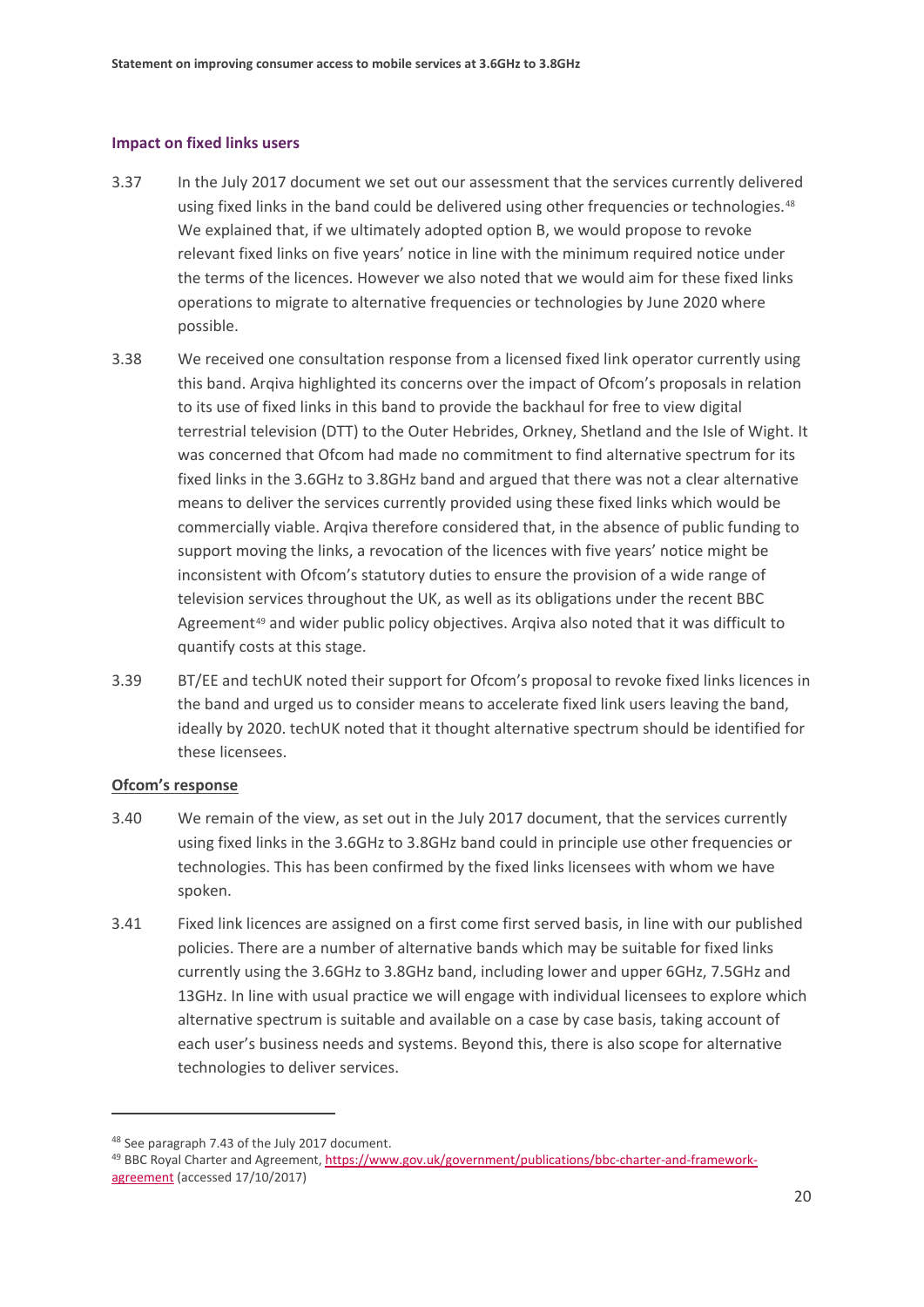#### **Impact on fixed links users**

- 3.37 In the July 2017 document we set out our assessment that the services currently delivered using fixed links in the band could be delivered using other frequencies or technologies.<sup>[48](#page-22-0)</sup> We explained that, if we ultimately adopted option B, we would propose to revoke relevant fixed links on five years' notice in line with the minimum required notice under the terms of the licences. However we also noted that we would aim for these fixed links operations to migrate to alternative frequencies or technologies by June 2020 where possible.
- 3.38 We received one consultation response from a licensed fixed link operator currently using this band. Arqiva highlighted its concerns over the impact of Ofcom's proposals in relation to its use of fixed links in this band to provide the backhaul for free to view digital terrestrial television (DTT) to the Outer Hebrides, Orkney, Shetland and the Isle of Wight. It was concerned that Ofcom had made no commitment to find alternative spectrum for its fixed links in the 3.6GHz to 3.8GHz band and argued that there was not a clear alternative means to deliver the services currently provided using these fixed links which would be commercially viable. Arqiva therefore considered that, in the absence of public funding to support moving the links, a revocation of the licences with five years' notice might be inconsistent with Ofcom's statutory duties to ensure the provision of a wide range of television services throughout the UK, as well as its obligations under the recent BBC Agreement<sup>[49](#page-22-1)</sup> and wider public policy objectives. Argiva also noted that it was difficult to quantify costs at this stage.
- 3.39 BT/EE and techUK noted their support for Ofcom's proposal to revoke fixed links licences in the band and urged us to consider means to accelerate fixed link users leaving the band, ideally by 2020. techUK noted that it thought alternative spectrum should be identified for these licensees.

### **Ofcom's response**

- <span id="page-22-3"></span>3.40 We remain of the view, as set out in the July 2017 document, that the services currently using fixed links in the 3.6GHz to 3.8GHz band could in principle use other frequencies or technologies. This has been confirmed by the fixed links licensees with whom we have spoken.
- <span id="page-22-2"></span>3.41 Fixed link licences are assigned on a first come first served basis, in line with our published policies. There are a number of alternative bands which may be suitable for fixed links currently using the 3.6GHz to 3.8GHz band, including lower and upper 6GHz, 7.5GHz and 13GHz. In line with usual practice we will engage with individual licensees to explore which alternative spectrum is suitable and available on a case by case basis, taking account of each user's business needs and systems. Beyond this, there is also scope for alternative technologies to deliver services.

<span id="page-22-0"></span><sup>48</sup> See paragraph 7.43 of the July 2017 document.

<span id="page-22-1"></span><sup>49</sup> BBC Royal Charter and Agreement[, https://www.gov.uk/government/publications/bbc-charter-and-framework](https://www.gov.uk/government/publications/bbc-charter-and-framework-agreement)[agreement](https://www.gov.uk/government/publications/bbc-charter-and-framework-agreement) (accessed 17/10/2017)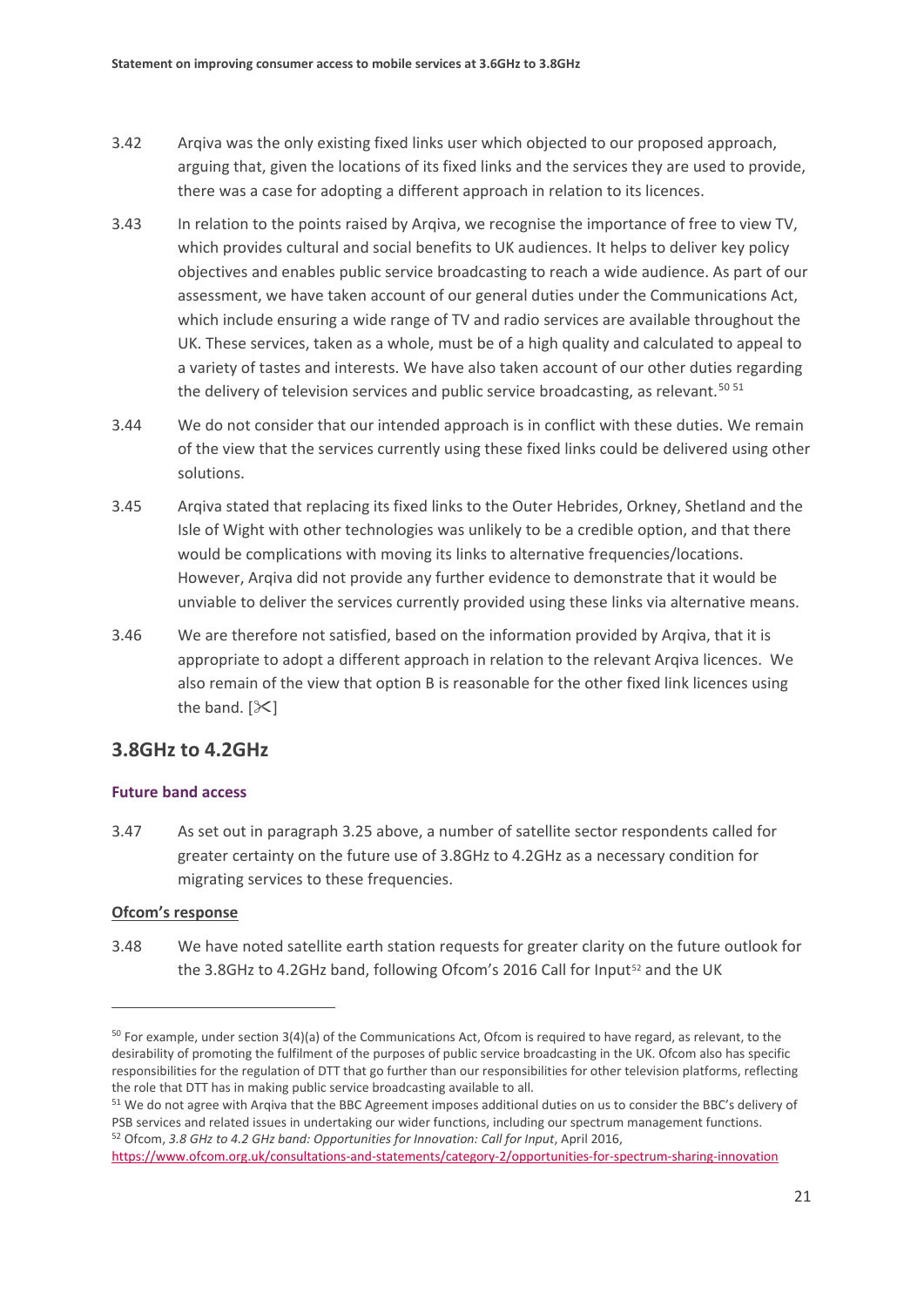- 3.42 Arqiva was the only existing fixed links user which objected to our proposed approach, arguing that, given the locations of its fixed links and the services they are used to provide, there was a case for adopting a different approach in relation to its licences.
- <span id="page-23-4"></span>3.43 In relation to the points raised by Arqiva, we recognise the importance of free to view TV, which provides cultural and social benefits to UK audiences. It helps to deliver key policy objectives and enables public service broadcasting to reach a wide audience. As part of our assessment, we have taken account of our general duties under the Communications Act, which include ensuring a wide range of TV and radio services are available throughout the UK. These services, taken as a whole, must be of a high quality and calculated to appeal to a variety of tastes and interests. We have also taken account of our other duties regarding the delivery of television services and public service broadcasting, as relevant.<sup>[50](#page-23-1) [51](#page-23-2)</sup>
- 3.44 We do not consider that our intended approach is in conflict with these duties. We remain of the view that the services currently using these fixed links could be delivered using other solutions.
- 3.45 Arqiva stated that replacing its fixed links to the Outer Hebrides, Orkney, Shetland and the Isle of Wight with other technologies was unlikely to be a credible option, and that there would be complications with moving its links to alternative frequencies/locations. However, Arqiva did not provide any further evidence to demonstrate that it would be unviable to deliver the services currently provided using these links via alternative means.
- <span id="page-23-5"></span>3.46 We are therefore not satisfied, based on the information provided by Arqiva, that it is appropriate to adopt a different approach in relation to the relevant Arqiva licences. We also remain of the view that option B is reasonable for the other fixed link licences using the band.  $[\mathcal{K}]$

## **3.8GHz to 4.2GHz**

### **Future band access**

<span id="page-23-0"></span>3.47 As set out in paragrap[h 3.25](#page-19-2) above, a number of satellite sector respondents called for greater certainty on the future use of 3.8GHz to 4.2GHz as a necessary condition for migrating services to these frequencies.

### **Ofcom's response**

**.** 

<span id="page-23-6"></span>3.48 We have noted satellite earth station requests for greater clarity on the future outlook for the 3.8GHz to 4.2GHz band, following Ofcom's 2016 Call for Input<sup>[52](#page-23-3)</sup> and the UK

<span id="page-23-3"></span><https://www.ofcom.org.uk/consultations-and-statements/category-2/opportunities-for-spectrum-sharing-innovation>

<span id="page-23-1"></span> $50$  For example, under section 3(4)(a) of the Communications Act, Ofcom is required to have regard, as relevant, to the desirability of promoting the fulfilment of the purposes of public service broadcasting in the UK. Ofcom also has specific responsibilities for the regulation of DTT that go further than our responsibilities for other television platforms, reflecting the role that DTT has in making public service broadcasting available to all.

<span id="page-23-2"></span><sup>&</sup>lt;sup>51</sup> We do not agree with Arqiva that the BBC Agreement imposes additional duties on us to consider the BBC's delivery of PSB services and related issues in undertaking our wider functions, including our spectrum management functions. 52 Ofcom, *3.8 GHz to 4.2 GHz band: Opportunities for Innovation: Call for Input*, April 2016,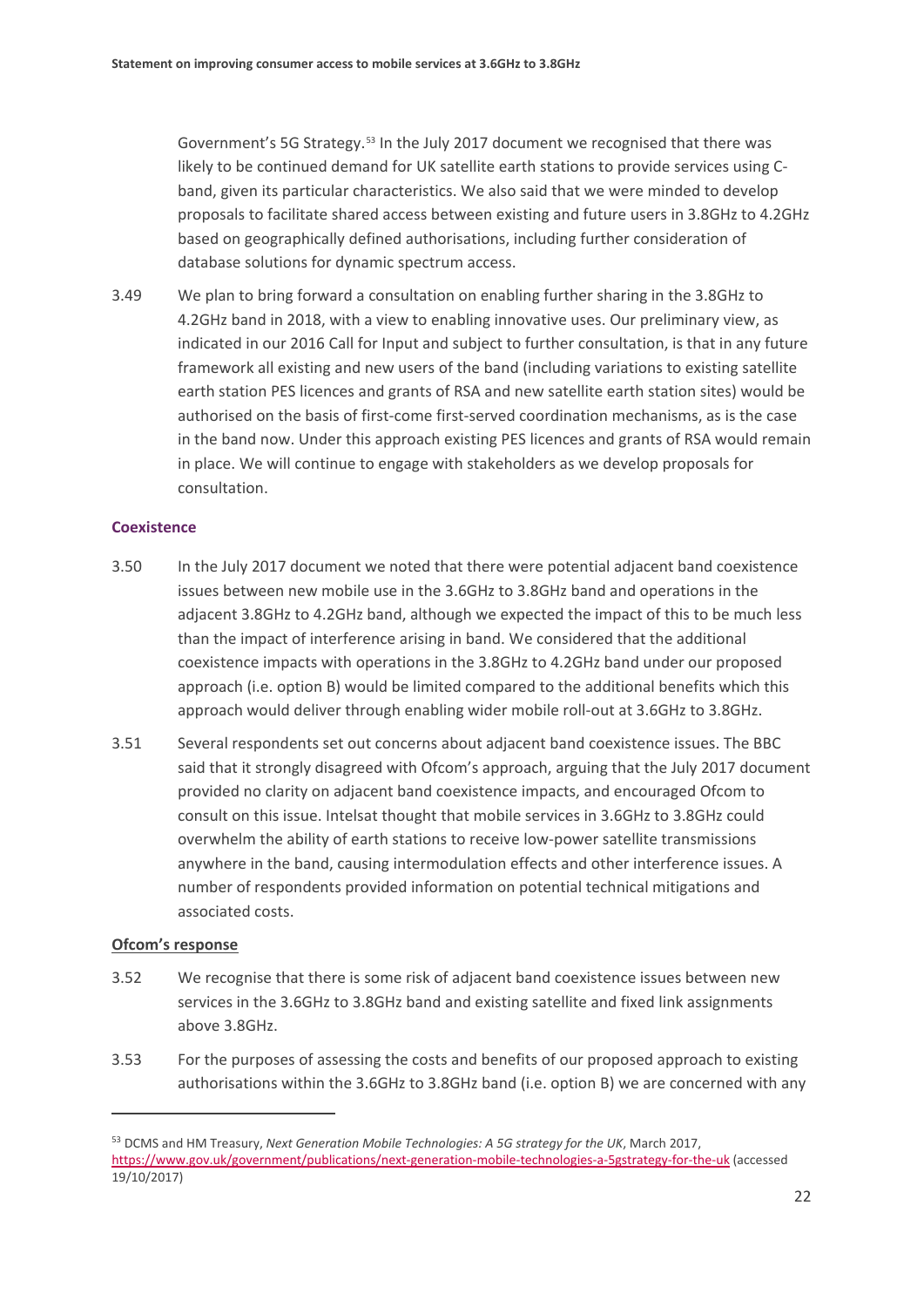Government's 5G Strategy.[53](#page-24-1) In the July 2017 document we recognised that there was likely to be continued demand for UK satellite earth stations to provide services using Cband, given its particular characteristics. We also said that we were minded to develop proposals to facilitate shared access between existing and future users in 3.8GHz to 4.2GHz based on geographically defined authorisations, including further consideration of database solutions for dynamic spectrum access.

<span id="page-24-0"></span>3.49 We plan to bring forward a consultation on enabling further sharing in the 3.8GHz to 4.2GHz band in 2018, with a view to enabling innovative uses. Our preliminary view, as indicated in our 2016 Call for Input and subject to further consultation, is that in any future framework all existing and new users of the band (including variations to existing satellite earth station PES licences and grants of RSA and new satellite earth station sites) would be authorised on the basis of first-come first-served coordination mechanisms, as is the case in the band now. Under this approach existing PES licences and grants of RSA would remain in place. We will continue to engage with stakeholders as we develop proposals for consultation.

### **Coexistence**

- 3.50 In the July 2017 document we noted that there were potential adjacent band coexistence issues between new mobile use in the 3.6GHz to 3.8GHz band and operations in the adjacent 3.8GHz to 4.2GHz band, although we expected the impact of this to be much less than the impact of interference arising in band. We considered that the additional coexistence impacts with operations in the 3.8GHz to 4.2GHz band under our proposed approach (i.e. option B) would be limited compared to the additional benefits which this approach would deliver through enabling wider mobile roll-out at 3.6GHz to 3.8GHz.
- 3.51 Several respondents set out concerns about adjacent band coexistence issues. The BBC said that it strongly disagreed with Ofcom's approach, arguing that the July 2017 document provided no clarity on adjacent band coexistence impacts, and encouraged Ofcom to consult on this issue. Intelsat thought that mobile services in 3.6GHz to 3.8GHz could overwhelm the ability of earth stations to receive low-power satellite transmissions anywhere in the band, causing intermodulation effects and other interference issues. A number of respondents provided information on potential technical mitigations and associated costs.

### **Ofcom's response**

- <span id="page-24-2"></span>3.52 We recognise that there is some risk of adjacent band coexistence issues between new services in the 3.6GHz to 3.8GHz band and existing satellite and fixed link assignments above 3.8GHz.
- 3.53 For the purposes of assessing the costs and benefits of our proposed approach to existing authorisations within the 3.6GHz to 3.8GHz band (i.e. option B) we are concerned with any

<span id="page-24-1"></span><sup>53</sup> DCMS and HM Treasury, *Next Generation Mobile Technologies: A 5G strategy for the UK*, March 2017, <https://www.gov.uk/government/publications/next-generation-mobile-technologies-a-5gstrategy-for-the-uk> (accessed 19/10/2017)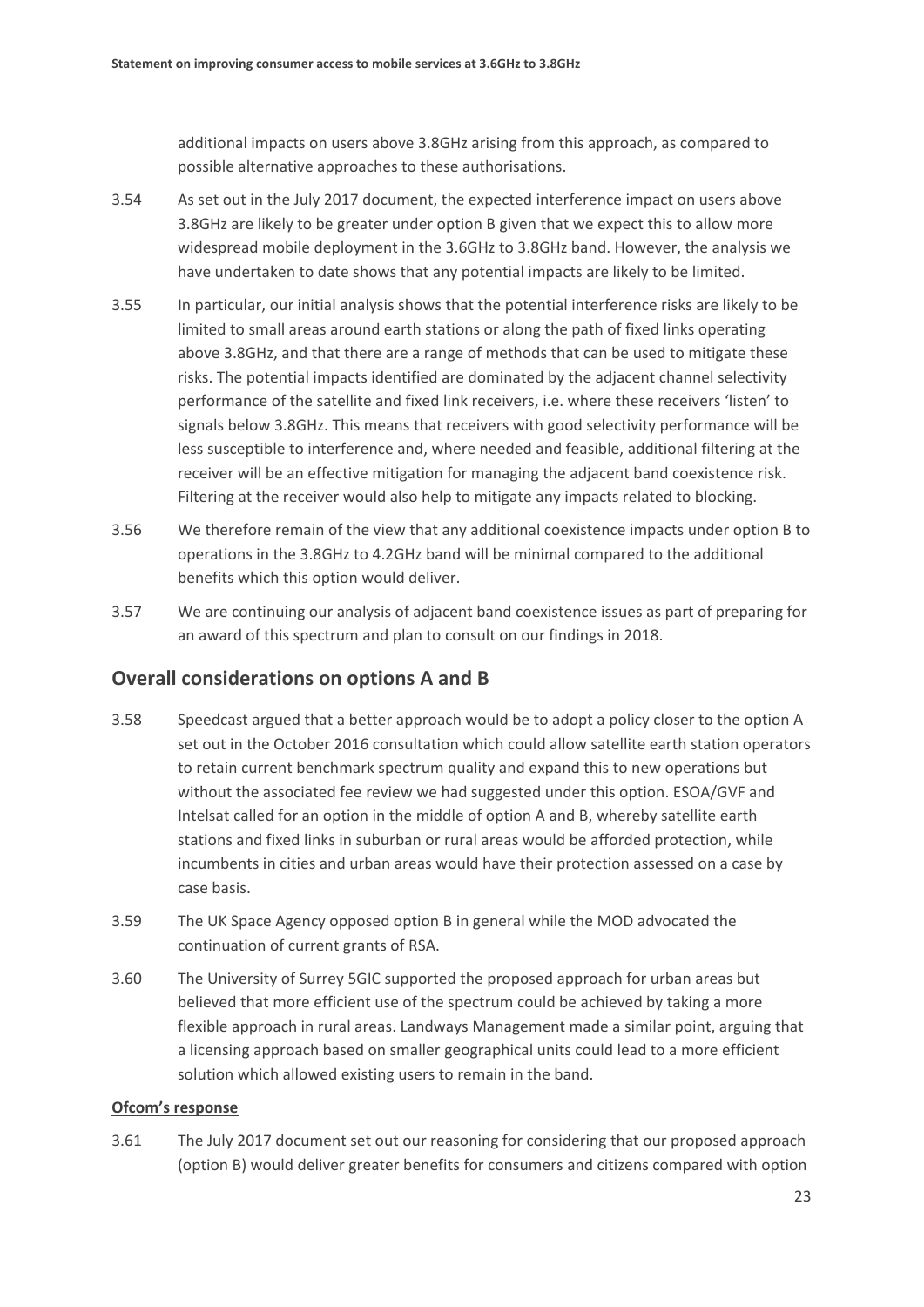additional impacts on users above 3.8GHz arising from this approach, as compared to possible alternative approaches to these authorisations.

- 3.54 As set out in the July 2017 document, the expected interference impact on users above 3.8GHz are likely to be greater under option B given that we expect this to allow more widespread mobile deployment in the 3.6GHz to 3.8GHz band. However, the analysis we have undertaken to date shows that any potential impacts are likely to be limited.
- 3.55 In particular, our initial analysis shows that the potential interference risks are likely to be limited to small areas around earth stations or along the path of fixed links operating above 3.8GHz, and that there are a range of methods that can be used to mitigate these risks. The potential impacts identified are dominated by the adjacent channel selectivity performance of the satellite and fixed link receivers, i.e. where these receivers 'listen' to signals below 3.8GHz. This means that receivers with good selectivity performance will be less susceptible to interference and, where needed and feasible, additional filtering at the receiver will be an effective mitigation for managing the adjacent band coexistence risk. Filtering at the receiver would also help to mitigate any impacts related to blocking.
- 3.56 We therefore remain of the view that any additional coexistence impacts under option B to operations in the 3.8GHz to 4.2GHz band will be minimal compared to the additional benefits which this option would deliver.
- <span id="page-25-1"></span>3.57 We are continuing our analysis of adjacent band coexistence issues as part of preparing for an award of this spectrum and plan to consult on our findings in 2018.

## **Overall considerations on options A and B**

- <span id="page-25-0"></span>3.58 Speedcast argued that a better approach would be to adopt a policy closer to the option A set out in the October 2016 consultation which could allow satellite earth station operators to retain current benchmark spectrum quality and expand this to new operations but without the associated fee review we had suggested under this option. ESOA/GVF and Intelsat called for an option in the middle of option A and B, whereby satellite earth stations and fixed links in suburban or rural areas would be afforded protection, while incumbents in cities and urban areas would have their protection assessed on a case by case basis.
- 3.59 The UK Space Agency opposed option B in general while the MOD advocated the continuation of current grants of RSA.
- 3.60 The University of Surrey 5GIC supported the proposed approach for urban areas but believed that more efficient use of the spectrum could be achieved by taking a more flexible approach in rural areas. Landways Management made a similar point, arguing that a licensing approach based on smaller geographical units could lead to a more efficient solution which allowed existing users to remain in the band.

### **Ofcom's response**

3.61 The July 2017 document set out our reasoning for considering that our proposed approach (option B) would deliver greater benefits for consumers and citizens compared with option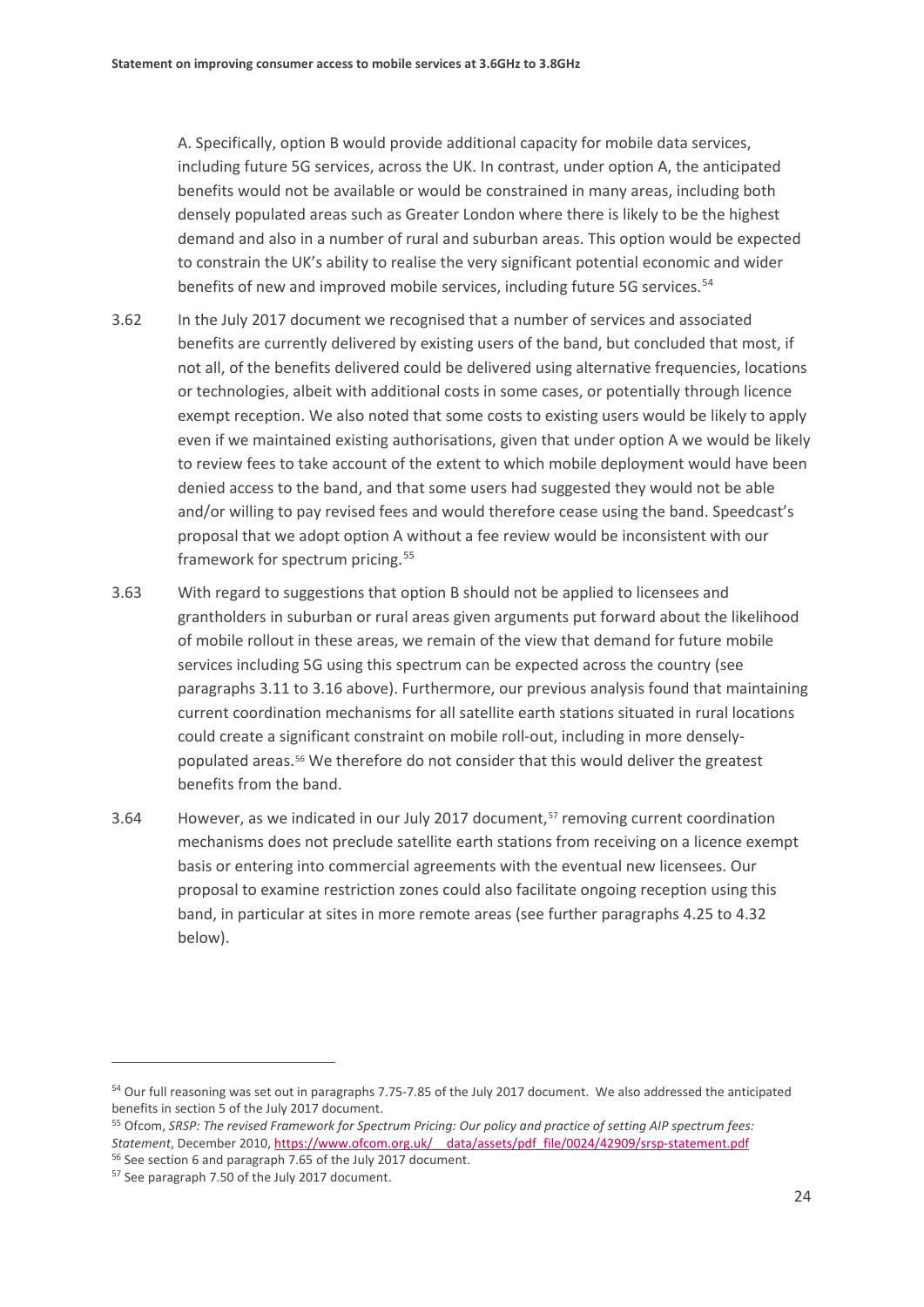A. Specifically, option B would provide additional capacity for mobile data services, including future 5G services, across the UK. In contrast, under option A, the anticipated benefits would not be available or would be constrained in many areas, including both densely populated areas such as Greater London where there is likely to be the highest demand and also in a number of rural and suburban areas. This option would be expected to constrain the UK's ability to realise the very significant potential economic and wider benefits of new and improved mobile services, including future 5G services.<sup>[54](#page-26-0)</sup>

- 3.62 In the July 2017 document we recognised that a number of services and associated benefits are currently delivered by existing users of the band, but concluded that most, if not all, of the benefits delivered could be delivered using alternative frequencies, locations or technologies, albeit with additional costs in some cases, or potentially through licence exempt reception. We also noted that some costs to existing users would be likely to apply even if we maintained existing authorisations, given that under option A we would be likely to review fees to take account of the extent to which mobile deployment would have been denied access to the band, and that some users had suggested they would not be able and/or willing to pay revised fees and would therefore cease using the band. Speedcast's proposal that we adopt option A without a fee review would be inconsistent with our framework for spectrum pricing. [55](#page-26-1)
- 3.63 With regard to suggestions that option B should not be applied to licensees and grantholders in suburban or rural areas given arguments put forward about the likelihood of mobile rollout in these areas, we remain of the view that demand for future mobile services including 5G using this spectrum can be expected across the country (see paragraphs [3.11](#page-17-5) to [3.16](#page-18-3) above). Furthermore, our previous analysis found that maintaining current coordination mechanisms for all satellite earth stations situated in rural locations could create a significant constraint on mobile roll-out, including in more denselypopulated areas.[56](#page-26-2) We therefore do not consider that this would deliver the greatest benefits from the band.
- <span id="page-26-4"></span>3.64 However, as we indicated in our July 2017 document,<sup>[57](#page-26-3)</sup> removing current coordination mechanisms does not preclude satellite earth stations from receiving on a licence exempt basis or entering into commercial agreements with the eventual new licensees. Our proposal to examine restriction zones could also facilitate ongoing reception using this band, in particular at sites in more remote areas (see further paragraphs [4.25](#page-34-0) to [4.32](#page-35-0) below).

<span id="page-26-0"></span><sup>&</sup>lt;sup>54</sup> Our full reasoning was set out in paragraphs 7.75-7.85 of the July 2017 document. We also addressed the anticipated benefits in section 5 of the July 2017 document.

<span id="page-26-1"></span><sup>55</sup> Ofcom, *SRSP: The revised Framework for Spectrum Pricing: Our policy and practice of setting AIP spectrum fees: Statement*, December 2010, [https://www.ofcom.org.uk/\\_\\_data/assets/pdf\\_file/0024/42909/srsp-statement.pdf](https://www.ofcom.org.uk/__data/assets/pdf_file/0024/42909/srsp-statement.pdf) <sup>56</sup> See section 6 and paragraph 7.65 of the July 2017 document.

<span id="page-26-3"></span><span id="page-26-2"></span><sup>57</sup> See paragraph 7.50 of the July 2017 document.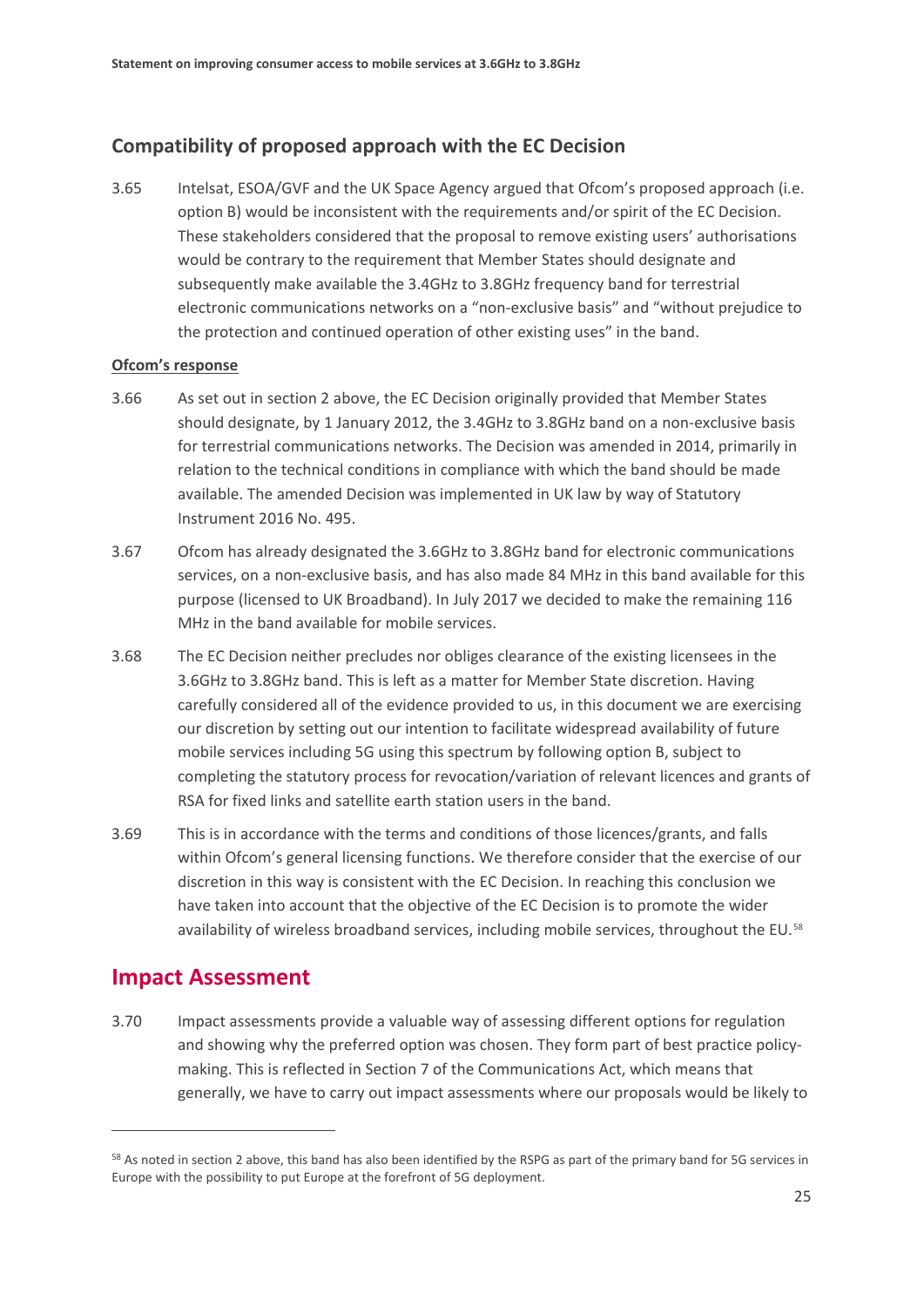## **Compatibility of proposed approach with the EC Decision**

<span id="page-27-1"></span>3.65 Intelsat, ESOA/GVF and the UK Space Agency argued that Ofcom's proposed approach (i.e. option B) would be inconsistent with the requirements and/or spirit of the EC Decision. These stakeholders considered that the proposal to remove existing users' authorisations would be contrary to the requirement that Member States should designate and subsequently make available the 3.4GHz to 3.8GHz frequency band for terrestrial electronic communications networks on a "non-exclusive basis" and "without prejudice to the protection and continued operation of other existing uses" in the band.

### **Ofcom's response**

- 3.66 As set out in section 2 above, the EC Decision originally provided that Member States should designate, by 1 January 2012, the 3.4GHz to 3.8GHz band on a non-exclusive basis for terrestrial communications networks. The Decision was amended in 2014, primarily in relation to the technical conditions in compliance with which the band should be made available. The amended Decision was implemented in UK law by way of Statutory Instrument 2016 No. 495.
- 3.67 Ofcom has already designated the 3.6GHz to 3.8GHz band for electronic communications services, on a non-exclusive basis, and has also made 84 MHz in this band available for this purpose (licensed to UK Broadband). In July 2017 we decided to make the remaining 116 MHz in the band available for mobile services.
- 3.68 The EC Decision neither precludes nor obliges clearance of the existing licensees in the 3.6GHz to 3.8GHz band. This is left as a matter for Member State discretion. Having carefully considered all of the evidence provided to us, in this document we are exercising our discretion by setting out our intention to facilitate widespread availability of future mobile services including 5G using this spectrum by following option B, subject to completing the statutory process for revocation/variation of relevant licences and grants of RSA for fixed links and satellite earth station users in the band.
- <span id="page-27-2"></span>3.69 This is in accordance with the terms and conditions of those licences/grants, and falls within Ofcom's general licensing functions. We therefore consider that the exercise of our discretion in this way is consistent with the EC Decision. In reaching this conclusion we have taken into account that the objective of the EC Decision is to promote the wider availability of wireless broadband services, including mobile services, throughout the EU.<sup>[58](#page-27-0)</sup>

## **Impact Assessment**

 $\overline{a}$ 

3.70 Impact assessments provide a valuable way of assessing different options for regulation and showing why the preferred option was chosen. They form part of best practice policymaking. This is reflected in Section 7 of the Communications Act, which means that generally, we have to carry out impact assessments where our proposals would be likely to

<span id="page-27-0"></span><sup>&</sup>lt;sup>58</sup> As noted in section 2 above, this band has also been identified by the RSPG as part of the primary band for 5G services in Europe with the possibility to put Europe at the forefront of 5G deployment.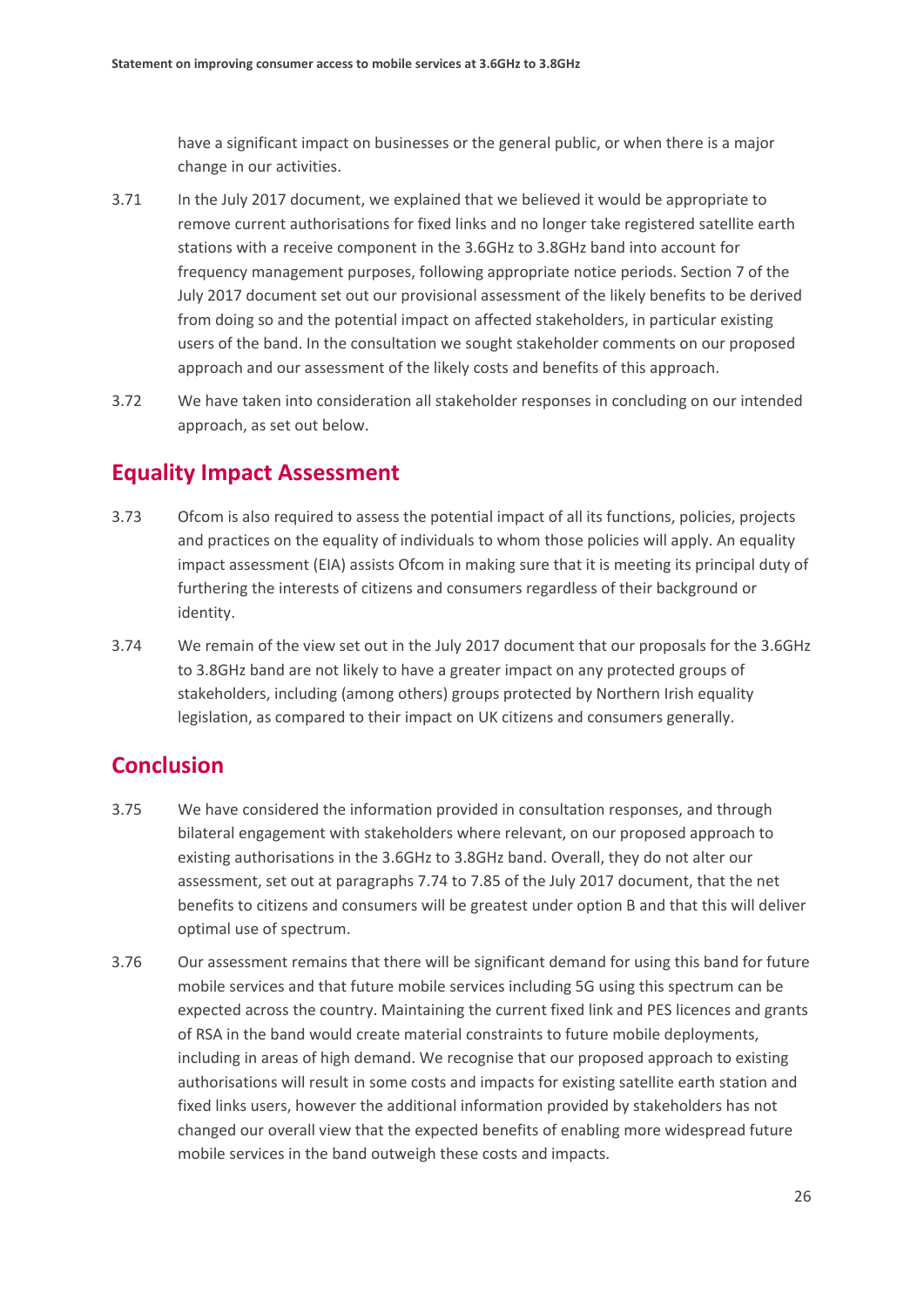have a significant impact on businesses or the general public, or when there is a major change in our activities.

- 3.71 In the July 2017 document, we explained that we believed it would be appropriate to remove current authorisations for fixed links and no longer take registered satellite earth stations with a receive component in the 3.6GHz to 3.8GHz band into account for frequency management purposes, following appropriate notice periods. Section 7 of the July 2017 document set out our provisional assessment of the likely benefits to be derived from doing so and the potential impact on affected stakeholders, in particular existing users of the band. In the consultation we sought stakeholder comments on our proposed approach and our assessment of the likely costs and benefits of this approach.
- 3.72 We have taken into consideration all stakeholder responses in concluding on our intended approach, as set out below.

## **Equality Impact Assessment**

- 3.73 Ofcom is also required to assess the potential impact of all its functions, policies, projects and practices on the equality of individuals to whom those policies will apply. An equality impact assessment (EIA) assists Ofcom in making sure that it is meeting its principal duty of furthering the interests of citizens and consumers regardless of their background or identity.
- 3.74 We remain of the view set out in the July 2017 document that our proposals for the 3.6GHz to 3.8GHz band are not likely to have a greater impact on any protected groups of stakeholders, including (among others) groups protected by Northern Irish equality legislation, as compared to their impact on UK citizens and consumers generally.

## **Conclusion**

- 3.75 We have considered the information provided in consultation responses, and through bilateral engagement with stakeholders where relevant, on our proposed approach to existing authorisations in the 3.6GHz to 3.8GHz band. Overall, they do not alter our assessment, set out at paragraphs 7.74 to 7.85 of the July 2017 document, that the net benefits to citizens and consumers will be greatest under option B and that this will deliver optimal use of spectrum.
- 3.76 Our assessment remains that there will be significant demand for using this band for future mobile services and that future mobile services including 5G using this spectrum can be expected across the country. Maintaining the current fixed link and PES licences and grants of RSA in the band would create material constraints to future mobile deployments, including in areas of high demand. We recognise that our proposed approach to existing authorisations will result in some costs and impacts for existing satellite earth station and fixed links users, however the additional information provided by stakeholders has not changed our overall view that the expected benefits of enabling more widespread future mobile services in the band outweigh these costs and impacts.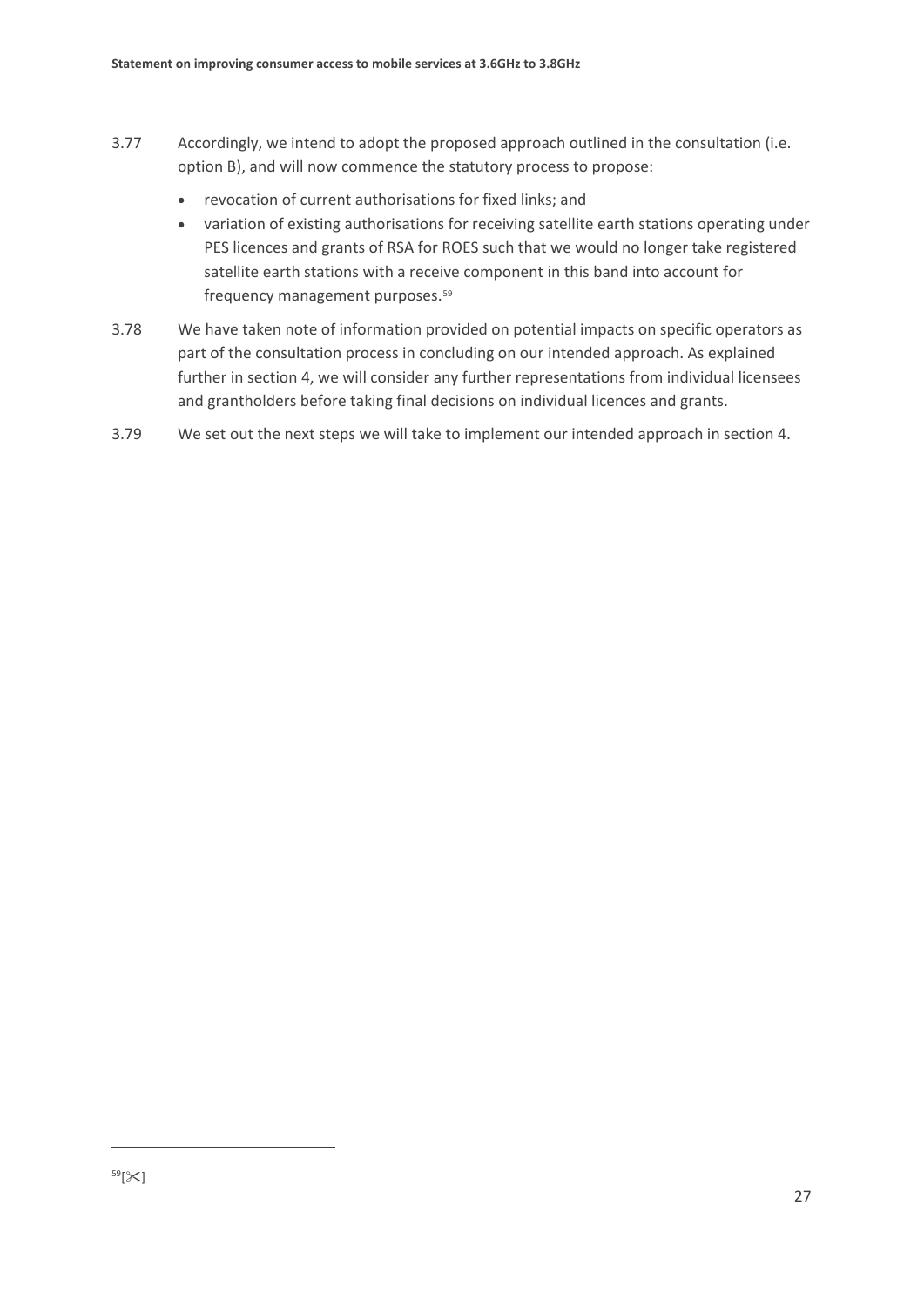- 3.77 Accordingly, we intend to adopt the proposed approach outlined in the consultation (i.e. option B), and will now commence the statutory process to propose:
	- revocation of current authorisations for fixed links; and
	- variation of existing authorisations for receiving satellite earth stations operating under PES licences and grants of RSA for ROES such that we would no longer take registered satellite earth stations with a receive component in this band into account for frequency management purposes.[59](#page-29-0)
- 3.78 We have taken note of information provided on potential impacts on specific operators as part of the consultation process in concluding on our intended approach. As explained further in section 4, we will consider any further representations from individual licensees and grantholders before taking final decisions on individual licences and grants.
- <span id="page-29-0"></span>3.79 We set out the next steps we will take to implement our intended approach in section 4.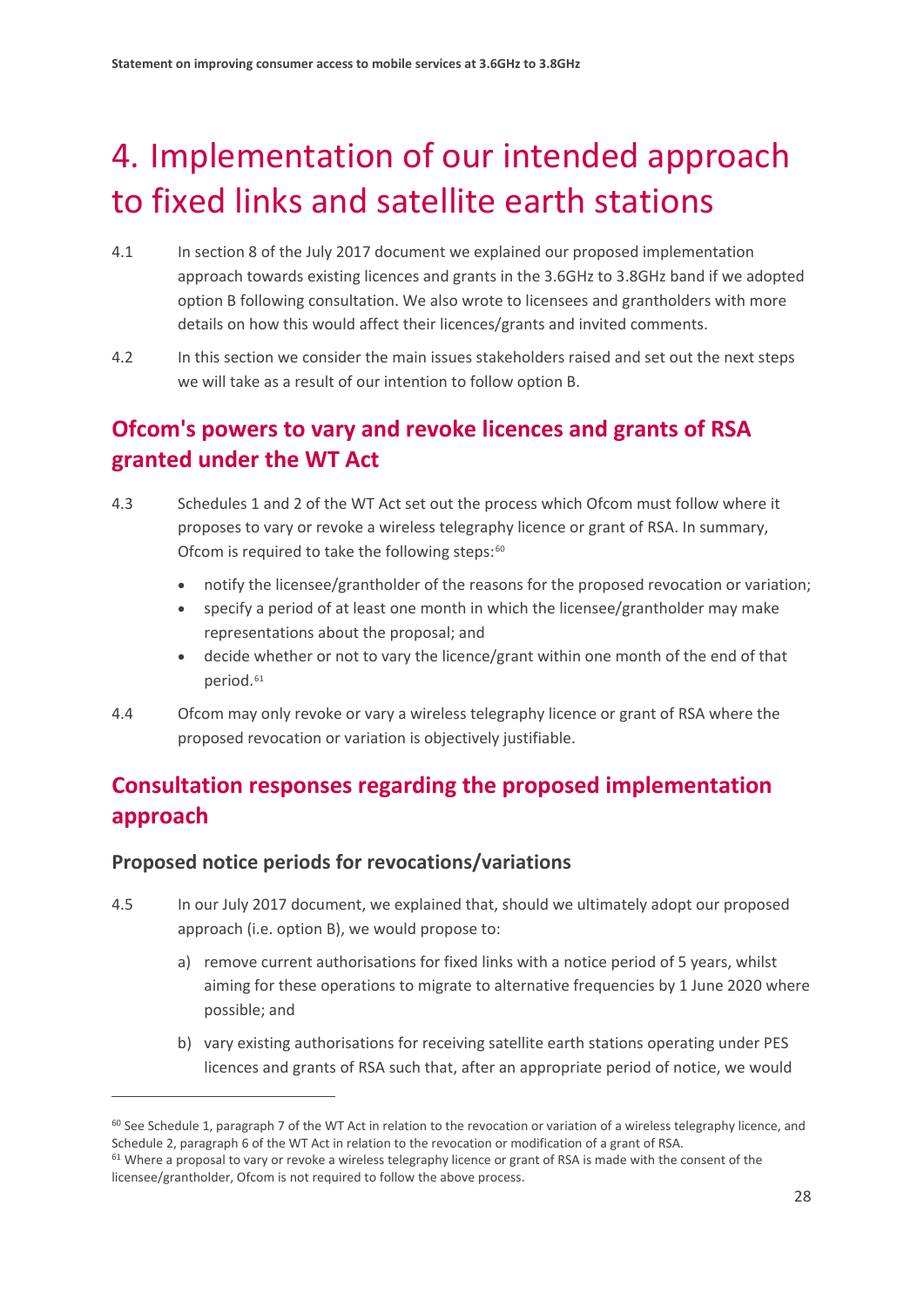# <span id="page-30-0"></span>4. Implementation of our intended approach to fixed links and satellite earth stations

- 4.1 In section 8 of the July 2017 document we explained our proposed implementation approach towards existing licences and grants in the 3.6GHz to 3.8GHz band if we adopted option B following consultation. We also wrote to licensees and grantholders with more details on how this would affect their licences/grants and invited comments.
- 4.2 In this section we consider the main issues stakeholders raised and set out the next steps we will take as a result of our intention to follow option B.

## **Ofcom's powers to vary and revoke licences and grants of RSA granted under the WT Act**

- 4.3 Schedules 1 and 2 of the WT Act set out the process which Ofcom must follow where it proposes to vary or revoke a wireless telegraphy licence or grant of RSA. In summary, Ofcom is required to take the following steps: $60$ 
	- notify the licensee/grantholder of the reasons for the proposed revocation or variation;
	- specify a period of at least one month in which the licensee/grantholder may make representations about the proposal; and
	- decide whether or not to vary the licence/grant within one month of the end of that period.[61](#page-30-2)
- 4.4 Ofcom may only revoke or vary a wireless telegraphy licence or grant of RSA where the proposed revocation or variation is objectively justifiable.

## **Consultation responses regarding the proposed implementation approach**

## **Proposed notice periods for revocations/variations**

- <span id="page-30-3"></span>4.5 In our July 2017 document, we explained that, should we ultimately adopt our proposed approach (i.e. option B), we would propose to:
	- a) remove current authorisations for fixed links with a notice period of 5 years, whilst aiming for these operations to migrate to alternative frequencies by 1 June 2020 where possible; and
	- b) vary existing authorisations for receiving satellite earth stations operating under PES licences and grants of RSA such that, after an appropriate period of notice, we would

<span id="page-30-1"></span> $60$  See Schedule 1, paragraph 7 of the WT Act in relation to the revocation or variation of a wireless telegraphy licence, and Schedule 2, paragraph 6 of the WT Act in relation to the revocation or modification of a grant of RSA.

<span id="page-30-2"></span> $61$  Where a proposal to vary or revoke a wireless telegraphy licence or grant of RSA is made with the consent of the licensee/grantholder, Ofcom is not required to follow the above process.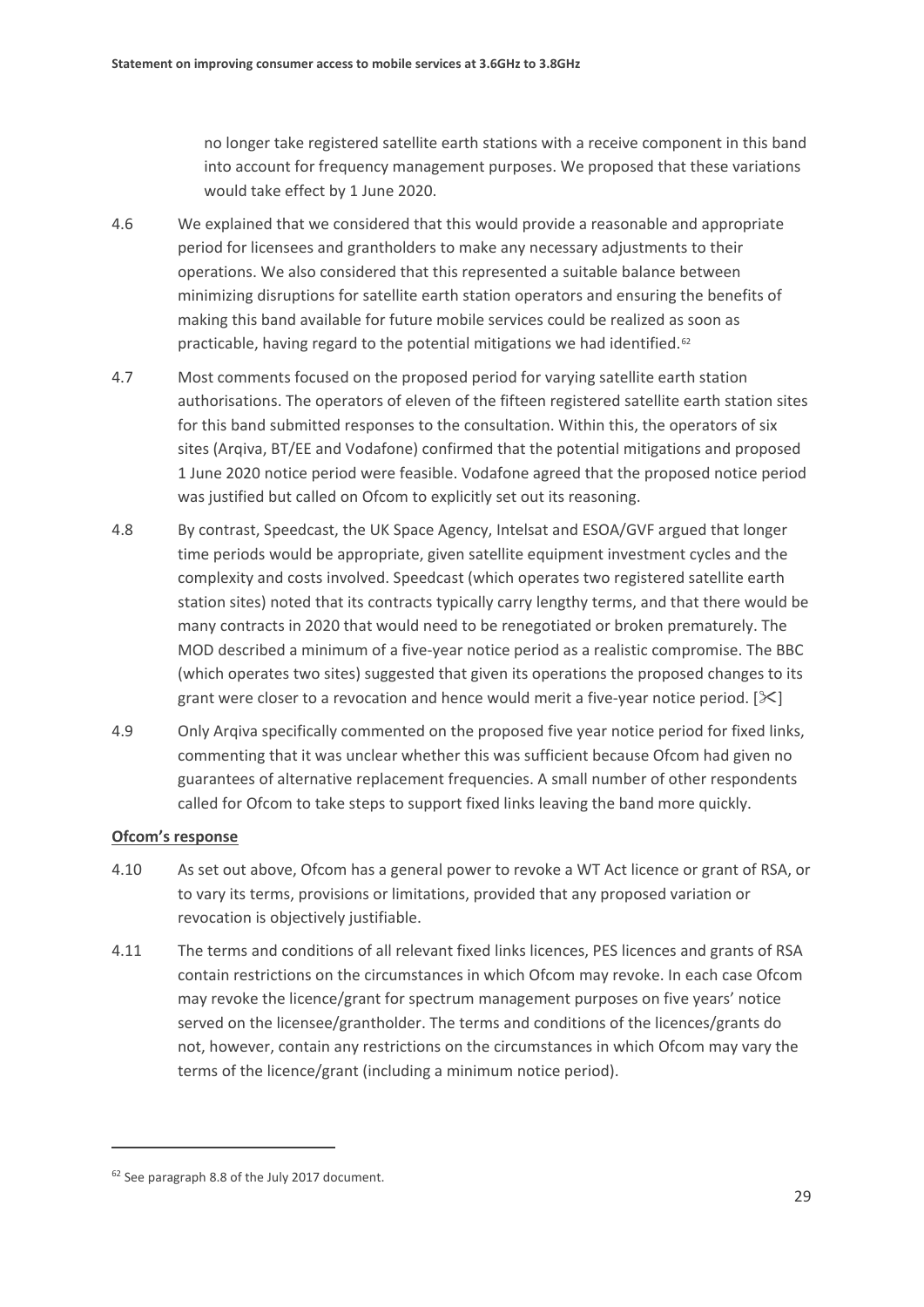no longer take registered satellite earth stations with a receive component in this band into account for frequency management purposes. We proposed that these variations would take effect by 1 June 2020.

- 4.6 We explained that we considered that this would provide a reasonable and appropriate period for licensees and grantholders to make any necessary adjustments to their operations. We also considered that this represented a suitable balance between minimizing disruptions for satellite earth station operators and ensuring the benefits of making this band available for future mobile services could be realized as soon as practicable, having regard to the potential mitigations we had identified.<sup>[62](#page-31-0)</sup>
- 4.7 Most comments focused on the proposed period for varying satellite earth station authorisations. The operators of eleven of the fifteen registered satellite earth station sites for this band submitted responses to the consultation. Within this, the operators of six sites (Arqiva, BT/EE and Vodafone) confirmed that the potential mitigations and proposed 1 June 2020 notice period were feasible. Vodafone agreed that the proposed notice period was justified but called on Ofcom to explicitly set out its reasoning.
- 4.8 By contrast, Speedcast, the UK Space Agency, Intelsat and ESOA/GVF argued that longer time periods would be appropriate, given satellite equipment investment cycles and the complexity and costs involved. Speedcast (which operates two registered satellite earth station sites) noted that its contracts typically carry lengthy terms, and that there would be many contracts in 2020 that would need to be renegotiated or broken prematurely. The MOD described a minimum of a five-year notice period as a realistic compromise. The BBC (which operates two sites) suggested that given its operations the proposed changes to its grant were closer to a revocation and hence would merit a five-year notice period.  $[\times]$
- 4.9 Only Arqiva specifically commented on the proposed five year notice period for fixed links, commenting that it was unclear whether this was sufficient because Ofcom had given no guarantees of alternative replacement frequencies. A small number of other respondents called for Ofcom to take steps to support fixed links leaving the band more quickly.

### **Ofcom's response**

- 4.10 As set out above, Ofcom has a general power to revoke a WT Act licence or grant of RSA, or to vary its terms, provisions or limitations, provided that any proposed variation or revocation is objectively justifiable.
- 4.11 The terms and conditions of all relevant fixed links licences, PES licences and grants of RSA contain restrictions on the circumstances in which Ofcom may revoke. In each case Ofcom may revoke the licence/grant for spectrum management purposes on five years' notice served on the licensee/grantholder. The terms and conditions of the licences/grants do not, however, contain any restrictions on the circumstances in which Ofcom may vary the terms of the licence/grant (including a minimum notice period).

<span id="page-31-0"></span><sup>62</sup> See paragraph 8.8 of the July 2017 document.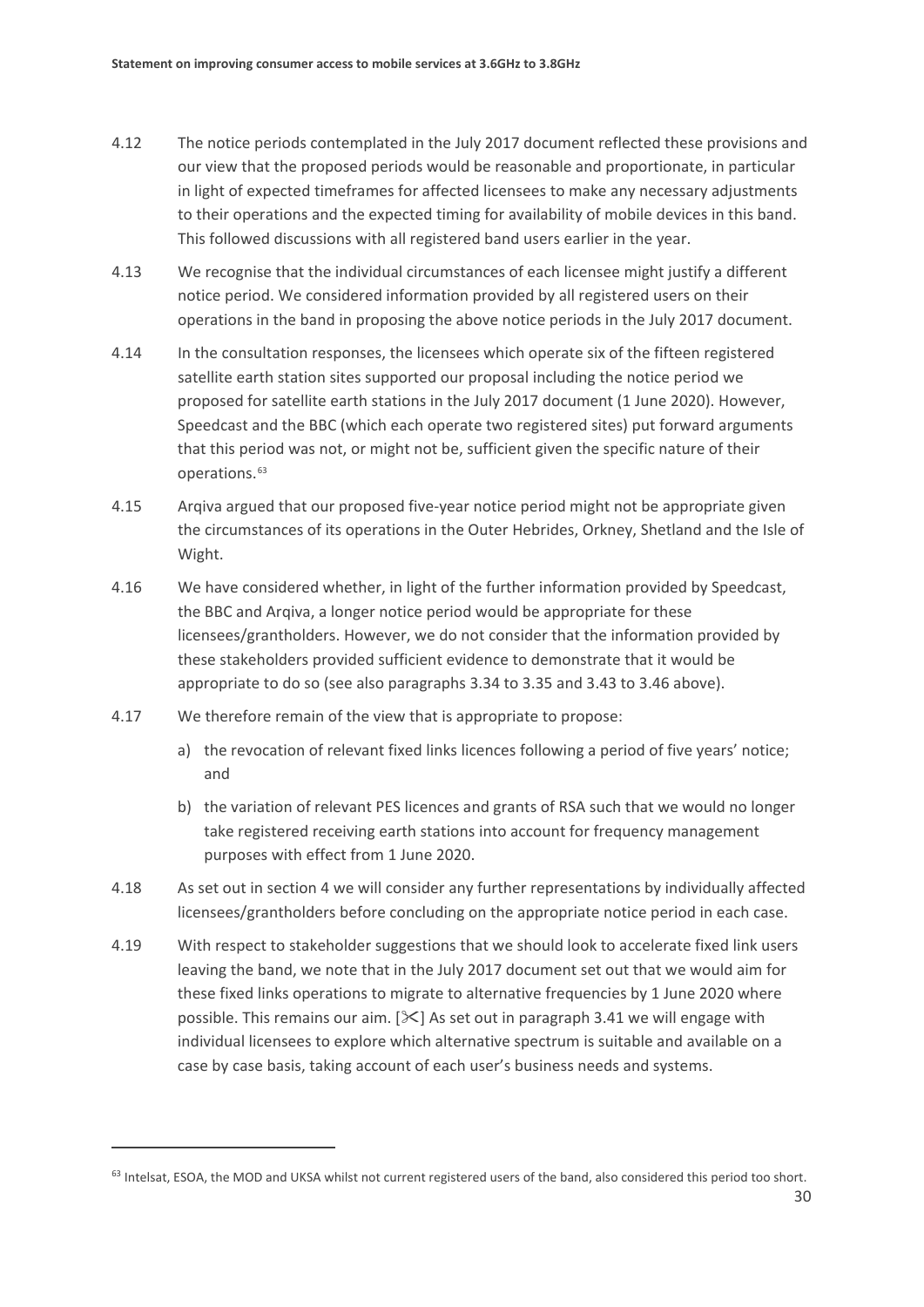- 4.12 The notice periods contemplated in the July 2017 document reflected these provisions and our view that the proposed periods would be reasonable and proportionate, in particular in light of expected timeframes for affected licensees to make any necessary adjustments to their operations and the expected timing for availability of mobile devices in this band. This followed discussions with all registered band users earlier in the year.
- 4.13 We recognise that the individual circumstances of each licensee might justify a different notice period. We considered information provided by all registered users on their operations in the band in proposing the above notice periods in the July 2017 document.
- <span id="page-32-0"></span>4.14 In the consultation responses, the licensees which operate six of the fifteen registered satellite earth station sites supported our proposal including the notice period we proposed for satellite earth stations in the July 2017 document (1 June 2020). However, Speedcast and the BBC (which each operate two registered sites) put forward arguments that this period was not, or might not be, sufficient given the specific nature of their operations.[63](#page-32-2)
- 4.15 Arqiva argued that our proposed five-year notice period might not be appropriate given the circumstances of its operations in the Outer Hebrides, Orkney, Shetland and the Isle of Wight.
- 4.16 We have considered whether, in light of the further information provided by Speedcast, the BBC and Arqiva, a longer notice period would be appropriate for these licensees/grantholders. However, we do not consider that the information provided by these stakeholders provided sufficient evidence to demonstrate that it would be appropriate to do so (see also paragraphs [3.34](#page-21-1) to [3.35](#page-21-2) and [3.43](#page-23-4) to [3.46](#page-23-5) above).
- 4.17 We therefore remain of the view that is appropriate to propose:

- a) the revocation of relevant fixed links licences following a period of five years' notice; and
- b) the variation of relevant PES licences and grants of RSA such that we would no longer take registered receiving earth stations into account for frequency management purposes with effect from 1 June 2020.
- <span id="page-32-1"></span>4.18 As set out in section 4 we will consider any further representations by individually affected licensees/grantholders before concluding on the appropriate notice period in each case.
- <span id="page-32-3"></span>4.19 With respect to stakeholder suggestions that we should look to accelerate fixed link users leaving the band, we note that in the July 2017 document set out that we would aim for these fixed links operations to migrate to alternative frequencies by 1 June 2020 where possible. This remains our aim.  $[\&]$  As set out in paragraph [3.41](#page-22-2) we will engage with individual licensees to explore which alternative spectrum is suitable and available on a case by case basis, taking account of each user's business needs and systems.

<span id="page-32-2"></span> $63$  Intelsat, ESOA, the MOD and UKSA whilst not current registered users of the band, also considered this period too short.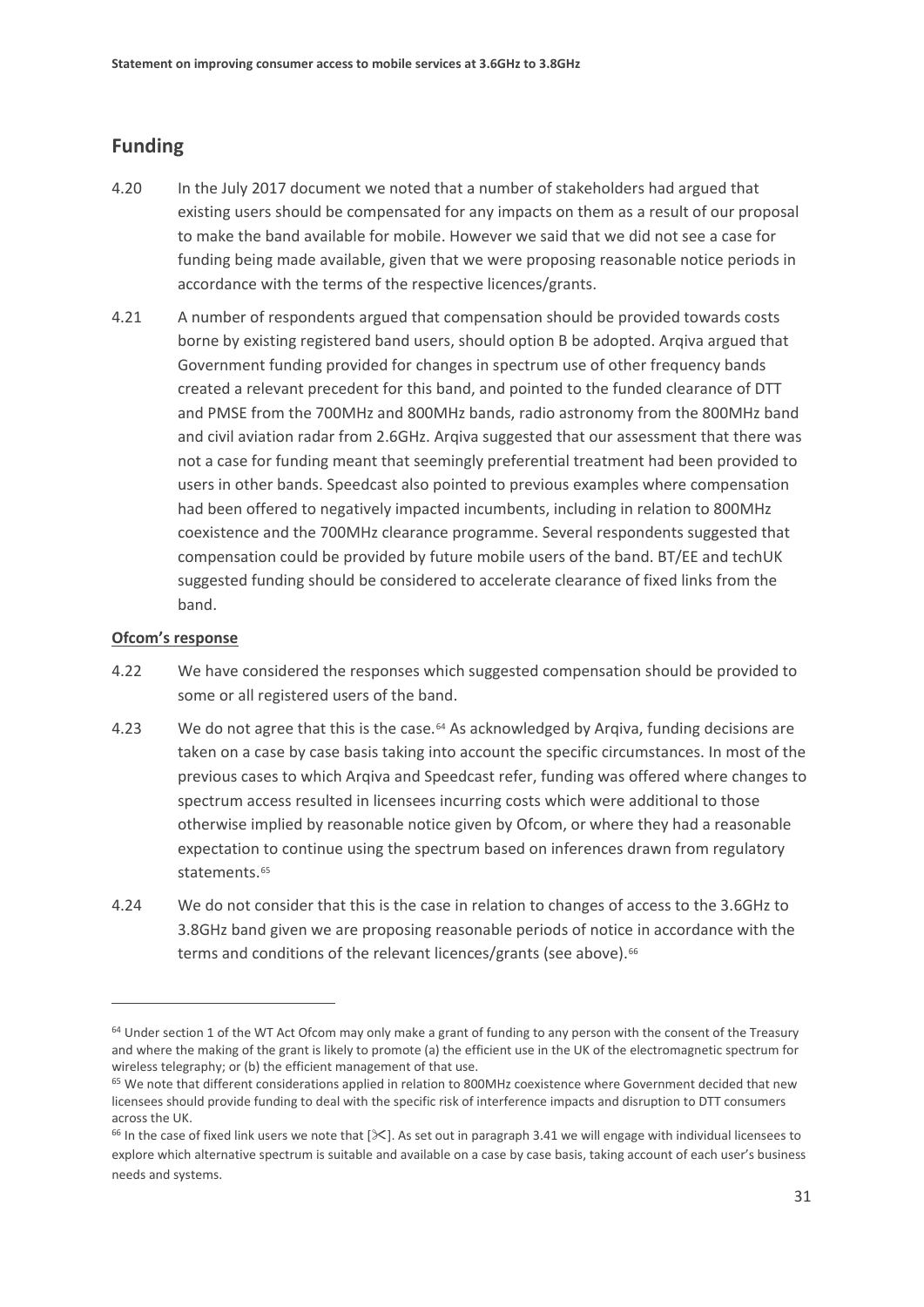## **Funding**

- 4.20 In the July 2017 document we noted that a number of stakeholders had argued that existing users should be compensated for any impacts on them as a result of our proposal to make the band available for mobile. However we said that we did not see a case for funding being made available, given that we were proposing reasonable notice periods in accordance with the terms of the respective licences/grants.
- 4.21 A number of respondents argued that compensation should be provided towards costs borne by existing registered band users, should option B be adopted. Arqiva argued that Government funding provided for changes in spectrum use of other frequency bands created a relevant precedent for this band, and pointed to the funded clearance of DTT and PMSE from the 700MHz and 800MHz bands, radio astronomy from the 800MHz band and civil aviation radar from 2.6GHz. Arqiva suggested that our assessment that there was not a case for funding meant that seemingly preferential treatment had been provided to users in other bands. Speedcast also pointed to previous examples where compensation had been offered to negatively impacted incumbents, including in relation to 800MHz coexistence and the 700MHz clearance programme. Several respondents suggested that compensation could be provided by future mobile users of the band. BT/EE and techUK suggested funding should be considered to accelerate clearance of fixed links from the band.

#### **Ofcom's response**

- <span id="page-33-3"></span>4.22 We have considered the responses which suggested compensation should be provided to some or all registered users of the band.
- 4.23 We do not agree that this is the case.<sup>[64](#page-33-0)</sup> As acknowledged by Argiva, funding decisions are taken on a case by case basis taking into account the specific circumstances. In most of the previous cases to which Arqiva and Speedcast refer, funding was offered where changes to spectrum access resulted in licensees incurring costs which were additional to those otherwise implied by reasonable notice given by Ofcom, or where they had a reasonable expectation to continue using the spectrum based on inferences drawn from regulatory statements.<sup>[65](#page-33-1)</sup>
- <span id="page-33-4"></span>4.24 We do not consider that this is the case in relation to changes of access to the 3.6GHz to 3.8GHz band given we are proposing reasonable periods of notice in accordance with the terms and conditions of the relevant licences/grants (see above).<sup>[66](#page-33-2)</sup>

<span id="page-33-0"></span> $64$  Under section 1 of the WT Act Ofcom may only make a grant of funding to any person with the consent of the Treasury and where the making of the grant is likely to promote (a) the efficient use in the UK of the electromagnetic spectrum for wireless telegraphy; or (b) the efficient management of that use.

<span id="page-33-1"></span><sup>&</sup>lt;sup>65</sup> We note that different considerations applied in relation to 800MHz coexistence where Government decided that new licensees should provide funding to deal with the specific risk of interference impacts and disruption to DTT consumers across the UK.

<span id="page-33-2"></span> $66$  In the case of fixed link users we note that [ $\leq$ ]. As set out in paragrap[h 3.41](#page-22-2) we will engage with individual licensees to explore which alternative spectrum is suitable and available on a case by case basis, taking account of each user's business needs and systems.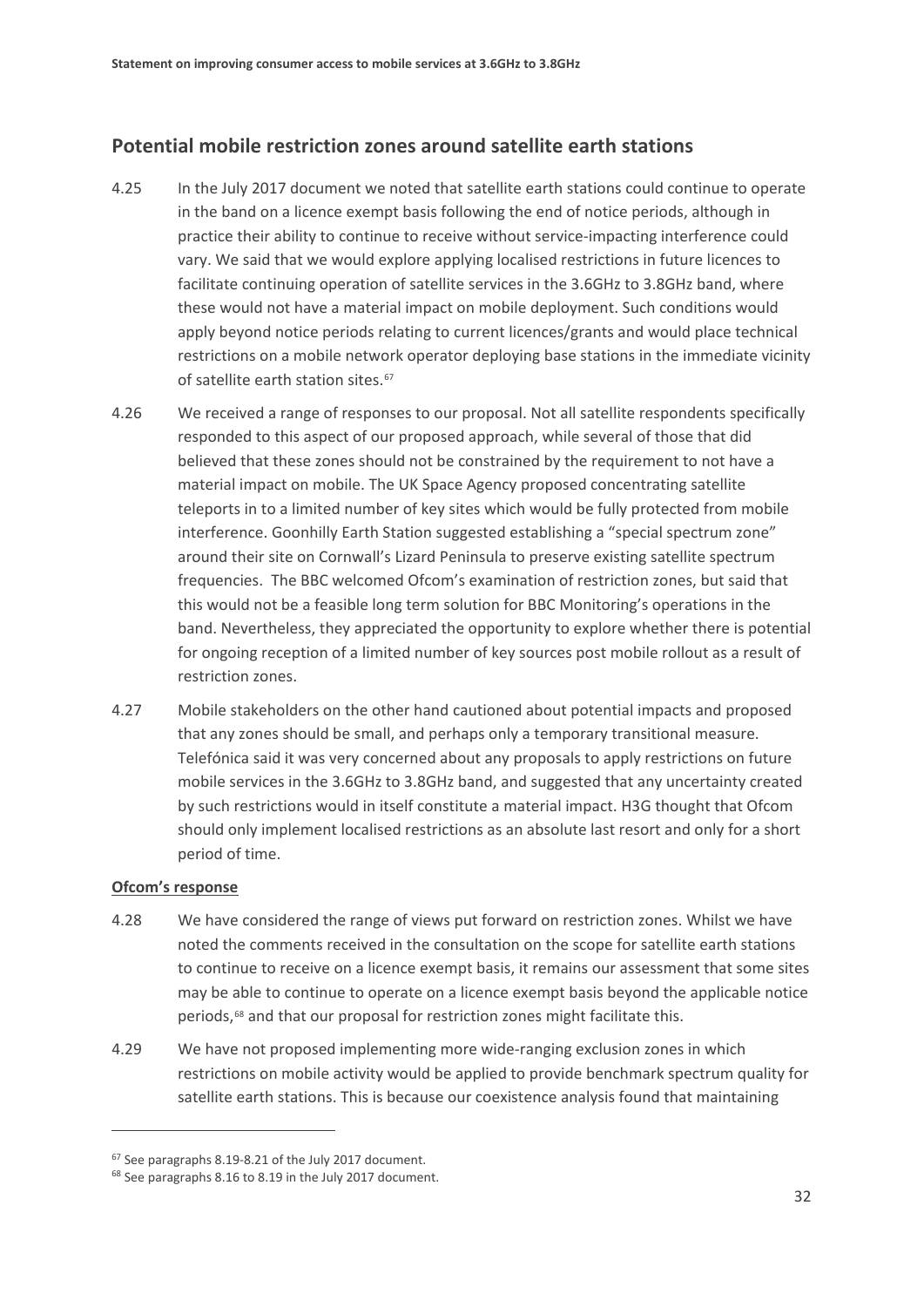## **Potential mobile restriction zones around satellite earth stations**

- <span id="page-34-0"></span>4.25 In the July 2017 document we noted that satellite earth stations could continue to operate in the band on a licence exempt basis following the end of notice periods, although in practice their ability to continue to receive without service-impacting interference could vary. We said that we would explore applying localised restrictions in future licences to facilitate continuing operation of satellite services in the 3.6GHz to 3.8GHz band, where these would not have a material impact on mobile deployment. Such conditions would apply beyond notice periods relating to current licences/grants and would place technical restrictions on a mobile network operator deploying base stations in the immediate vicinity of satellite earth station sites.<sup>[67](#page-34-1)</sup>
- 4.26 We received a range of responses to our proposal. Not all satellite respondents specifically responded to this aspect of our proposed approach, while several of those that did believed that these zones should not be constrained by the requirement to not have a material impact on mobile. The UK Space Agency proposed concentrating satellite teleports in to a limited number of key sites which would be fully protected from mobile interference. Goonhilly Earth Station suggested establishing a "special spectrum zone" around their site on Cornwall's Lizard Peninsula to preserve existing satellite spectrum frequencies. The BBC welcomed Ofcom's examination of restriction zones, but said that this would not be a feasible long term solution for BBC Monitoring's operations in the band. Nevertheless, they appreciated the opportunity to explore whether there is potential for ongoing reception of a limited number of key sources post mobile rollout as a result of restriction zones.
- 4.27 Mobile stakeholders on the other hand cautioned about potential impacts and proposed that any zones should be small, and perhaps only a temporary transitional measure. Telefónica said it was very concerned about any proposals to apply restrictions on future mobile services in the 3.6GHz to 3.8GHz band, and suggested that any uncertainty created by such restrictions would in itself constitute a material impact. H3G thought that Ofcom should only implement localised restrictions as an absolute last resort and only for a short period of time.

### **Ofcom's response**

- 4.28 We have considered the range of views put forward on restriction zones. Whilst we have noted the comments received in the consultation on the scope for satellite earth stations to continue to receive on a licence exempt basis, it remains our assessment that some sites may be able to continue to operate on a licence exempt basis beyond the applicable notice periods,<sup>[68](#page-34-2)</sup> and that our proposal for restriction zones might facilitate this.
- 4.29 We have not proposed implementing more wide-ranging exclusion zones in which restrictions on mobile activity would be applied to provide benchmark spectrum quality for satellite earth stations. This is because our coexistence analysis found that maintaining

<span id="page-34-1"></span><sup>67</sup> See paragraphs 8.19-8.21 of the July 2017 document.

<span id="page-34-2"></span><sup>68</sup> See paragraphs 8.16 to 8.19 in the July 2017 document.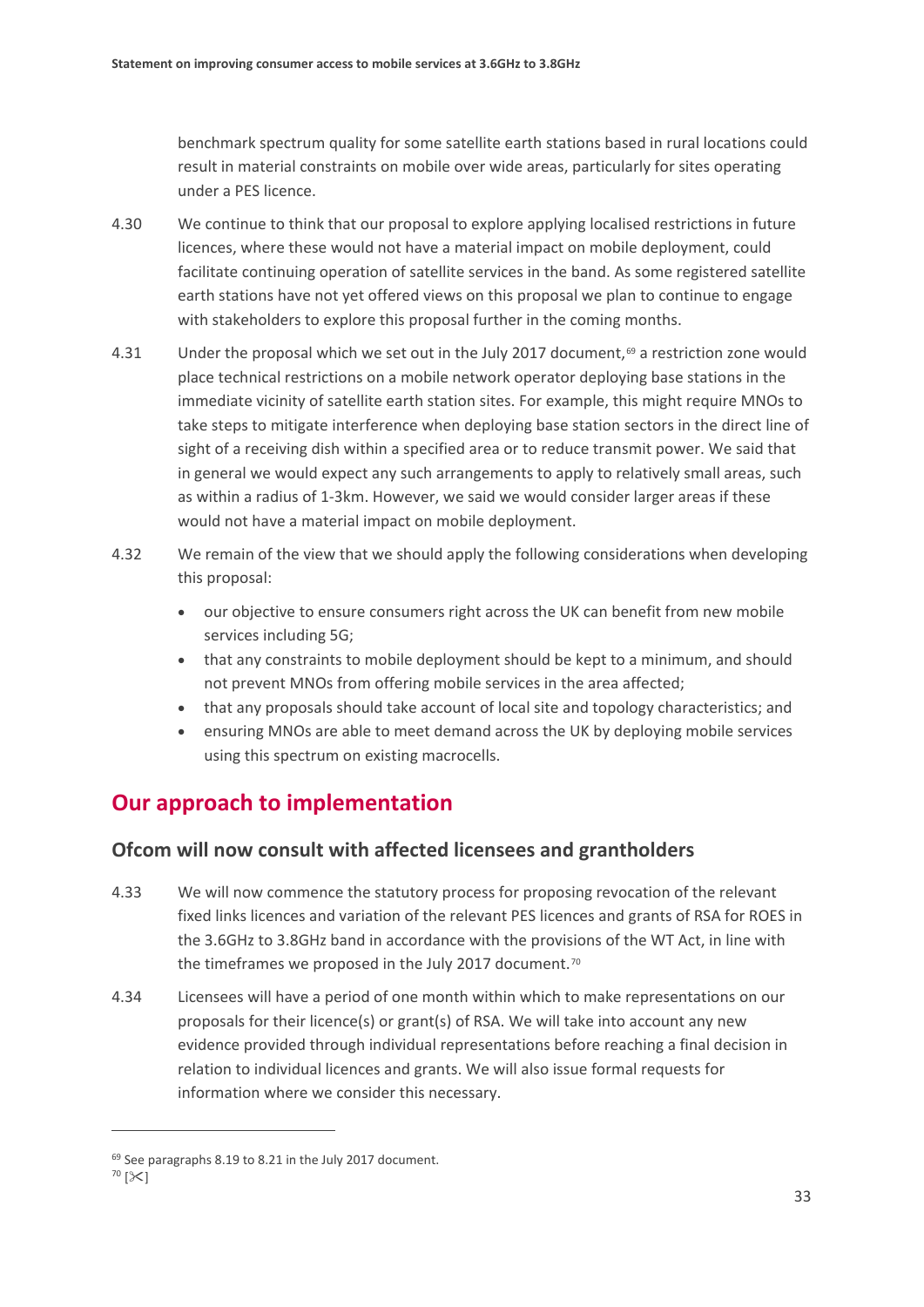benchmark spectrum quality for some satellite earth stations based in rural locations could result in material constraints on mobile over wide areas, particularly for sites operating under a PES licence.

- 4.30 We continue to think that our proposal to explore applying localised restrictions in future licences, where these would not have a material impact on mobile deployment, could facilitate continuing operation of satellite services in the band. As some registered satellite earth stations have not yet offered views on this proposal we plan to continue to engage with stakeholders to explore this proposal further in the coming months.
- 4.31 Under the proposal which we set out in the July 2017 document,<sup>[69](#page-35-1)</sup> a restriction zone would place technical restrictions on a mobile network operator deploying base stations in the immediate vicinity of satellite earth station sites. For example, this might require MNOs to take steps to mitigate interference when deploying base station sectors in the direct line of sight of a receiving dish within a specified area or to reduce transmit power. We said that in general we would expect any such arrangements to apply to relatively small areas, such as within a radius of 1-3km. However, we said we would consider larger areas if these would not have a material impact on mobile deployment.
- <span id="page-35-0"></span>4.32 We remain of the view that we should apply the following considerations when developing this proposal:
	- our objective to ensure consumers right across the UK can benefit from new mobile services including 5G;
	- that any constraints to mobile deployment should be kept to a minimum, and should not prevent MNOs from offering mobile services in the area affected;
	- that any proposals should take account of local site and topology characteristics; and
	- ensuring MNOs are able to meet demand across the UK by deploying mobile services using this spectrum on existing macrocells.

## **Our approach to implementation**

## **Ofcom will now consult with affected licensees and grantholders**

- 4.33 We will now commence the statutory process for proposing revocation of the relevant fixed links licences and variation of the relevant PES licences and grants of RSA for ROES in the 3.6GHz to 3.8GHz band in accordance with the provisions of the WT Act, in line with the timeframes we proposed in the July 2017 document.<sup>[70](#page-35-2)</sup>
- 4.34 Licensees will have a period of one month within which to make representations on our proposals for their licence(s) or grant(s) of RSA. We will take into account any new evidence provided through individual representations before reaching a final decision in relation to individual licences and grants. We will also issue formal requests for information where we consider this necessary.

<span id="page-35-1"></span><sup>&</sup>lt;sup>69</sup> See paragraphs 8.19 to 8.21 in the July 2017 document.

<span id="page-35-2"></span> $70 [3]$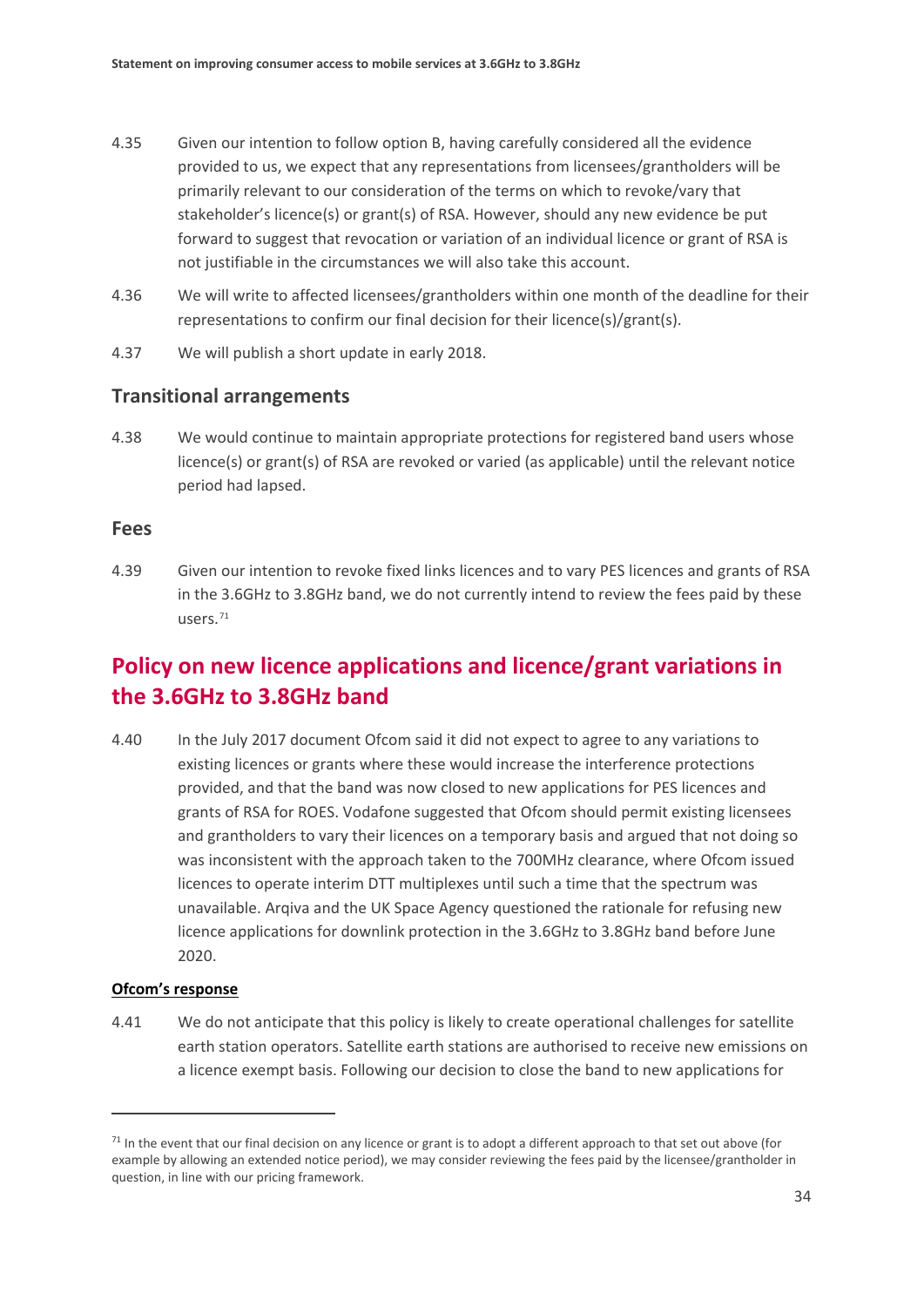- 4.35 Given our intention to follow option B, having carefully considered all the evidence provided to us, we expect that any representations from licensees/grantholders will be primarily relevant to our consideration of the terms on which to revoke/vary that stakeholder's licence(s) or grant(s) of RSA. However, should any new evidence be put forward to suggest that revocation or variation of an individual licence or grant of RSA is not justifiable in the circumstances we will also take this account.
- 4.36 We will write to affected licensees/grantholders within one month of the deadline for their representations to confirm our final decision for their licence(s)/grant(s).
- 4.37 We will publish a short update in early 2018.

## **Transitional arrangements**

4.38 We would continue to maintain appropriate protections for registered band users whose licence(s) or grant(s) of RSA are revoked or varied (as applicable) until the relevant notice period had lapsed.

### **Fees**

<span id="page-36-3"></span>4.39 Given our intention to revoke fixed links licences and to vary PES licences and grants of RSA in the 3.6GHz to 3.8GHz band, we do not currently intend to review the fees paid by these users.[71](#page-36-0)

## **Policy on new licence applications and licence/grant variations in the 3.6GHz to 3.8GHz band**

<span id="page-36-1"></span>4.40 In the July 2017 document Ofcom said it did not expect to agree to any variations to existing licences or grants where these would increase the interference protections provided, and that the band was now closed to new applications for PES licences and grants of RSA for ROES. Vodafone suggested that Ofcom should permit existing licensees and grantholders to vary their licences on a temporary basis and argued that not doing so was inconsistent with the approach taken to the 700MHz clearance, where Ofcom issued licences to operate interim DTT multiplexes until such a time that the spectrum was unavailable. Arqiva and the UK Space Agency questioned the rationale for refusing new licence applications for downlink protection in the 3.6GHz to 3.8GHz band before June 2020.

### **Ofcom's response**

 $\overline{a}$ 

<span id="page-36-2"></span>4.41 We do not anticipate that this policy is likely to create operational challenges for satellite earth station operators. Satellite earth stations are authorised to receive new emissions on a licence exempt basis. Following our decision to close the band to new applications for

<span id="page-36-0"></span> $71$  In the event that our final decision on any licence or grant is to adopt a different approach to that set out above (for example by allowing an extended notice period), we may consider reviewing the fees paid by the licensee/grantholder in question, in line with our pricing framework.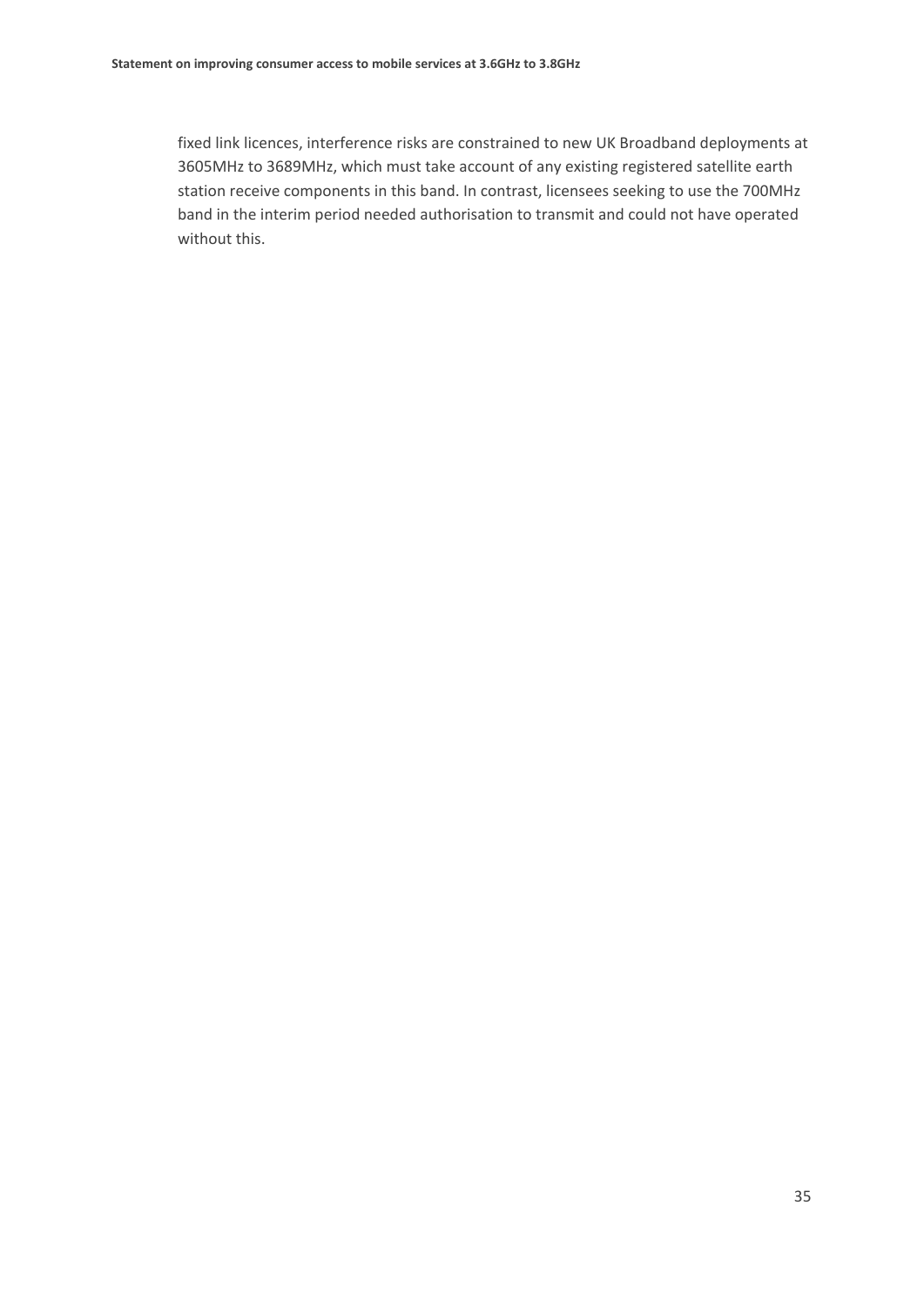fixed link licences, interference risks are constrained to new UK Broadband deployments at 3605MHz to 3689MHz, which must take account of any existing registered satellite earth station receive components in this band. In contrast, licensees seeking to use the 700MHz band in the interim period needed authorisation to transmit and could not have operated without this.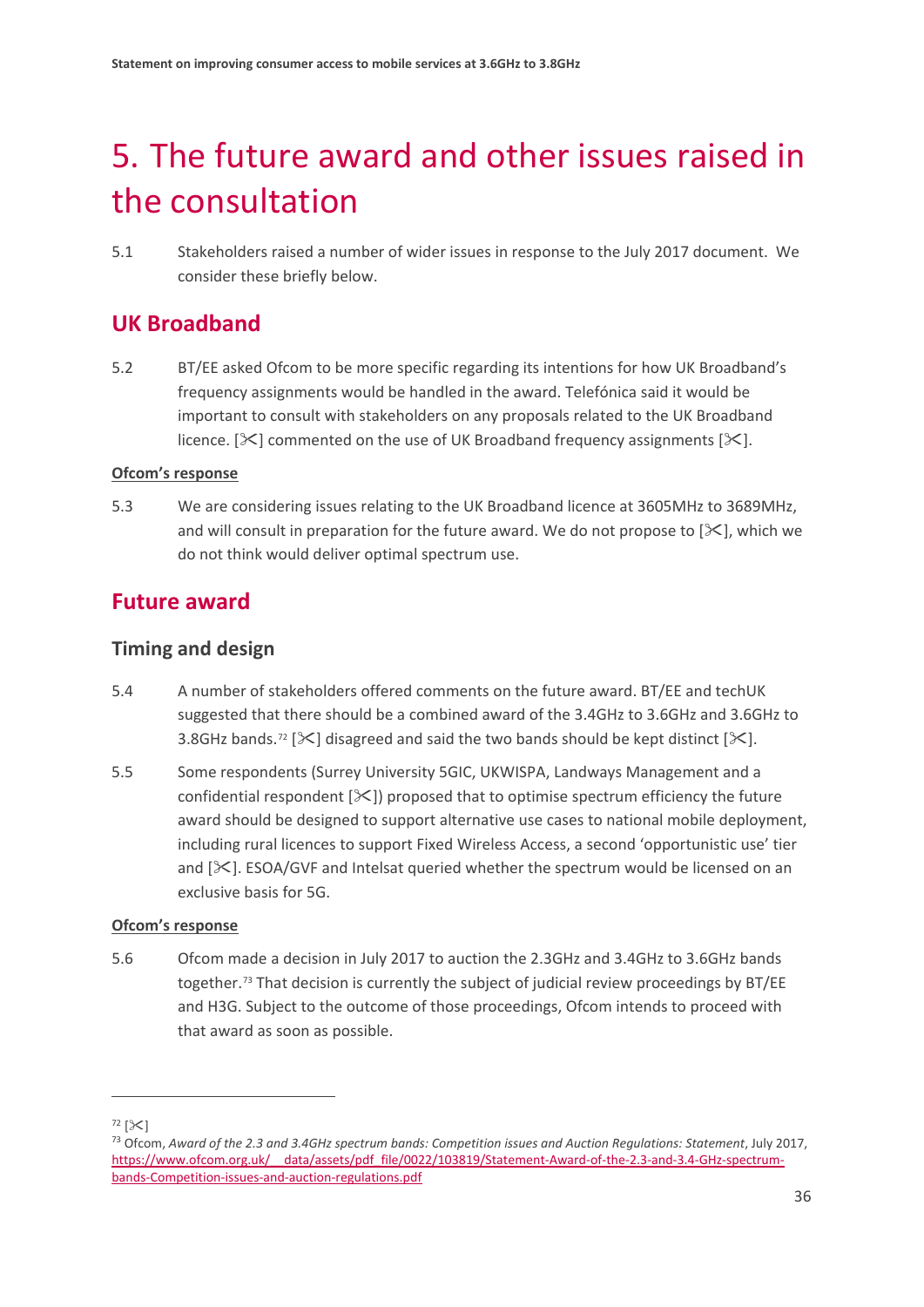# <span id="page-38-0"></span>5. The future award and other issues raised in the consultation

5.1 Stakeholders raised a number of wider issues in response to the July 2017 document. We consider these briefly below.

## **UK Broadband**

5.2 BT/EE asked Ofcom to be more specific regarding its intentions for how UK Broadband's frequency assignments would be handled in the award. Telefónica said it would be important to consult with stakeholders on any proposals related to the UK Broadband licence.  $[\times]$  commented on the use of UK Broadband frequency assignments  $[\times]$ .

## **Ofcom's response**

<span id="page-38-4"></span>5.3 We are considering issues relating to the UK Broadband licence at 3605MHz to 3689MHz, and will consult in preparation for the future award. We do not propose to  $[\&$ , which we do not think would deliver optimal spectrum use.

## **Future award**

## **Timing and design**

- 5.4 A number of stakeholders offered comments on the future award. BT/EE and techUK suggested that there should be a combined award of the 3.4GHz to 3.6GHz and 3.6GHz to 3.8GHz bands.<sup>[72](#page-38-1)</sup> [ $\ll$ ] disagreed and said the two bands should be kept distinct [ $\ll$ ].
- 5.5 Some respondents (Surrey University 5GIC, UKWISPA, Landways Management and a confidential respondent  $[\mathcal{K}]$  proposed that to optimise spectrum efficiency the future award should be designed to support alternative use cases to national mobile deployment, including rural licences to support Fixed Wireless Access, a second 'opportunistic use' tier and  $[\times]$ . ESOA/GVF and Intelsat queried whether the spectrum would be licensed on an exclusive basis for 5G.

## **Ofcom's response**

<span id="page-38-3"></span>5.6 Ofcom made a decision in July 2017 to auction the 2.3GHz and 3.4GHz to 3.6GHz bands together.<sup>[73](#page-38-2)</sup> That decision is currently the subject of judicial review proceedings by BT/EE and H3G. Subject to the outcome of those proceedings, Ofcom intends to proceed with that award as soon as possible.

<span id="page-38-2"></span><span id="page-38-1"></span><sup>72</sup> [] 73 Ofcom, *Award of the 2.3 and 3.4GHz spectrum bands: Competition issues and Auction Regulations: Statement*, July 2017, https://www.ofcom.org.uk/ data/assets/pdf file/0022/103819/Statement-Award-of-the-2.3-and-3.4-GHz-spectrum[bands-Competition-issues-and-auction-regulations.pdf](https://www.ofcom.org.uk/__data/assets/pdf_file/0022/103819/Statement-Award-of-the-2.3-and-3.4-GHz-spectrum-bands-Competition-issues-and-auction-regulations.pdf)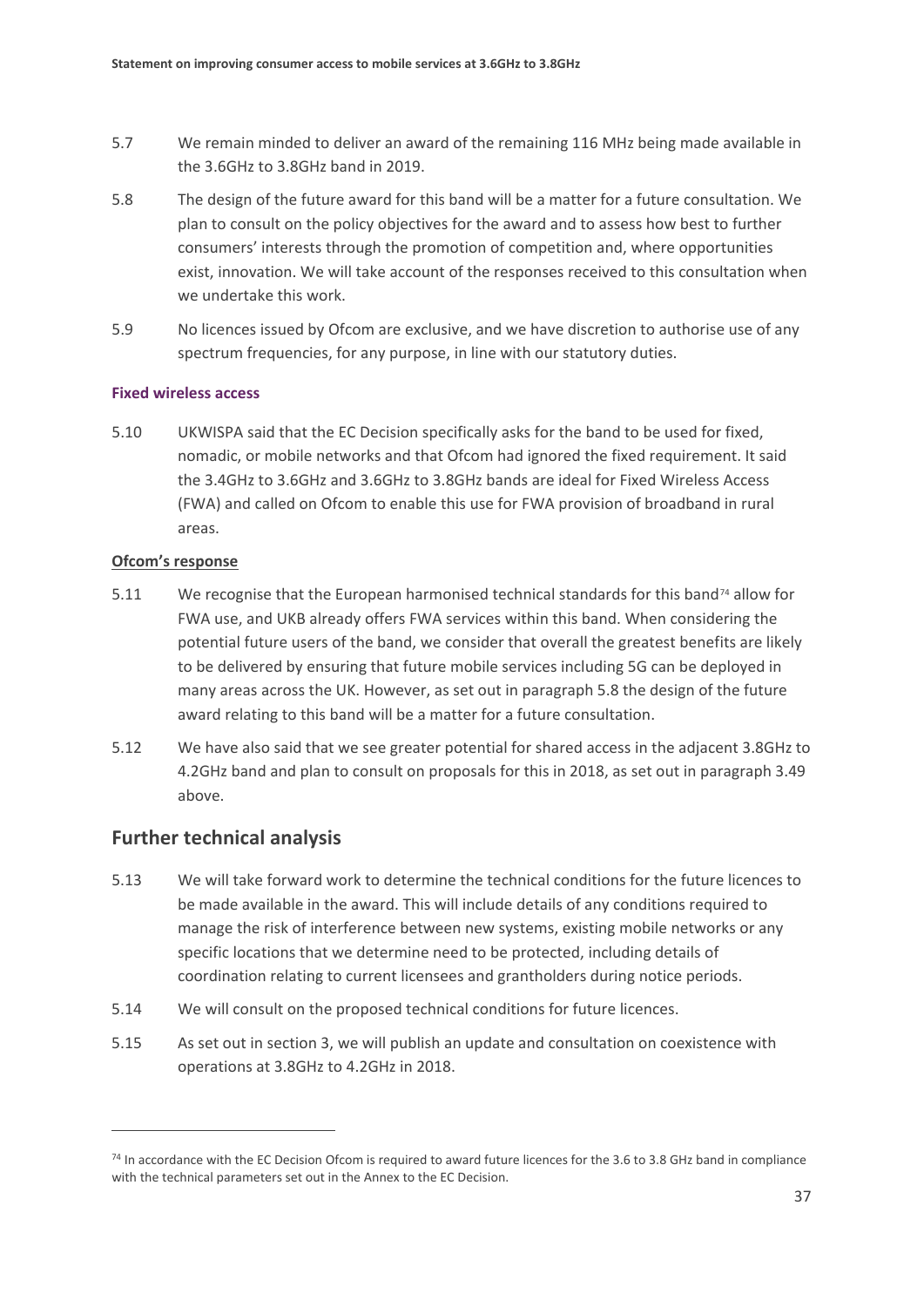- 5.7 We remain minded to deliver an award of the remaining 116 MHz being made available in the 3.6GHz to 3.8GHz band in 2019.
- <span id="page-39-0"></span>5.8 The design of the future award for this band will be a matter for a future consultation. We plan to consult on the policy objectives for the award and to assess how best to further consumers' interests through the promotion of competition and, where opportunities exist, innovation. We will take account of the responses received to this consultation when we undertake this work.
- <span id="page-39-2"></span>5.9 No licences issued by Ofcom are exclusive, and we have discretion to authorise use of any spectrum frequencies, for any purpose, in line with our statutory duties.

#### **Fixed wireless access**

5.10 UKWISPA said that the EC Decision specifically asks for the band to be used for fixed, nomadic, or mobile networks and that Ofcom had ignored the fixed requirement. It said the 3.4GHz to 3.6GHz and 3.6GHz to 3.8GHz bands are ideal for Fixed Wireless Access (FWA) and called on Ofcom to enable this use for FWA provision of broadband in rural areas.

#### **Ofcom's response**

- 5.11 We recognise that the European harmonised technical standards for this band<sup>[74](#page-39-1)</sup> allow for FWA use, and UKB already offers FWA services within this band. When considering the potential future users of the band, we consider that overall the greatest benefits are likely to be delivered by ensuring that future mobile services including 5G can be deployed in many areas across the UK. However, as set out in paragraph [5.8](#page-39-0) the design of the future award relating to this band will be a matter for a future consultation.
- 5.12 We have also said that we see greater potential for shared access in the adjacent 3.8GHz to 4.2GHz band and plan to consult on proposals for this in 2018, as set out in paragraph [3.49](#page-24-0) above.

## **Further technical analysis**

- 5.13 We will take forward work to determine the technical conditions for the future licences to be made available in the award. This will include details of any conditions required to manage the risk of interference between new systems, existing mobile networks or any specific locations that we determine need to be protected, including details of coordination relating to current licensees and grantholders during notice periods.
- 5.14 We will consult on the proposed technical conditions for future licences.
- 5.15 As set out in section 3, we will publish an update and consultation on coexistence with operations at 3.8GHz to 4.2GHz in 2018.

<span id="page-39-1"></span><sup>&</sup>lt;sup>74</sup> In accordance with the EC Decision Ofcom is required to award future licences for the 3.6 to 3.8 GHz band in compliance with the technical parameters set out in the Annex to the EC Decision.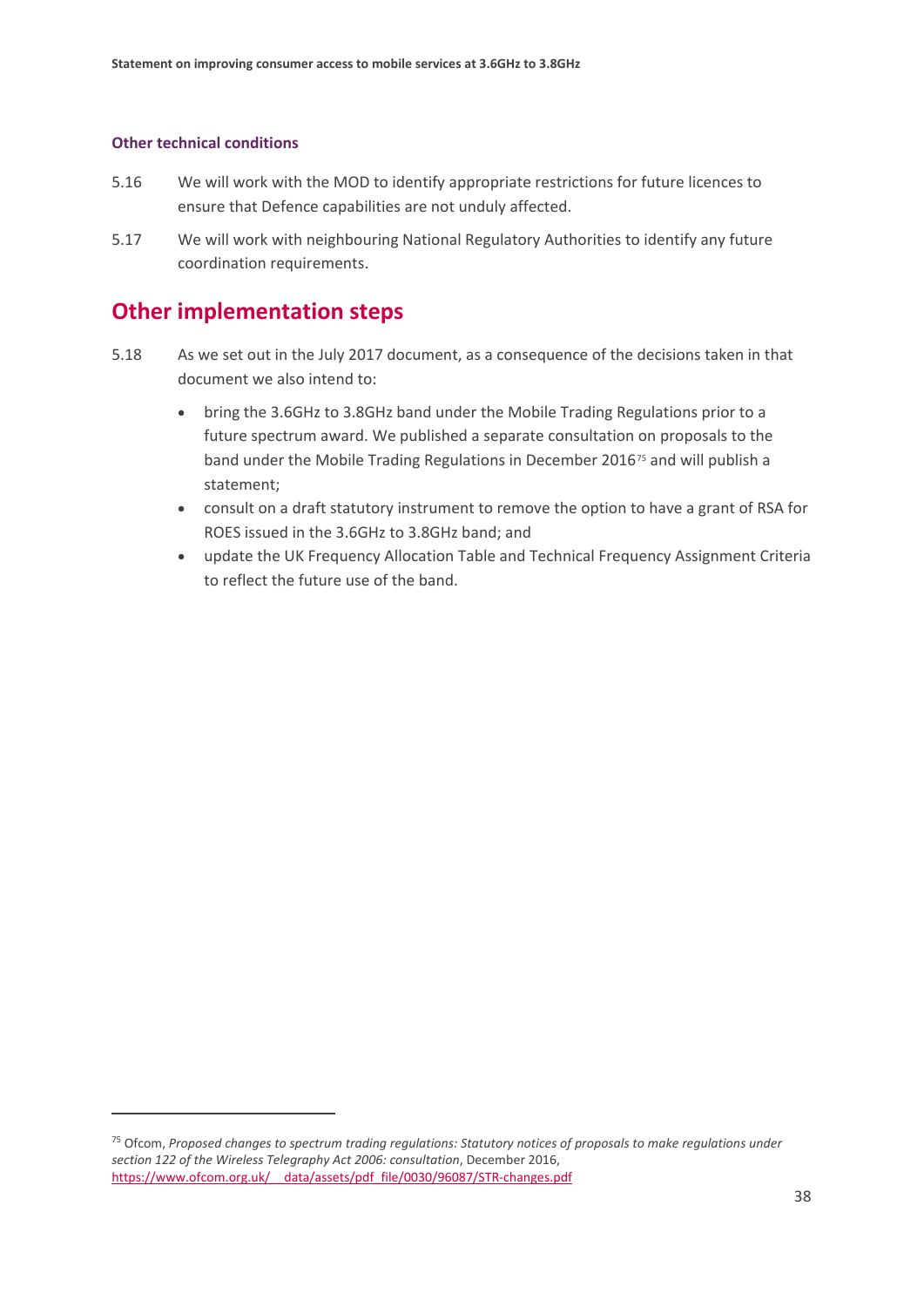#### **Other technical conditions**

 $\overline{a}$ 

- 5.16 We will work with the MOD to identify appropriate restrictions for future licences to ensure that Defence capabilities are not unduly affected.
- 5.17 We will work with neighbouring National Regulatory Authorities to identify any future coordination requirements.

## **Other implementation steps**

- 5.18 As we set out in the July 2017 document, as a consequence of the decisions taken in that document we also intend to:
	- bring the 3.6GHz to 3.8GHz band under the Mobile Trading Regulations prior to a future spectrum award. We published a separate consultation on proposals to the band under the Mobile Trading Regulations in December 2016<sup>[75](#page-40-0)</sup> and will publish a statement;
	- consult on a draft statutory instrument to remove the option to have a grant of RSA for ROES issued in the 3.6GHz to 3.8GHz band; and
	- update the UK Frequency Allocation Table and Technical Frequency Assignment Criteria to reflect the future use of the band.

<span id="page-40-0"></span><sup>75</sup> Ofcom, *Proposed changes to spectrum trading regulations: Statutory notices of proposals to make regulations under section 122 of the Wireless Telegraphy Act 2006: consultation*, December 2016, https://www.ofcom.org.uk/ data/assets/pdf file/0030/96087/STR-changes.pdf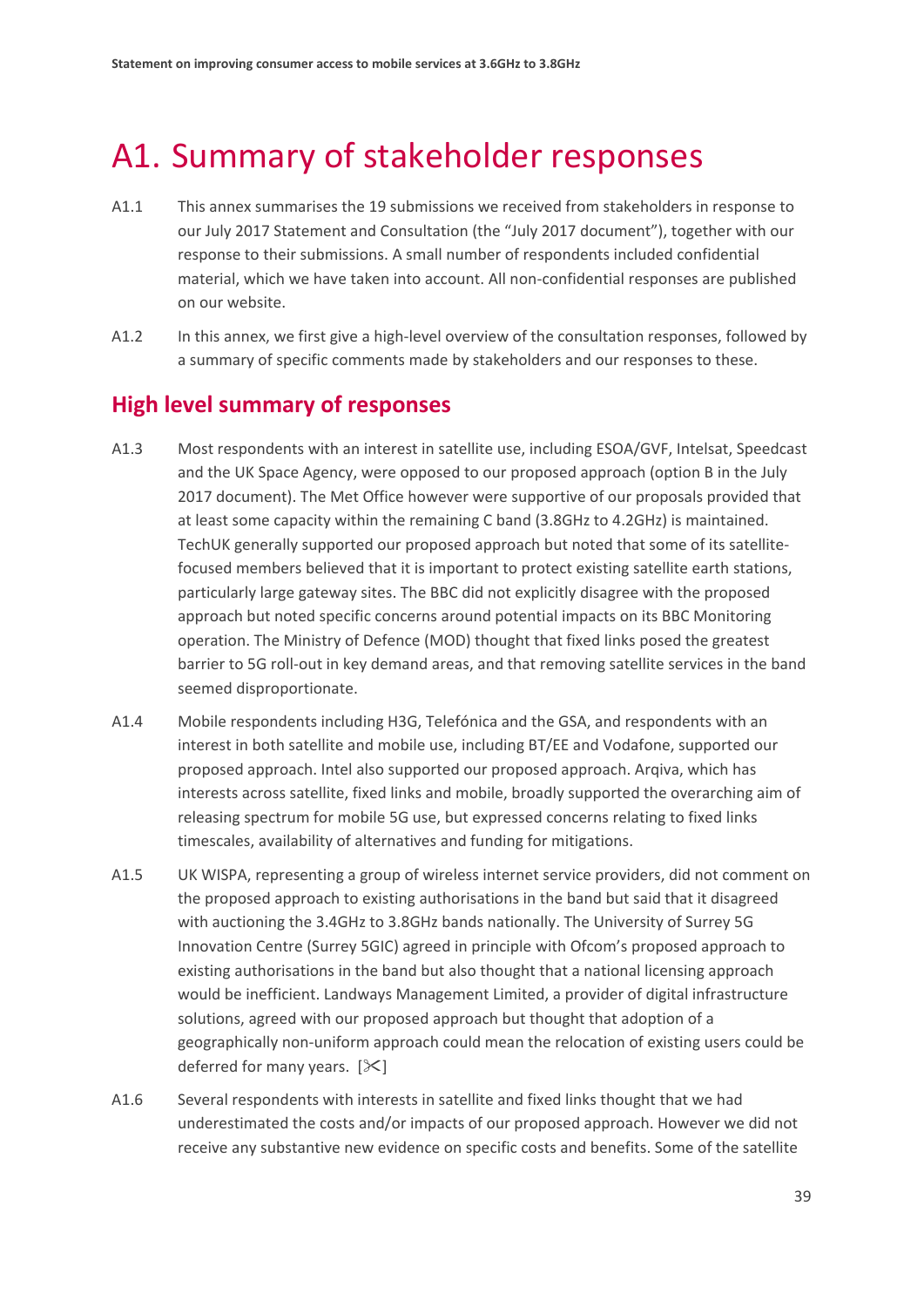# <span id="page-41-0"></span>A1. Summary of stakeholder responses

- A1.1 This annex summarises the 19 submissions we received from stakeholders in response to our July 2017 Statement and Consultation (the "July 2017 document"), together with our response to their submissions. A small number of respondents included confidential material, which we have taken into account. All non-confidential responses are published on our website.
- A1.2 In this annex, we first give a high-level overview of the consultation responses, followed by a summary of specific comments made by stakeholders and our responses to these.

## **High level summary of responses**

- A1.3 Most respondents with an interest in satellite use, including ESOA/GVF, Intelsat, Speedcast and the UK Space Agency, were opposed to our proposed approach (option B in the July 2017 document). The Met Office however were supportive of our proposals provided that at least some capacity within the remaining C band (3.8GHz to 4.2GHz) is maintained. TechUK generally supported our proposed approach but noted that some of its satellitefocused members believed that it is important to protect existing satellite earth stations, particularly large gateway sites. The BBC did not explicitly disagree with the proposed approach but noted specific concerns around potential impacts on its BBC Monitoring operation. The Ministry of Defence (MOD) thought that fixed links posed the greatest barrier to 5G roll-out in key demand areas, and that removing satellite services in the band seemed disproportionate.
- A1.4 Mobile respondents including H3G, Telefónica and the GSA, and respondents with an interest in both satellite and mobile use, including BT/EE and Vodafone, supported our proposed approach. Intel also supported our proposed approach. Arqiva, which has interests across satellite, fixed links and mobile, broadly supported the overarching aim of releasing spectrum for mobile 5G use, but expressed concerns relating to fixed links timescales, availability of alternatives and funding for mitigations.
- A1.5 UK WISPA, representing a group of wireless internet service providers, did not comment on the proposed approach to existing authorisations in the band but said that it disagreed with auctioning the 3.4GHz to 3.8GHz bands nationally. The University of Surrey 5G Innovation Centre (Surrey 5GIC) agreed in principle with Ofcom's proposed approach to existing authorisations in the band but also thought that a national licensing approach would be inefficient. Landways Management Limited, a provider of digital infrastructure solutions, agreed with our proposed approach but thought that adoption of a geographically non-uniform approach could mean the relocation of existing users could be deferred for many years.  $[\times]$
- A1.6 Several respondents with interests in satellite and fixed links thought that we had underestimated the costs and/or impacts of our proposed approach. However we did not receive any substantive new evidence on specific costs and benefits. Some of the satellite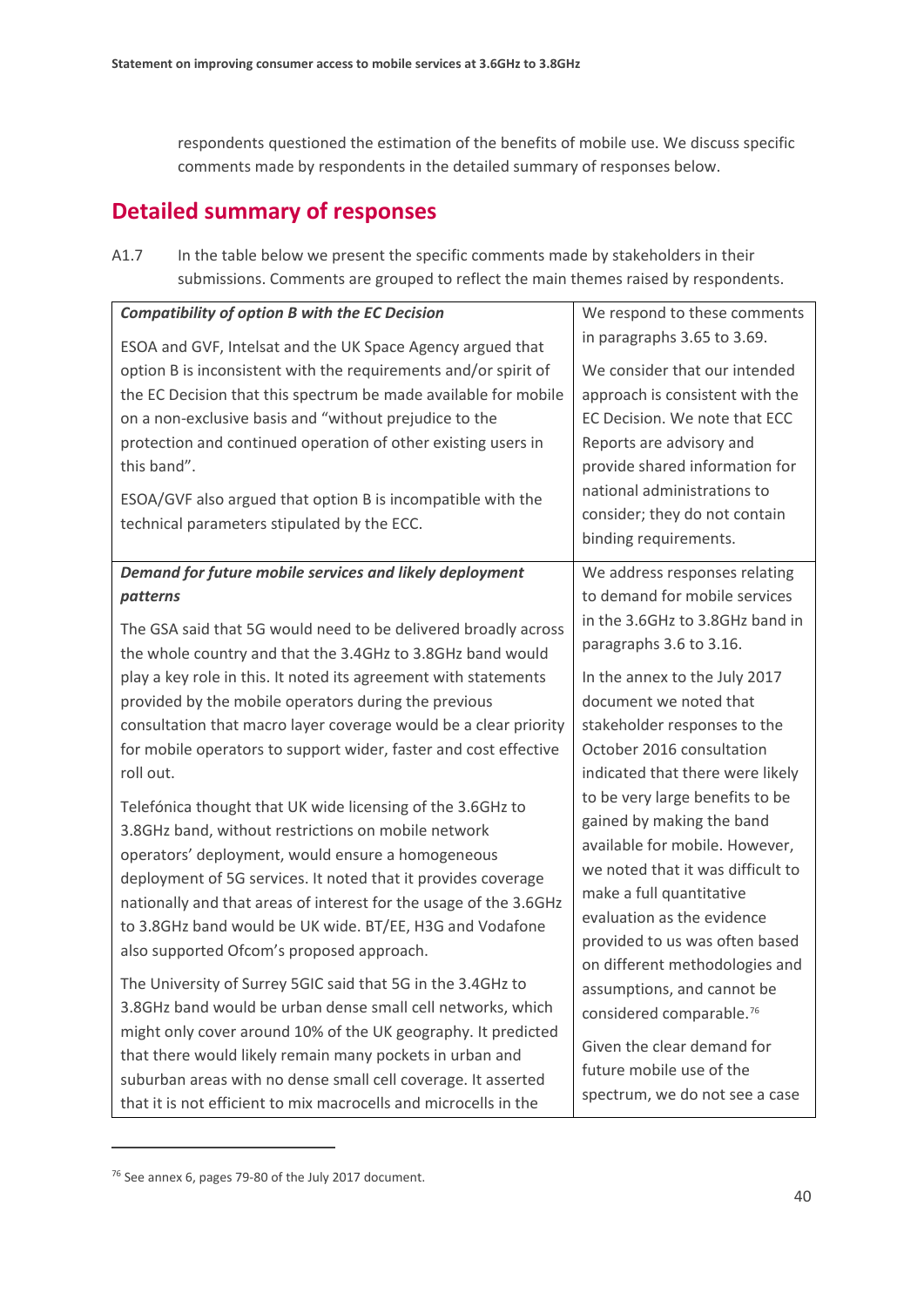respondents questioned the estimation of the benefits of mobile use. We discuss specific comments made by respondents in the detailed summary of responses below.

## **Detailed summary of responses**

| A1.7 | In the table below we present the specific comments made by stakeholders in their   |
|------|-------------------------------------------------------------------------------------|
|      | submissions. Comments are grouped to reflect the main themes raised by respondents. |

| <b>Compatibility of option B with the EC Decision</b>             | We respond to these comments                                       |
|-------------------------------------------------------------------|--------------------------------------------------------------------|
| ESOA and GVF, Intelsat and the UK Space Agency argued that        | in paragraphs 3.65 to 3.69.                                        |
| option B is inconsistent with the requirements and/or spirit of   | We consider that our intended                                      |
| the EC Decision that this spectrum be made available for mobile   | approach is consistent with the                                    |
| on a non-exclusive basis and "without prejudice to the            | EC Decision. We note that ECC                                      |
| protection and continued operation of other existing users in     | Reports are advisory and                                           |
| this band".                                                       | provide shared information for                                     |
| ESOA/GVF also argued that option B is incompatible with the       | national administrations to                                        |
| technical parameters stipulated by the ECC.                       | consider; they do not contain                                      |
|                                                                   | binding requirements.                                              |
| Demand for future mobile services and likely deployment           | We address responses relating                                      |
| patterns                                                          | to demand for mobile services                                      |
| The GSA said that 5G would need to be delivered broadly across    | in the 3.6GHz to 3.8GHz band in                                    |
| the whole country and that the 3.4GHz to 3.8GHz band would        | paragraphs 3.6 to 3.16.                                            |
| play a key role in this. It noted its agreement with statements   | In the annex to the July 2017                                      |
| provided by the mobile operators during the previous              | document we noted that                                             |
| consultation that macro layer coverage would be a clear priority  | stakeholder responses to the                                       |
| for mobile operators to support wider, faster and cost effective  | October 2016 consultation                                          |
| roll out.                                                         | indicated that there were likely                                   |
| Telefónica thought that UK wide licensing of the 3.6GHz to        | to be very large benefits to be                                    |
| 3.8GHz band, without restrictions on mobile network               | gained by making the band                                          |
| operators' deployment, would ensure a homogeneous                 | available for mobile. However,                                     |
| deployment of 5G services. It noted that it provides coverage     | we noted that it was difficult to                                  |
| nationally and that areas of interest for the usage of the 3.6GHz | make a full quantitative                                           |
| to 3.8GHz band would be UK wide. BT/EE, H3G and Vodafone          | evaluation as the evidence                                         |
| also supported Ofcom's proposed approach.                         | provided to us was often based                                     |
| The University of Surrey 5GIC said that 5G in the 3.4GHz to       | on different methodologies and                                     |
| 3.8GHz band would be urban dense small cell networks, which       | assumptions, and cannot be<br>considered comparable. <sup>76</sup> |
| might only cover around 10% of the UK geography. It predicted     |                                                                    |
| that there would likely remain many pockets in urban and          | Given the clear demand for                                         |
| suburban areas with no dense small cell coverage. It asserted     | future mobile use of the                                           |
| that it is not efficient to mix macrocells and microcells in the  | spectrum, we do not see a case                                     |

<span id="page-42-0"></span><sup>76</sup> See annex 6, pages 79-80 of the July 2017 document.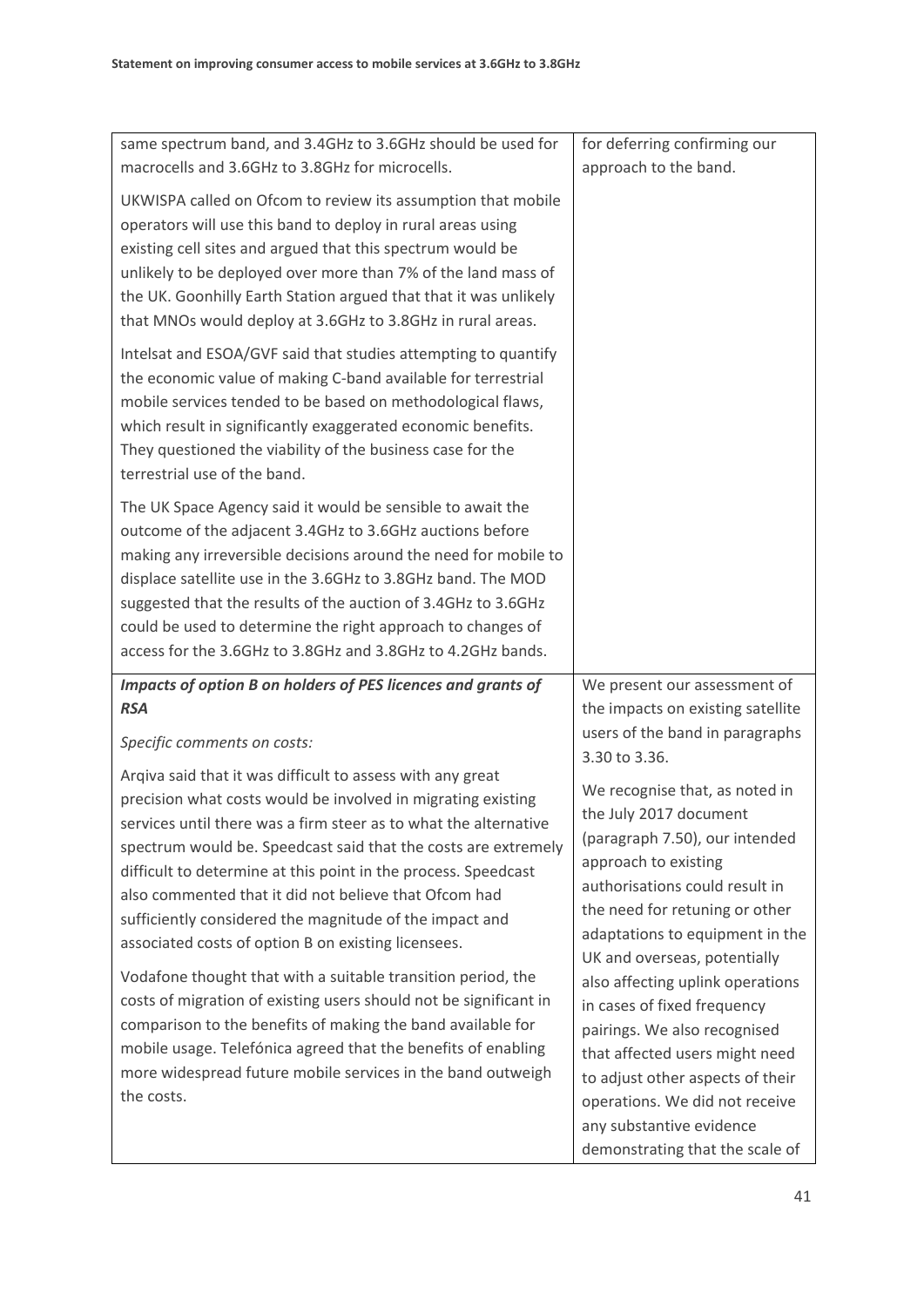| same spectrum band, and 3.4GHz to 3.6GHz should be used for<br>macrocells and 3.6GHz to 3.8GHz for microcells.                                                                                                                                                                                                                                                                                                                                                                                                | for deferring confirming our<br>approach to the band.                                                                                                                                                                                                                  |
|---------------------------------------------------------------------------------------------------------------------------------------------------------------------------------------------------------------------------------------------------------------------------------------------------------------------------------------------------------------------------------------------------------------------------------------------------------------------------------------------------------------|------------------------------------------------------------------------------------------------------------------------------------------------------------------------------------------------------------------------------------------------------------------------|
| UKWISPA called on Ofcom to review its assumption that mobile<br>operators will use this band to deploy in rural areas using<br>existing cell sites and argued that this spectrum would be<br>unlikely to be deployed over more than 7% of the land mass of<br>the UK. Goonhilly Earth Station argued that that it was unlikely<br>that MNOs would deploy at 3.6GHz to 3.8GHz in rural areas.                                                                                                                  |                                                                                                                                                                                                                                                                        |
| Intelsat and ESOA/GVF said that studies attempting to quantify<br>the economic value of making C-band available for terrestrial<br>mobile services tended to be based on methodological flaws,<br>which result in significantly exaggerated economic benefits.<br>They questioned the viability of the business case for the<br>terrestrial use of the band.                                                                                                                                                  |                                                                                                                                                                                                                                                                        |
| The UK Space Agency said it would be sensible to await the<br>outcome of the adjacent 3.4GHz to 3.6GHz auctions before<br>making any irreversible decisions around the need for mobile to<br>displace satellite use in the 3.6GHz to 3.8GHz band. The MOD<br>suggested that the results of the auction of 3.4GHz to 3.6GHz<br>could be used to determine the right approach to changes of<br>access for the 3.6GHz to 3.8GHz and 3.8GHz to 4.2GHz bands.                                                      |                                                                                                                                                                                                                                                                        |
| Impacts of option B on holders of PES licences and grants of                                                                                                                                                                                                                                                                                                                                                                                                                                                  | We present our assessment of                                                                                                                                                                                                                                           |
| <b>RSA</b>                                                                                                                                                                                                                                                                                                                                                                                                                                                                                                    | the impacts on existing satellite<br>users of the band in paragraphs                                                                                                                                                                                                   |
| Specific comments on costs:                                                                                                                                                                                                                                                                                                                                                                                                                                                                                   | 3.30 to 3.36.                                                                                                                                                                                                                                                          |
| Argiva said that it was difficult to assess with any great<br>precision what costs would be involved in migrating existing<br>services until there was a firm steer as to what the alternative<br>spectrum would be. Speedcast said that the costs are extremely<br>difficult to determine at this point in the process. Speedcast<br>also commented that it did not believe that Ofcom had<br>sufficiently considered the magnitude of the impact and<br>associated costs of option B on existing licensees. | We recognise that, as noted in<br>the July 2017 document<br>(paragraph 7.50), our intended<br>approach to existing<br>authorisations could result in<br>the need for retuning or other<br>adaptations to equipment in the<br>UK and overseas, potentially              |
| Vodafone thought that with a suitable transition period, the<br>costs of migration of existing users should not be significant in<br>comparison to the benefits of making the band available for<br>mobile usage. Telefónica agreed that the benefits of enabling<br>more widespread future mobile services in the band outweigh<br>the costs.                                                                                                                                                                | also affecting uplink operations<br>in cases of fixed frequency<br>pairings. We also recognised<br>that affected users might need<br>to adjust other aspects of their<br>operations. We did not receive<br>any substantive evidence<br>demonstrating that the scale of |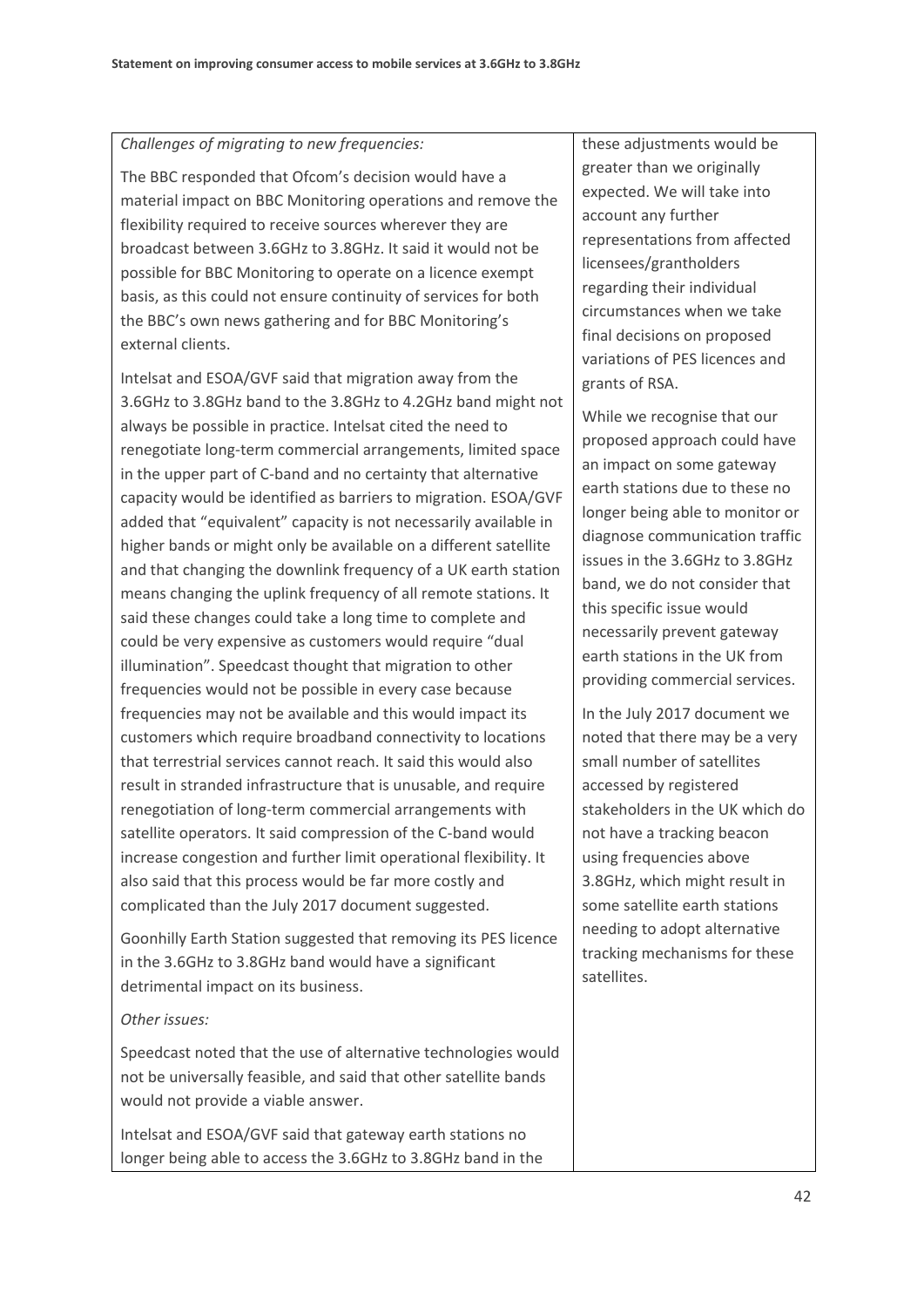#### *Challenges of migrating to new frequencies:*

The BBC responded that Ofcom's decision would have a material impact on BBC Monitoring operations and remove the flexibility required to receive sources wherever they are broadcast between 3.6GHz to 3.8GHz. It said it would not be possible for BBC Monitoring to operate on a licence exempt basis, as this could not ensure continuity of services for both the BBC's own news gathering and for BBC Monitoring's external clients.

Intelsat and ESOA/GVF said that migration away from the 3.6GHz to 3.8GHz band to the 3.8GHz to 4.2GHz band might not always be possible in practice. Intelsat cited the need to renegotiate long-term commercial arrangements, limited space in the upper part of C-band and no certainty that alternative capacity would be identified as barriers to migration. ESOA/GVF added that "equivalent" capacity is not necessarily available in higher bands or might only be available on a different satellite and that changing the downlink frequency of a UK earth station means changing the uplink frequency of all remote stations. It said these changes could take a long time to complete and could be very expensive as customers would require "dual illumination". Speedcast thought that migration to other frequencies would not be possible in every case because frequencies may not be available and this would impact its customers which require broadband connectivity to locations that terrestrial services cannot reach. It said this would also result in stranded infrastructure that is unusable, and require renegotiation of long-term commercial arrangements with satellite operators. It said compression of the C-band would increase congestion and further limit operational flexibility. It also said that this process would be far more costly and complicated than the July 2017 document suggested.

Goonhilly Earth Station suggested that removing its PES licence in the 3.6GHz to 3.8GHz band would have a significant detrimental impact on its business.

### *Other issues:*

Speedcast noted that the use of alternative technologies would not be universally feasible, and said that other satellite bands would not provide a viable answer.

Intelsat and ESOA/GVF said that gateway earth stations no longer being able to access the 3.6GHz to 3.8GHz band in the these adjustments would be greater than we originally expected. We will take into account any further representations from affected licensees/grantholders regarding their individual circumstances when we take final decisions on proposed variations of PES licences and grants of RSA.

While we recognise that our proposed approach could have an impact on some gateway earth stations due to these no longer being able to monitor or diagnose communication traffic issues in the 3.6GHz to 3.8GHz band, we do not consider that this specific issue would necessarily prevent gateway earth stations in the UK from providing commercial services.

In the July 2017 document we noted that there may be a very small number of satellites accessed by registered stakeholders in the UK which do not have a tracking beacon using frequencies above 3.8GHz, which might result in some satellite earth stations needing to adopt alternative tracking mechanisms for these satellites.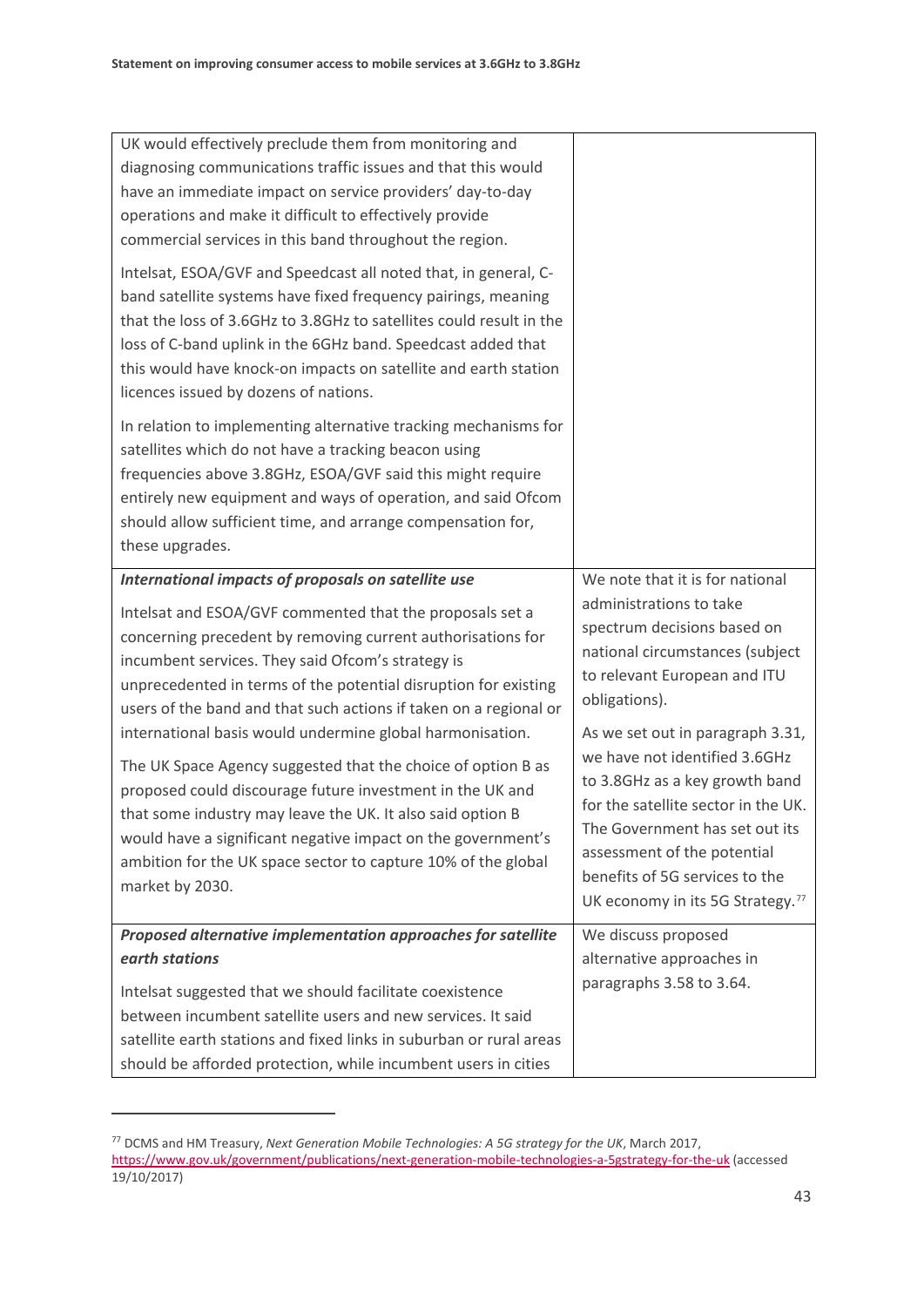| UK would effectively preclude them from monitoring and<br>diagnosing communications traffic issues and that this would<br>have an immediate impact on service providers' day-to-day<br>operations and make it difficult to effectively provide<br>commercial services in this band throughout the region.<br>Intelsat, ESOA/GVF and Speedcast all noted that, in general, C-<br>band satellite systems have fixed frequency pairings, meaning<br>that the loss of 3.6GHz to 3.8GHz to satellites could result in the<br>loss of C-band uplink in the 6GHz band. Speedcast added that<br>this would have knock-on impacts on satellite and earth station<br>licences issued by dozens of nations. |                                                                                                                                                                                                                                                                                               |
|--------------------------------------------------------------------------------------------------------------------------------------------------------------------------------------------------------------------------------------------------------------------------------------------------------------------------------------------------------------------------------------------------------------------------------------------------------------------------------------------------------------------------------------------------------------------------------------------------------------------------------------------------------------------------------------------------|-----------------------------------------------------------------------------------------------------------------------------------------------------------------------------------------------------------------------------------------------------------------------------------------------|
| In relation to implementing alternative tracking mechanisms for<br>satellites which do not have a tracking beacon using<br>frequencies above 3.8GHz, ESOA/GVF said this might require<br>entirely new equipment and ways of operation, and said Ofcom<br>should allow sufficient time, and arrange compensation for,<br>these upgrades.                                                                                                                                                                                                                                                                                                                                                          |                                                                                                                                                                                                                                                                                               |
| International impacts of proposals on satellite use                                                                                                                                                                                                                                                                                                                                                                                                                                                                                                                                                                                                                                              | We note that it is for national                                                                                                                                                                                                                                                               |
| Intelsat and ESOA/GVF commented that the proposals set a<br>concerning precedent by removing current authorisations for<br>incumbent services. They said Ofcom's strategy is<br>unprecedented in terms of the potential disruption for existing<br>users of the band and that such actions if taken on a regional or                                                                                                                                                                                                                                                                                                                                                                             | administrations to take<br>spectrum decisions based on<br>national circumstances (subject<br>to relevant European and ITU<br>obligations).                                                                                                                                                    |
| international basis would undermine global harmonisation.<br>The UK Space Agency suggested that the choice of option B as<br>proposed could discourage future investment in the UK and<br>that some industry may leave the UK. It also said option B<br>would have a significant negative impact on the government's<br>ambition for the UK space sector to capture 10% of the global<br>market by 2030.                                                                                                                                                                                                                                                                                         | As we set out in paragraph 3.31,<br>we have not identified 3.6GHz<br>to 3.8GHz as a key growth band<br>for the satellite sector in the UK.<br>The Government has set out its<br>assessment of the potential<br>benefits of 5G services to the<br>UK economy in its 5G Strategy. <sup>77</sup> |
| Proposed alternative implementation approaches for satellite                                                                                                                                                                                                                                                                                                                                                                                                                                                                                                                                                                                                                                     | We discuss proposed                                                                                                                                                                                                                                                                           |
| earth stations                                                                                                                                                                                                                                                                                                                                                                                                                                                                                                                                                                                                                                                                                   | alternative approaches in                                                                                                                                                                                                                                                                     |
| Intelsat suggested that we should facilitate coexistence                                                                                                                                                                                                                                                                                                                                                                                                                                                                                                                                                                                                                                         | paragraphs 3.58 to 3.64.                                                                                                                                                                                                                                                                      |
| between incumbent satellite users and new services. It said                                                                                                                                                                                                                                                                                                                                                                                                                                                                                                                                                                                                                                      |                                                                                                                                                                                                                                                                                               |
| satellite earth stations and fixed links in suburban or rural areas                                                                                                                                                                                                                                                                                                                                                                                                                                                                                                                                                                                                                              |                                                                                                                                                                                                                                                                                               |
| should be afforded protection, while incumbent users in cities                                                                                                                                                                                                                                                                                                                                                                                                                                                                                                                                                                                                                                   |                                                                                                                                                                                                                                                                                               |

<span id="page-45-0"></span><sup>77</sup> DCMS and HM Treasury, *Next Generation Mobile Technologies: A 5G strategy for the UK*, March 2017, <https://www.gov.uk/government/publications/next-generation-mobile-technologies-a-5gstrategy-for-the-uk> (accessed 19/10/2017)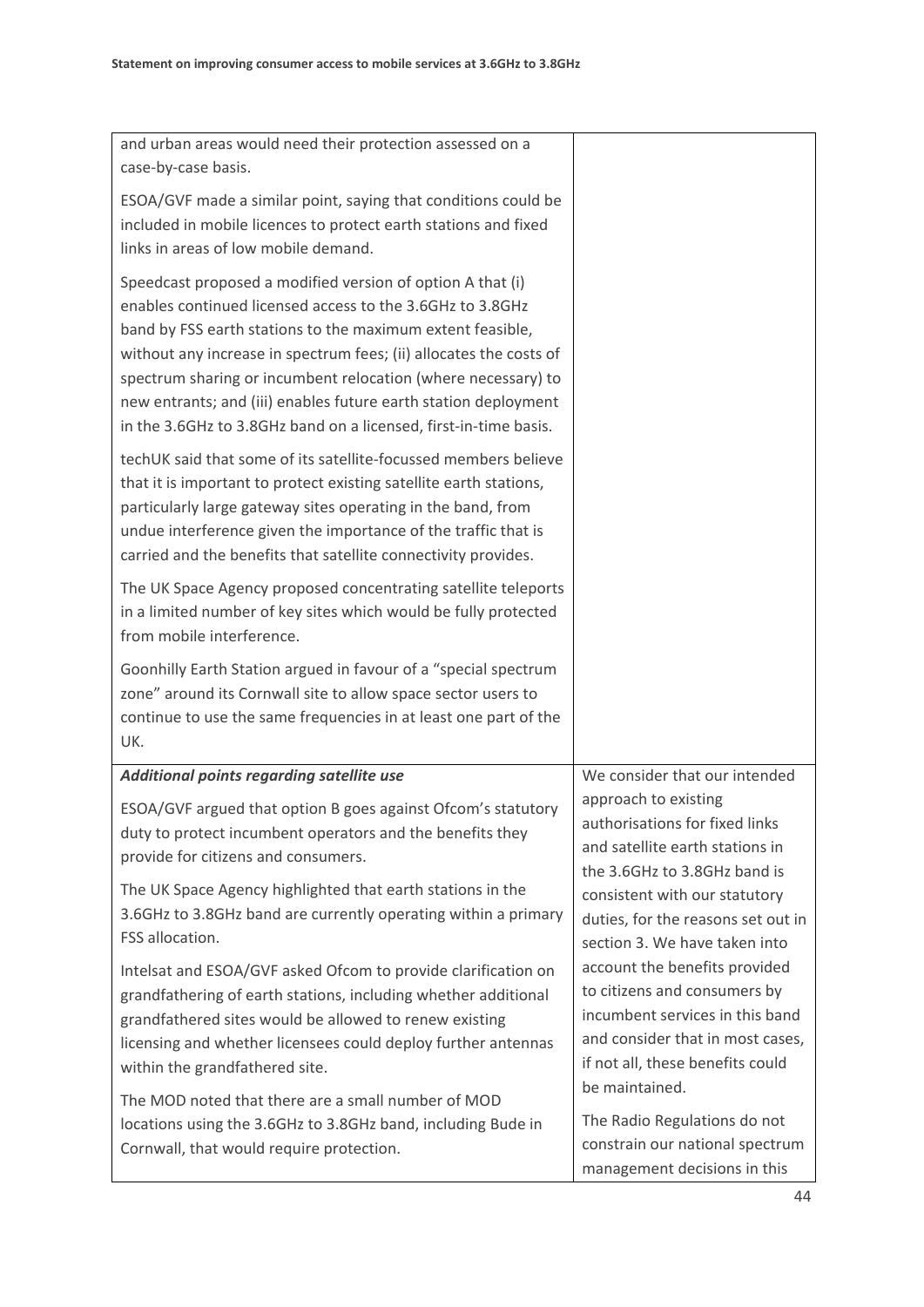| and urban areas would need their protection assessed on a<br>case-by-case basis.                                                                                                                                                                                                                                                                                                                                                                                    |                                                                                                                                                                                            |
|---------------------------------------------------------------------------------------------------------------------------------------------------------------------------------------------------------------------------------------------------------------------------------------------------------------------------------------------------------------------------------------------------------------------------------------------------------------------|--------------------------------------------------------------------------------------------------------------------------------------------------------------------------------------------|
| ESOA/GVF made a similar point, saying that conditions could be<br>included in mobile licences to protect earth stations and fixed<br>links in areas of low mobile demand.                                                                                                                                                                                                                                                                                           |                                                                                                                                                                                            |
| Speedcast proposed a modified version of option A that (i)<br>enables continued licensed access to the 3.6GHz to 3.8GHz<br>band by FSS earth stations to the maximum extent feasible,<br>without any increase in spectrum fees; (ii) allocates the costs of<br>spectrum sharing or incumbent relocation (where necessary) to<br>new entrants; and (iii) enables future earth station deployment<br>in the 3.6GHz to 3.8GHz band on a licensed, first-in-time basis. |                                                                                                                                                                                            |
| techUK said that some of its satellite-focussed members believe<br>that it is important to protect existing satellite earth stations,<br>particularly large gateway sites operating in the band, from<br>undue interference given the importance of the traffic that is<br>carried and the benefits that satellite connectivity provides.                                                                                                                           |                                                                                                                                                                                            |
| The UK Space Agency proposed concentrating satellite teleports<br>in a limited number of key sites which would be fully protected<br>from mobile interference.                                                                                                                                                                                                                                                                                                      |                                                                                                                                                                                            |
| Goonhilly Earth Station argued in favour of a "special spectrum<br>zone" around its Cornwall site to allow space sector users to<br>continue to use the same frequencies in at least one part of the<br>UK.                                                                                                                                                                                                                                                         |                                                                                                                                                                                            |
| Additional points regarding satellite use                                                                                                                                                                                                                                                                                                                                                                                                                           | We consider that our intended                                                                                                                                                              |
| ESOA/GVF argued that option B goes against Ofcom's statutory<br>duty to protect incumbent operators and the benefits they<br>provide for citizens and consumers.                                                                                                                                                                                                                                                                                                    | approach to existing<br>authorisations for fixed links<br>and satellite earth stations in<br>the 3.6GHz to 3.8GHz band is                                                                  |
| The UK Space Agency highlighted that earth stations in the<br>3.6GHz to 3.8GHz band are currently operating within a primary<br>FSS allocation.                                                                                                                                                                                                                                                                                                                     | consistent with our statutory<br>duties, for the reasons set out in<br>section 3. We have taken into                                                                                       |
| Intelsat and ESOA/GVF asked Ofcom to provide clarification on<br>grandfathering of earth stations, including whether additional<br>grandfathered sites would be allowed to renew existing<br>licensing and whether licensees could deploy further antennas<br>within the grandfathered site.                                                                                                                                                                        | account the benefits provided<br>to citizens and consumers by<br>incumbent services in this band<br>and consider that in most cases,<br>if not all, these benefits could<br>be maintained. |
| The MOD noted that there are a small number of MOD<br>locations using the 3.6GHz to 3.8GHz band, including Bude in<br>Cornwall, that would require protection.                                                                                                                                                                                                                                                                                                      | The Radio Regulations do not<br>constrain our national spectrum<br>management decisions in this                                                                                            |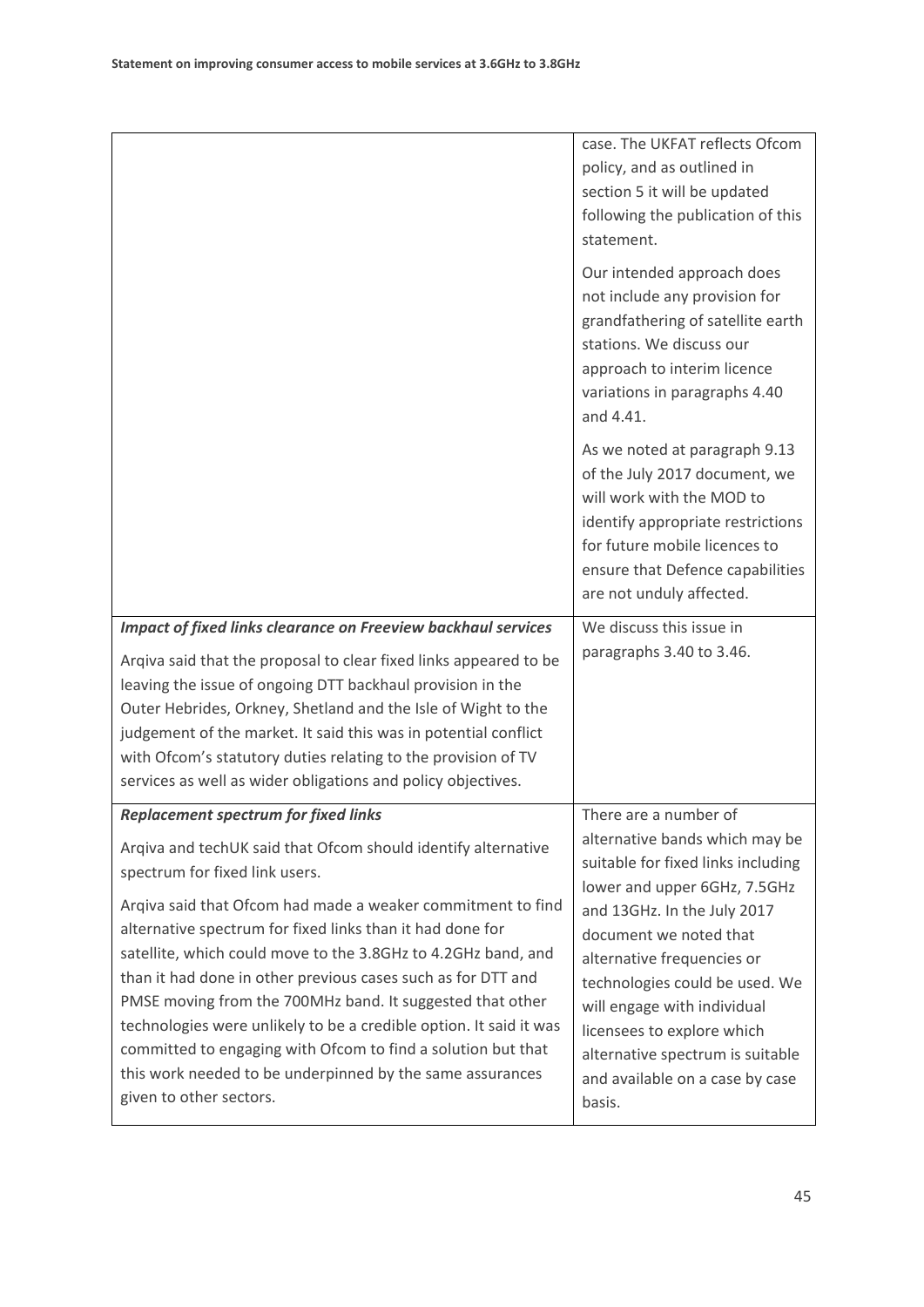|                                                                                                                                                                                                                                                                                                                                                                                                                                                                                                                                                                                                                                                                                                        | case. The UKFAT reflects Ofcom<br>policy, and as outlined in<br>section 5 it will be updated<br>following the publication of this<br>statement.<br>Our intended approach does<br>not include any provision for<br>grandfathering of satellite earth<br>stations. We discuss our<br>approach to interim licence<br>variations in paragraphs 4.40<br>and 4.41.                                         |
|--------------------------------------------------------------------------------------------------------------------------------------------------------------------------------------------------------------------------------------------------------------------------------------------------------------------------------------------------------------------------------------------------------------------------------------------------------------------------------------------------------------------------------------------------------------------------------------------------------------------------------------------------------------------------------------------------------|------------------------------------------------------------------------------------------------------------------------------------------------------------------------------------------------------------------------------------------------------------------------------------------------------------------------------------------------------------------------------------------------------|
|                                                                                                                                                                                                                                                                                                                                                                                                                                                                                                                                                                                                                                                                                                        | As we noted at paragraph 9.13<br>of the July 2017 document, we<br>will work with the MOD to<br>identify appropriate restrictions<br>for future mobile licences to<br>ensure that Defence capabilities<br>are not unduly affected.                                                                                                                                                                    |
| <b>Impact of fixed links clearance on Freeview backhaul services</b><br>Arqiva said that the proposal to clear fixed links appeared to be<br>leaving the issue of ongoing DTT backhaul provision in the<br>Outer Hebrides, Orkney, Shetland and the Isle of Wight to the<br>judgement of the market. It said this was in potential conflict<br>with Ofcom's statutory duties relating to the provision of TV<br>services as well as wider obligations and policy objectives.                                                                                                                                                                                                                           | We discuss this issue in<br>paragraphs 3.40 to 3.46.                                                                                                                                                                                                                                                                                                                                                 |
| <b>Replacement spectrum for fixed links</b><br>Argiva and techUK said that Ofcom should identify alternative<br>spectrum for fixed link users.<br>Argiva said that Ofcom had made a weaker commitment to find<br>alternative spectrum for fixed links than it had done for<br>satellite, which could move to the 3.8GHz to 4.2GHz band, and<br>than it had done in other previous cases such as for DTT and<br>PMSE moving from the 700MHz band. It suggested that other<br>technologies were unlikely to be a credible option. It said it was<br>committed to engaging with Ofcom to find a solution but that<br>this work needed to be underpinned by the same assurances<br>given to other sectors. | There are a number of<br>alternative bands which may be<br>suitable for fixed links including<br>lower and upper 6GHz, 7.5GHz<br>and 13GHz. In the July 2017<br>document we noted that<br>alternative frequencies or<br>technologies could be used. We<br>will engage with individual<br>licensees to explore which<br>alternative spectrum is suitable<br>and available on a case by case<br>basis. |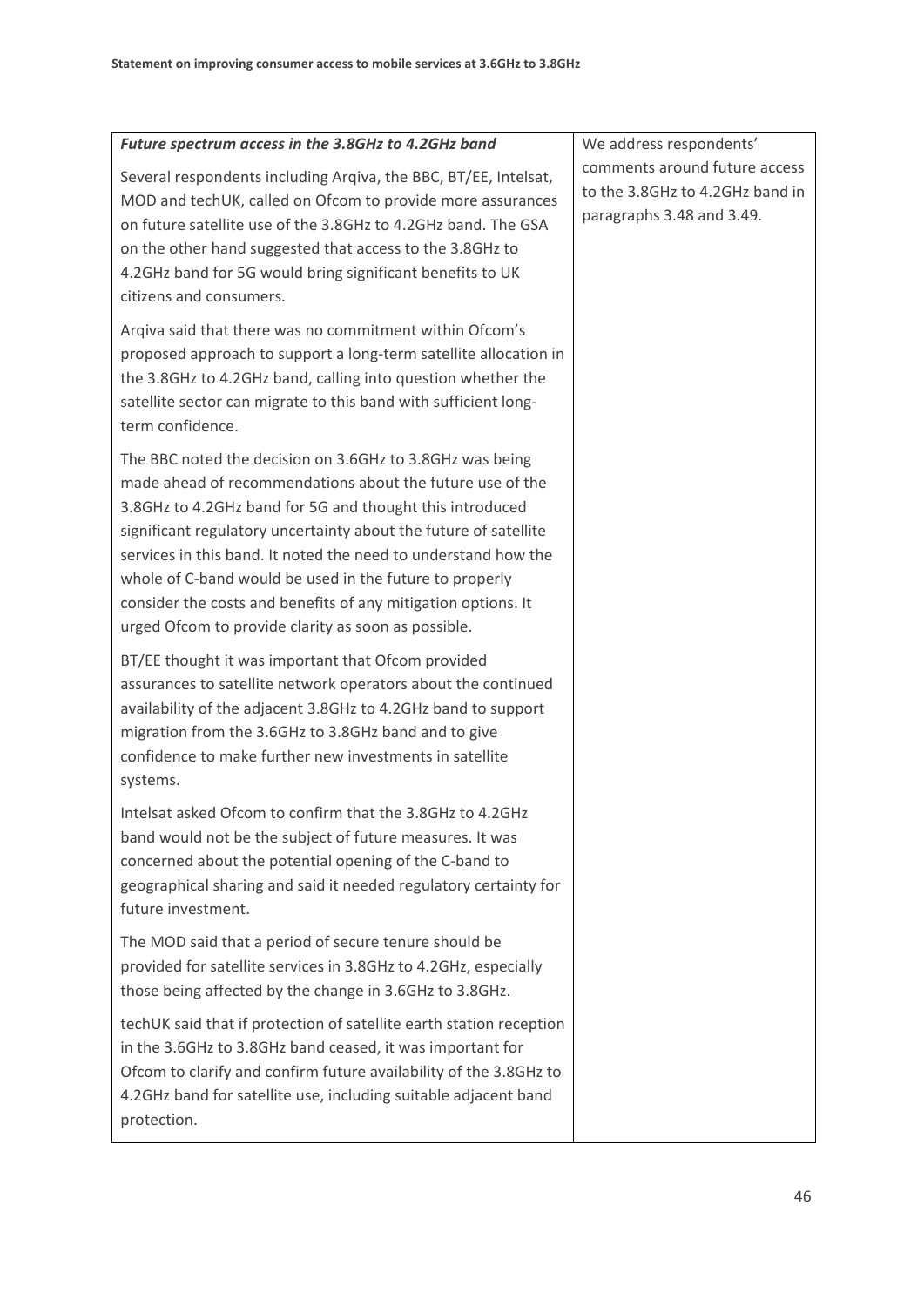| Future spectrum access in the 3.8GHz to 4.2GHz band                                                                                                                                                                                                                                                                                                                                                                                                                                                        | We address respondents'                                                                       |
|------------------------------------------------------------------------------------------------------------------------------------------------------------------------------------------------------------------------------------------------------------------------------------------------------------------------------------------------------------------------------------------------------------------------------------------------------------------------------------------------------------|-----------------------------------------------------------------------------------------------|
| Several respondents including Arqiva, the BBC, BT/EE, Intelsat,<br>MOD and techUK, called on Ofcom to provide more assurances<br>on future satellite use of the 3.8GHz to 4.2GHz band. The GSA<br>on the other hand suggested that access to the 3.8GHz to<br>4.2GHz band for 5G would bring significant benefits to UK<br>citizens and consumers.                                                                                                                                                         | comments around future access<br>to the 3.8GHz to 4.2GHz band in<br>paragraphs 3.48 and 3.49. |
| Arqiva said that there was no commitment within Ofcom's<br>proposed approach to support a long-term satellite allocation in<br>the 3.8GHz to 4.2GHz band, calling into question whether the<br>satellite sector can migrate to this band with sufficient long-<br>term confidence.                                                                                                                                                                                                                         |                                                                                               |
| The BBC noted the decision on 3.6GHz to 3.8GHz was being<br>made ahead of recommendations about the future use of the<br>3.8GHz to 4.2GHz band for 5G and thought this introduced<br>significant regulatory uncertainty about the future of satellite<br>services in this band. It noted the need to understand how the<br>whole of C-band would be used in the future to properly<br>consider the costs and benefits of any mitigation options. It<br>urged Ofcom to provide clarity as soon as possible. |                                                                                               |
| BT/EE thought it was important that Ofcom provided<br>assurances to satellite network operators about the continued<br>availability of the adjacent 3.8GHz to 4.2GHz band to support<br>migration from the 3.6GHz to 3.8GHz band and to give<br>confidence to make further new investments in satellite<br>systems.                                                                                                                                                                                        |                                                                                               |
| Intelsat asked Ofcom to confirm that the 3.8GHz to 4.2GHz<br>band would not be the subject of future measures. It was<br>concerned about the potential opening of the C-band to<br>geographical sharing and said it needed regulatory certainty for<br>future investment.                                                                                                                                                                                                                                  |                                                                                               |
| The MOD said that a period of secure tenure should be<br>provided for satellite services in 3.8GHz to 4.2GHz, especially<br>those being affected by the change in 3.6GHz to 3.8GHz.                                                                                                                                                                                                                                                                                                                        |                                                                                               |
| techUK said that if protection of satellite earth station reception<br>in the 3.6GHz to 3.8GHz band ceased, it was important for<br>Ofcom to clarify and confirm future availability of the 3.8GHz to<br>4.2GHz band for satellite use, including suitable adjacent band<br>protection.                                                                                                                                                                                                                    |                                                                                               |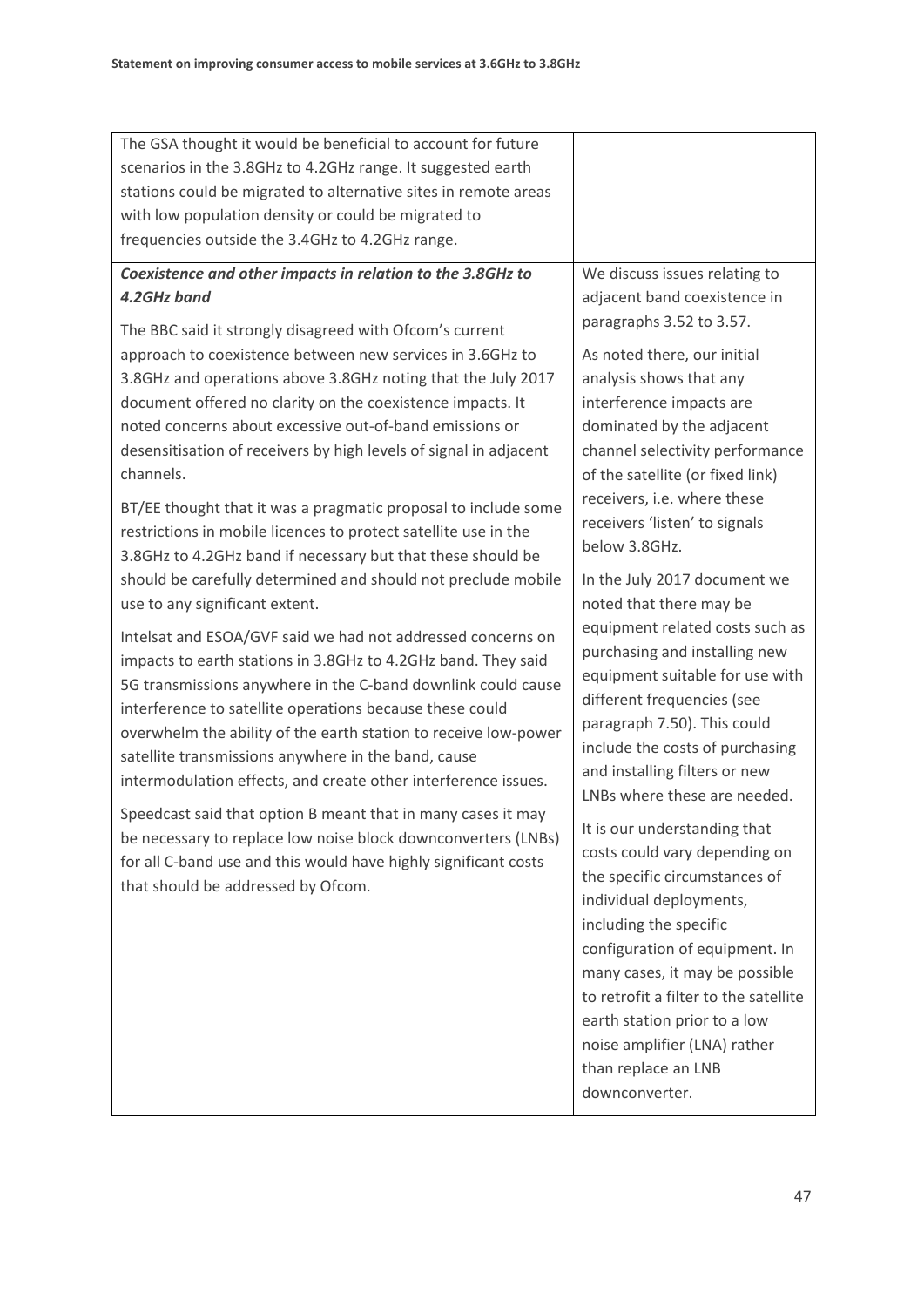| The GSA thought it would be beneficial to account for future<br>scenarios in the 3.8GHz to 4.2GHz range. It suggested earth<br>stations could be migrated to alternative sites in remote areas<br>with low population density or could be migrated to<br>frequencies outside the 3.4GHz to 4.2GHz range.                                                                                                                                                                                                                                                                                                                                                                                                                                                                                                                                                                                                                                                                                                                                                                                                                                                                                                                                                                                                                                                                                                                                                                              |                                                                                                                                                                                                                                                                                                                                                                                                                                                                                                                                                                                                                                                                                                                                                                                                                                                                                                                                                                                                                                                                    |
|---------------------------------------------------------------------------------------------------------------------------------------------------------------------------------------------------------------------------------------------------------------------------------------------------------------------------------------------------------------------------------------------------------------------------------------------------------------------------------------------------------------------------------------------------------------------------------------------------------------------------------------------------------------------------------------------------------------------------------------------------------------------------------------------------------------------------------------------------------------------------------------------------------------------------------------------------------------------------------------------------------------------------------------------------------------------------------------------------------------------------------------------------------------------------------------------------------------------------------------------------------------------------------------------------------------------------------------------------------------------------------------------------------------------------------------------------------------------------------------|--------------------------------------------------------------------------------------------------------------------------------------------------------------------------------------------------------------------------------------------------------------------------------------------------------------------------------------------------------------------------------------------------------------------------------------------------------------------------------------------------------------------------------------------------------------------------------------------------------------------------------------------------------------------------------------------------------------------------------------------------------------------------------------------------------------------------------------------------------------------------------------------------------------------------------------------------------------------------------------------------------------------------------------------------------------------|
| Coexistence and other impacts in relation to the 3.8GHz to<br>4.2GHz band<br>The BBC said it strongly disagreed with Ofcom's current<br>approach to coexistence between new services in 3.6GHz to<br>3.8GHz and operations above 3.8GHz noting that the July 2017<br>document offered no clarity on the coexistence impacts. It<br>noted concerns about excessive out-of-band emissions or<br>desensitisation of receivers by high levels of signal in adjacent<br>channels.<br>BT/EE thought that it was a pragmatic proposal to include some<br>restrictions in mobile licences to protect satellite use in the<br>3.8GHz to 4.2GHz band if necessary but that these should be<br>should be carefully determined and should not preclude mobile<br>use to any significant extent.<br>Intelsat and ESOA/GVF said we had not addressed concerns on<br>impacts to earth stations in 3.8GHz to 4.2GHz band. They said<br>5G transmissions anywhere in the C-band downlink could cause<br>interference to satellite operations because these could<br>overwhelm the ability of the earth station to receive low-power<br>satellite transmissions anywhere in the band, cause<br>intermodulation effects, and create other interference issues.<br>Speedcast said that option B meant that in many cases it may<br>be necessary to replace low noise block downconverters (LNBs)<br>for all C-band use and this would have highly significant costs<br>that should be addressed by Ofcom. | We discuss issues relating to<br>adjacent band coexistence in<br>paragraphs 3.52 to 3.57.<br>As noted there, our initial<br>analysis shows that any<br>interference impacts are<br>dominated by the adjacent<br>channel selectivity performance<br>of the satellite (or fixed link)<br>receivers, i.e. where these<br>receivers 'listen' to signals<br>below 3.8GHz.<br>In the July 2017 document we<br>noted that there may be<br>equipment related costs such as<br>purchasing and installing new<br>equipment suitable for use with<br>different frequencies (see<br>paragraph 7.50). This could<br>include the costs of purchasing<br>and installing filters or new<br>LNBs where these are needed.<br>It is our understanding that<br>costs could vary depending on<br>the specific circumstances of<br>individual deployments,<br>including the specific<br>configuration of equipment. In<br>many cases, it may be possible<br>to retrofit a filter to the satellite<br>earth station prior to a low<br>noise amplifier (LNA) rather<br>than replace an LNB |
|                                                                                                                                                                                                                                                                                                                                                                                                                                                                                                                                                                                                                                                                                                                                                                                                                                                                                                                                                                                                                                                                                                                                                                                                                                                                                                                                                                                                                                                                                       | downconverter.                                                                                                                                                                                                                                                                                                                                                                                                                                                                                                                                                                                                                                                                                                                                                                                                                                                                                                                                                                                                                                                     |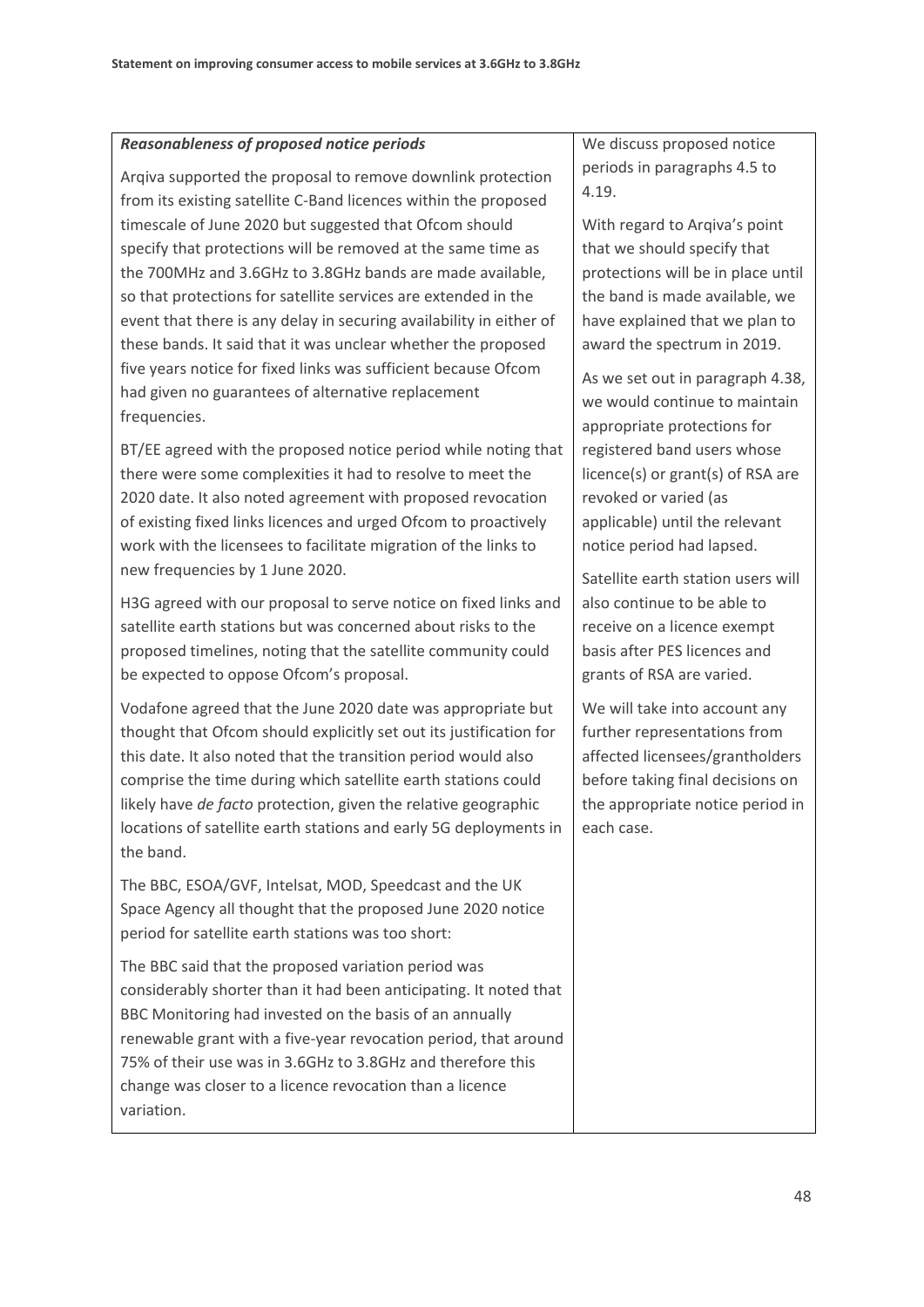#### *Reasonableness of proposed notice periods*

Arqiva supported the proposal to remove downlink protection from its existing satellite C-Band licences within the proposed timescale of June 2020 but suggested that Ofcom should specify that protections will be removed at the same time as the 700MHz and 3.6GHz to 3.8GHz bands are made available, so that protections for satellite services are extended in the event that there is any delay in securing availability in either of these bands. It said that it was unclear whether the proposed five years notice for fixed links was sufficient because Ofcom had given no guarantees of alternative replacement frequencies.

BT/EE agreed with the proposed notice period while noting that there were some complexities it had to resolve to meet the 2020 date. It also noted agreement with proposed revocation of existing fixed links licences and urged Ofcom to proactively work with the licensees to facilitate migration of the links to new frequencies by 1 June 2020.

H3G agreed with our proposal to serve notice on fixed links and satellite earth stations but was concerned about risks to the proposed timelines, noting that the satellite community could be expected to oppose Ofcom's proposal.

Vodafone agreed that the June 2020 date was appropriate but thought that Ofcom should explicitly set out its justification for this date. It also noted that the transition period would also comprise the time during which satellite earth stations could likely have *de facto* protection, given the relative geographic locations of satellite earth stations and early 5G deployments in the band.

The BBC, ESOA/GVF, Intelsat, MOD, Speedcast and the UK Space Agency all thought that the proposed June 2020 notice period for satellite earth stations was too short:

The BBC said that the proposed variation period was considerably shorter than it had been anticipating. It noted that BBC Monitoring had invested on the basis of an annually renewable grant with a five-year revocation period, that around 75% of their use was in 3.6GHz to 3.8GHz and therefore this change was closer to a licence revocation than a licence variation.

We discuss proposed notice periods in paragraph[s 4.5](#page-30-3) to [4.19.](#page-32-3)

With regard to Arqiva's point that we should specify that protections will be in place until the band is made available, we have explained that we plan to award the spectrum in 2019.

As we set out in paragraph 4.38, we would continue to maintain appropriate protections for registered band users whose licence(s) or grant(s) of RSA are revoked or varied (as applicable) until the relevant notice period had lapsed.

Satellite earth station users will also continue to be able to receive on a licence exempt basis after PES licences and grants of RSA are varied.

We will take into account any further representations from affected licensees/grantholders before taking final decisions on the appropriate notice period in each case.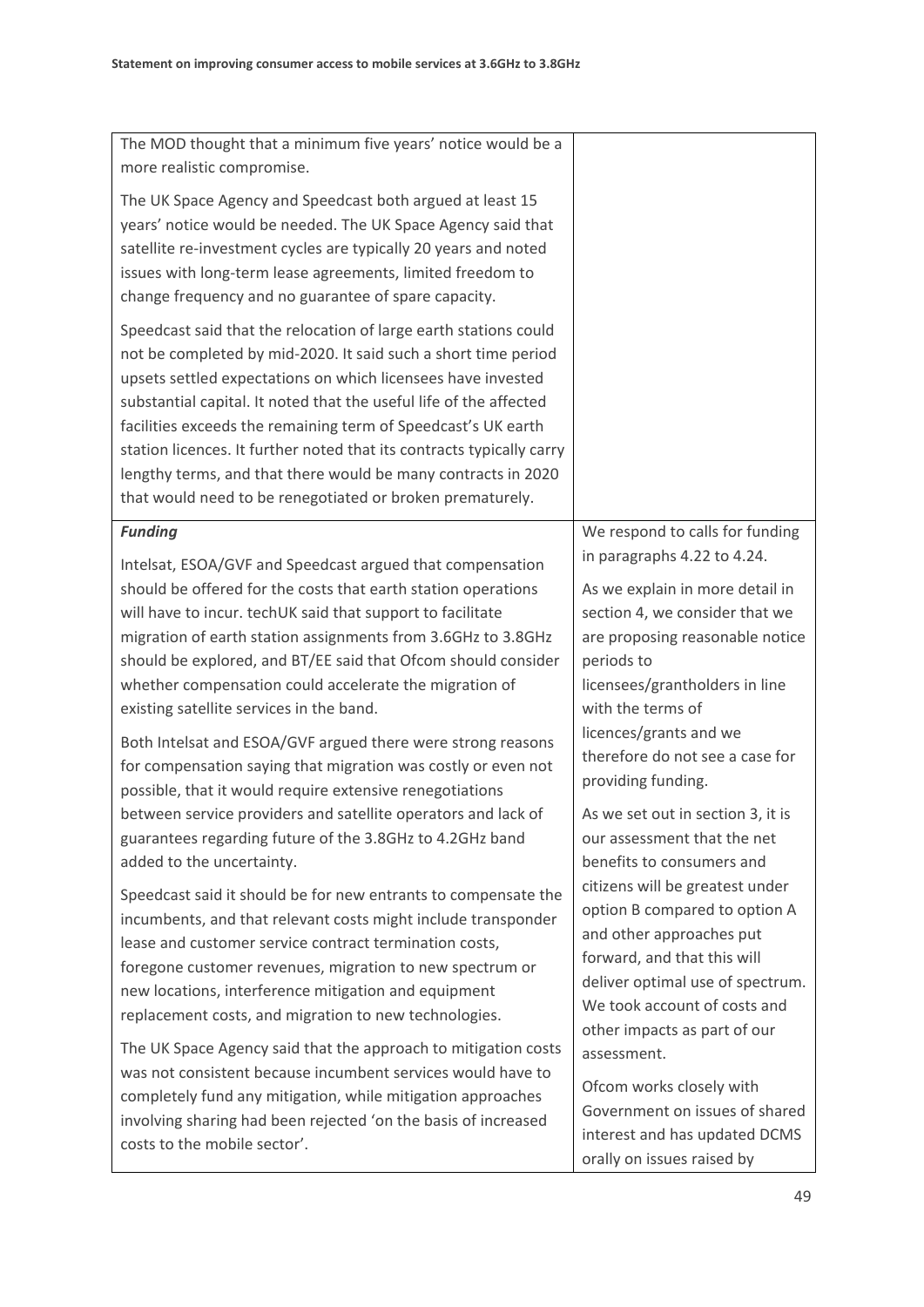| The MOD thought that a minimum five years' notice would be a                                                                                                                                                                                                                                                                                                                                                                                                                                                                                                                                                                                                                                                                                                                          |                                                                                                                                                                                                                                                                                                                                                                                              |
|---------------------------------------------------------------------------------------------------------------------------------------------------------------------------------------------------------------------------------------------------------------------------------------------------------------------------------------------------------------------------------------------------------------------------------------------------------------------------------------------------------------------------------------------------------------------------------------------------------------------------------------------------------------------------------------------------------------------------------------------------------------------------------------|----------------------------------------------------------------------------------------------------------------------------------------------------------------------------------------------------------------------------------------------------------------------------------------------------------------------------------------------------------------------------------------------|
| more realistic compromise.                                                                                                                                                                                                                                                                                                                                                                                                                                                                                                                                                                                                                                                                                                                                                            |                                                                                                                                                                                                                                                                                                                                                                                              |
| The UK Space Agency and Speedcast both argued at least 15<br>years' notice would be needed. The UK Space Agency said that<br>satellite re-investment cycles are typically 20 years and noted<br>issues with long-term lease agreements, limited freedom to<br>change frequency and no guarantee of spare capacity.                                                                                                                                                                                                                                                                                                                                                                                                                                                                    |                                                                                                                                                                                                                                                                                                                                                                                              |
| Speedcast said that the relocation of large earth stations could<br>not be completed by mid-2020. It said such a short time period<br>upsets settled expectations on which licensees have invested<br>substantial capital. It noted that the useful life of the affected<br>facilities exceeds the remaining term of Speedcast's UK earth<br>station licences. It further noted that its contracts typically carry<br>lengthy terms, and that there would be many contracts in 2020<br>that would need to be renegotiated or broken prematurely.                                                                                                                                                                                                                                      |                                                                                                                                                                                                                                                                                                                                                                                              |
| <b>Funding</b>                                                                                                                                                                                                                                                                                                                                                                                                                                                                                                                                                                                                                                                                                                                                                                        | We respond to calls for funding                                                                                                                                                                                                                                                                                                                                                              |
| Intelsat, ESOA/GVF and Speedcast argued that compensation<br>should be offered for the costs that earth station operations<br>will have to incur. techUK said that support to facilitate<br>migration of earth station assignments from 3.6GHz to 3.8GHz<br>should be explored, and BT/EE said that Ofcom should consider<br>whether compensation could accelerate the migration of<br>existing satellite services in the band.<br>Both Intelsat and ESOA/GVF argued there were strong reasons<br>for compensation saying that migration was costly or even not<br>possible, that it would require extensive renegotiations<br>between service providers and satellite operators and lack of<br>guarantees regarding future of the 3.8GHz to 4.2GHz band<br>added to the uncertainty. | in paragraphs 4.22 to 4.24.<br>As we explain in more detail in<br>section 4, we consider that we<br>are proposing reasonable notice<br>periods to<br>licensees/grantholders in line<br>with the terms of<br>licences/grants and we<br>therefore do not see a case for<br>providing funding.<br>As we set out in section 3, it is<br>our assessment that the net<br>benefits to consumers and |
| Speedcast said it should be for new entrants to compensate the<br>incumbents, and that relevant costs might include transponder<br>lease and customer service contract termination costs,<br>foregone customer revenues, migration to new spectrum or<br>new locations, interference mitigation and equipment<br>replacement costs, and migration to new technologies.<br>The UK Space Agency said that the approach to mitigation costs<br>was not consistent because incumbent services would have to<br>completely fund any mitigation, while mitigation approaches<br>involving sharing had been rejected 'on the basis of increased<br>costs to the mobile sector'.                                                                                                              | citizens will be greatest under<br>option B compared to option A<br>and other approaches put<br>forward, and that this will<br>deliver optimal use of spectrum.<br>We took account of costs and<br>other impacts as part of our<br>assessment.<br>Ofcom works closely with<br>Government on issues of shared<br>interest and has updated DCMS<br>orally on issues raised by                  |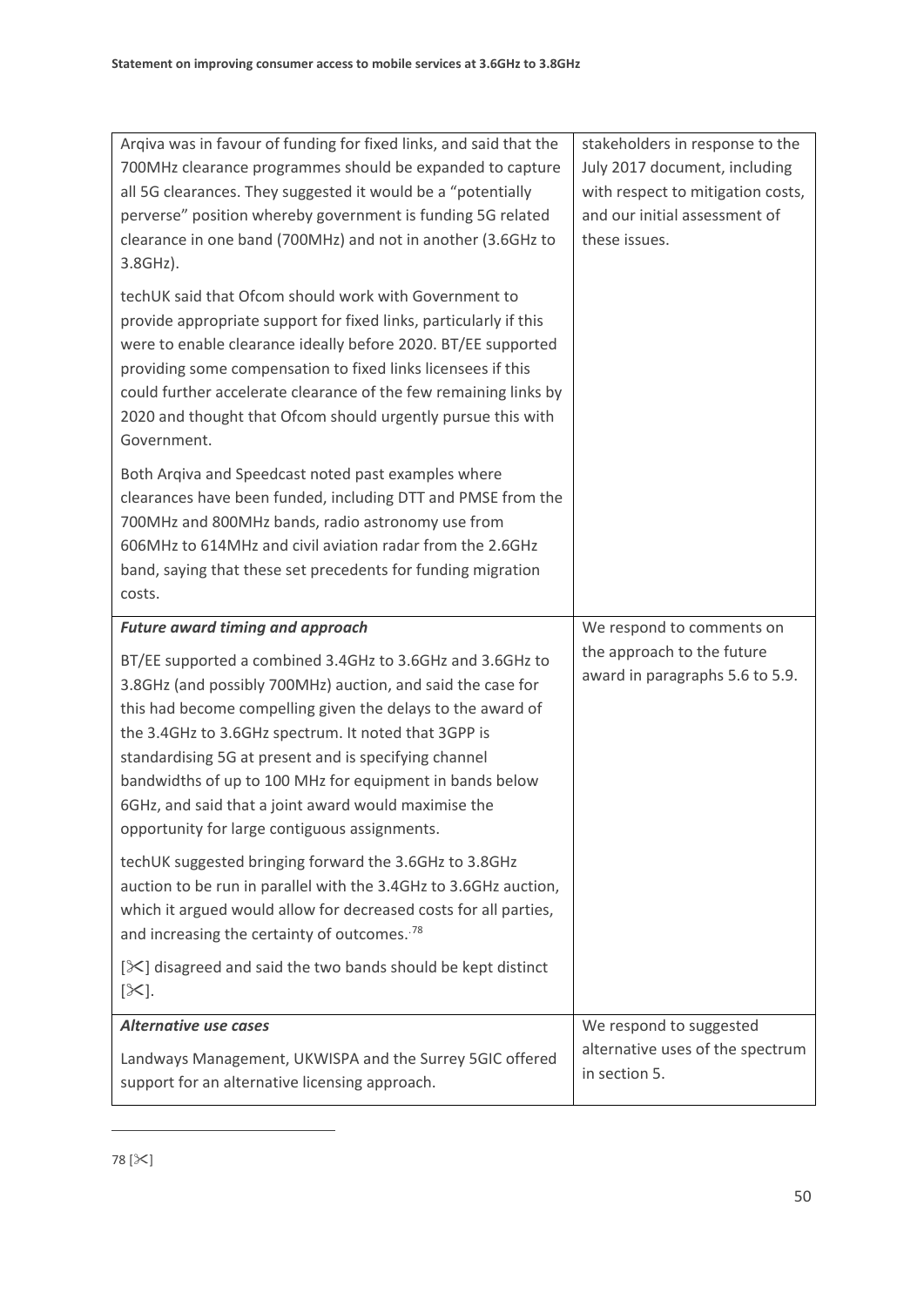<span id="page-52-0"></span>

| Argiva was in favour of funding for fixed links, and said that the<br>700MHz clearance programmes should be expanded to capture<br>all 5G clearances. They suggested it would be a "potentially<br>perverse" position whereby government is funding 5G related<br>clearance in one band (700MHz) and not in another (3.6GHz to<br>3.8GHz).                                                                                                                                    | stakeholders in response to the<br>July 2017 document, including<br>with respect to mitigation costs,<br>and our initial assessment of<br>these issues. |
|-------------------------------------------------------------------------------------------------------------------------------------------------------------------------------------------------------------------------------------------------------------------------------------------------------------------------------------------------------------------------------------------------------------------------------------------------------------------------------|---------------------------------------------------------------------------------------------------------------------------------------------------------|
| techUK said that Ofcom should work with Government to<br>provide appropriate support for fixed links, particularly if this<br>were to enable clearance ideally before 2020. BT/EE supported<br>providing some compensation to fixed links licensees if this<br>could further accelerate clearance of the few remaining links by<br>2020 and thought that Ofcom should urgently pursue this with<br>Government.                                                                |                                                                                                                                                         |
| Both Argiva and Speedcast noted past examples where<br>clearances have been funded, including DTT and PMSE from the<br>700MHz and 800MHz bands, radio astronomy use from<br>606MHz to 614MHz and civil aviation radar from the 2.6GHz<br>band, saying that these set precedents for funding migration<br>costs.                                                                                                                                                               |                                                                                                                                                         |
|                                                                                                                                                                                                                                                                                                                                                                                                                                                                               |                                                                                                                                                         |
| <b>Future award timing and approach</b>                                                                                                                                                                                                                                                                                                                                                                                                                                       | We respond to comments on                                                                                                                               |
| BT/EE supported a combined 3.4GHz to 3.6GHz and 3.6GHz to<br>3.8GHz (and possibly 700MHz) auction, and said the case for<br>this had become compelling given the delays to the award of<br>the 3.4GHz to 3.6GHz spectrum. It noted that 3GPP is<br>standardising 5G at present and is specifying channel<br>bandwidths of up to 100 MHz for equipment in bands below<br>6GHz, and said that a joint award would maximise the<br>opportunity for large contiguous assignments. | the approach to the future<br>award in paragraphs 5.6 to 5.9.                                                                                           |
| techUK suggested bringing forward the 3.6GHz to 3.8GHz<br>auction to be run in parallel with the 3.4GHz to 3.6GHz auction,<br>which it argued would allow for decreased costs for all parties,<br>and increasing the certainty of outcomes. <sup>78</sup>                                                                                                                                                                                                                     |                                                                                                                                                         |
| $[\mathcal{K}]$ disagreed and said the two bands should be kept distinct<br>$[\infty]$ .                                                                                                                                                                                                                                                                                                                                                                                      |                                                                                                                                                         |
| <b>Alternative use cases</b>                                                                                                                                                                                                                                                                                                                                                                                                                                                  | We respond to suggested                                                                                                                                 |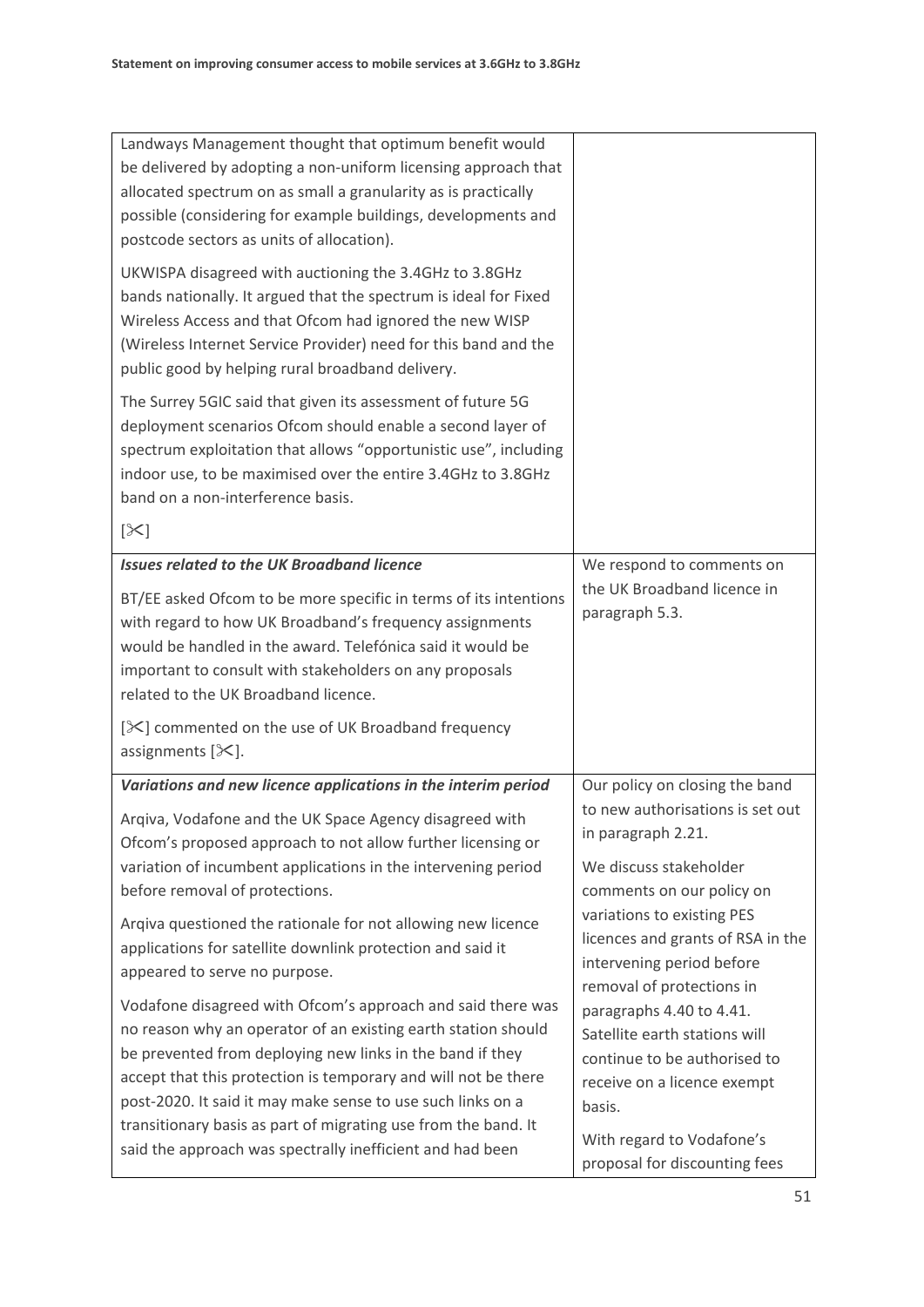| Landways Management thought that optimum benefit would<br>be delivered by adopting a non-uniform licensing approach that<br>allocated spectrum on as small a granularity as is practically<br>possible (considering for example buildings, developments and<br>postcode sectors as units of allocation).<br>UKWISPA disagreed with auctioning the 3.4GHz to 3.8GHz<br>bands nationally. It argued that the spectrum is ideal for Fixed<br>Wireless Access and that Ofcom had ignored the new WISP<br>(Wireless Internet Service Provider) need for this band and the<br>public good by helping rural broadband delivery.<br>The Surrey 5GIC said that given its assessment of future 5G<br>deployment scenarios Ofcom should enable a second layer of<br>spectrum exploitation that allows "opportunistic use", including<br>indoor use, to be maximised over the entire 3.4GHz to 3.8GHz<br>band on a non-interference basis.<br>$[\times]$ |                                                                                                                                                                                                                                                                                                                                                                                                                                                 |
|----------------------------------------------------------------------------------------------------------------------------------------------------------------------------------------------------------------------------------------------------------------------------------------------------------------------------------------------------------------------------------------------------------------------------------------------------------------------------------------------------------------------------------------------------------------------------------------------------------------------------------------------------------------------------------------------------------------------------------------------------------------------------------------------------------------------------------------------------------------------------------------------------------------------------------------------|-------------------------------------------------------------------------------------------------------------------------------------------------------------------------------------------------------------------------------------------------------------------------------------------------------------------------------------------------------------------------------------------------------------------------------------------------|
| <b>Issues related to the UK Broadband licence</b><br>BT/EE asked Ofcom to be more specific in terms of its intentions<br>with regard to how UK Broadband's frequency assignments<br>would be handled in the award. Telefónica said it would be<br>important to consult with stakeholders on any proposals<br>related to the UK Broadband licence.<br>[ $\mathbb{X}$ ] commented on the use of UK Broadband frequency<br>assignments $[\mathcal{K}]$ .                                                                                                                                                                                                                                                                                                                                                                                                                                                                                        | We respond to comments on<br>the UK Broadband licence in<br>paragraph 5.3.                                                                                                                                                                                                                                                                                                                                                                      |
| Variations and new licence applications in the interim period<br>Argiva, Vodafone and the UK Space Agency disagreed with<br>Ofcom's proposed approach to not allow further licensing or<br>variation of incumbent applications in the intervening period<br>before removal of protections.<br>Arqiva questioned the rationale for not allowing new licence<br>applications for satellite downlink protection and said it<br>appeared to serve no purpose.<br>Vodafone disagreed with Ofcom's approach and said there was<br>no reason why an operator of an existing earth station should<br>be prevented from deploying new links in the band if they<br>accept that this protection is temporary and will not be there<br>post-2020. It said it may make sense to use such links on a<br>transitionary basis as part of migrating use from the band. It<br>said the approach was spectrally inefficient and had been                       | Our policy on closing the band<br>to new authorisations is set out<br>in paragraph 2.21.<br>We discuss stakeholder<br>comments on our policy on<br>variations to existing PES<br>licences and grants of RSA in the<br>intervening period before<br>removal of protections in<br>paragraphs 4.40 to 4.41.<br>Satellite earth stations will<br>continue to be authorised to<br>receive on a licence exempt<br>basis.<br>With regard to Vodafone's |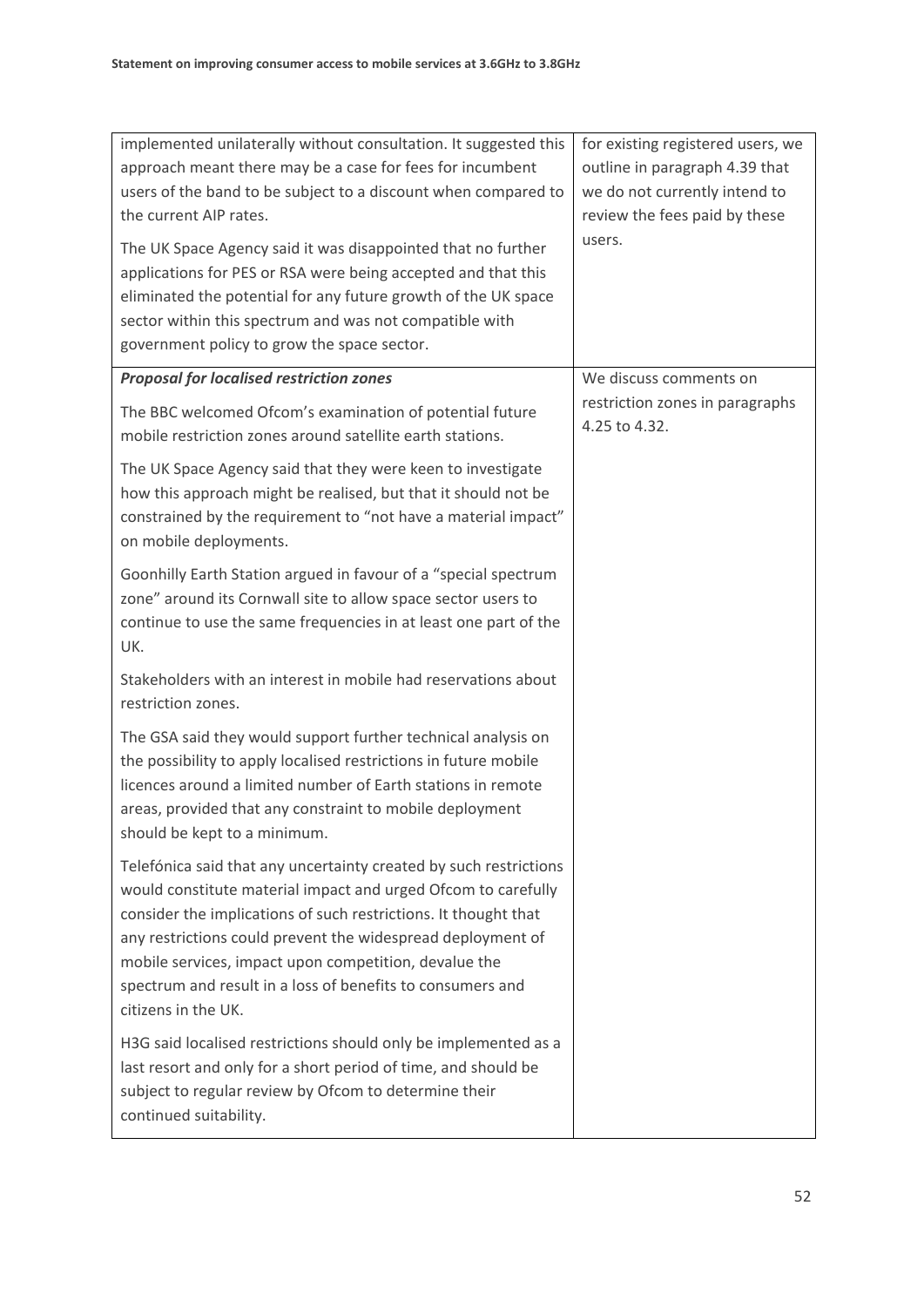| implemented unilaterally without consultation. It suggested this<br>approach meant there may be a case for fees for incumbent<br>users of the band to be subject to a discount when compared to<br>the current AIP rates.<br>The UK Space Agency said it was disappointed that no further<br>applications for PES or RSA were being accepted and that this<br>eliminated the potential for any future growth of the UK space<br>sector within this spectrum and was not compatible with<br>government policy to grow the space sector. | for existing registered users, we<br>outline in paragraph 4.39 that<br>we do not currently intend to<br>review the fees paid by these<br>users. |
|----------------------------------------------------------------------------------------------------------------------------------------------------------------------------------------------------------------------------------------------------------------------------------------------------------------------------------------------------------------------------------------------------------------------------------------------------------------------------------------------------------------------------------------|-------------------------------------------------------------------------------------------------------------------------------------------------|
| <b>Proposal for localised restriction zones</b>                                                                                                                                                                                                                                                                                                                                                                                                                                                                                        | We discuss comments on                                                                                                                          |
| The BBC welcomed Ofcom's examination of potential future<br>mobile restriction zones around satellite earth stations.                                                                                                                                                                                                                                                                                                                                                                                                                  | restriction zones in paragraphs<br>4.25 to 4.32.                                                                                                |
| The UK Space Agency said that they were keen to investigate<br>how this approach might be realised, but that it should not be<br>constrained by the requirement to "not have a material impact"<br>on mobile deployments.                                                                                                                                                                                                                                                                                                              |                                                                                                                                                 |
| Goonhilly Earth Station argued in favour of a "special spectrum<br>zone" around its Cornwall site to allow space sector users to<br>continue to use the same frequencies in at least one part of the<br>UK.                                                                                                                                                                                                                                                                                                                            |                                                                                                                                                 |
| Stakeholders with an interest in mobile had reservations about<br>restriction zones.                                                                                                                                                                                                                                                                                                                                                                                                                                                   |                                                                                                                                                 |
| The GSA said they would support further technical analysis on<br>the possibility to apply localised restrictions in future mobile<br>licences around a limited number of Earth stations in remote<br>areas, provided that any constraint to mobile deployment<br>should be kept to a minimum.                                                                                                                                                                                                                                          |                                                                                                                                                 |
| Telefónica said that any uncertainty created by such restrictions<br>would constitute material impact and urged Ofcom to carefully<br>consider the implications of such restrictions. It thought that<br>any restrictions could prevent the widespread deployment of<br>mobile services, impact upon competition, devalue the<br>spectrum and result in a loss of benefits to consumers and<br>citizens in the UK.                                                                                                                     |                                                                                                                                                 |
| H3G said localised restrictions should only be implemented as a<br>last resort and only for a short period of time, and should be<br>subject to regular review by Ofcom to determine their<br>continued suitability.                                                                                                                                                                                                                                                                                                                   |                                                                                                                                                 |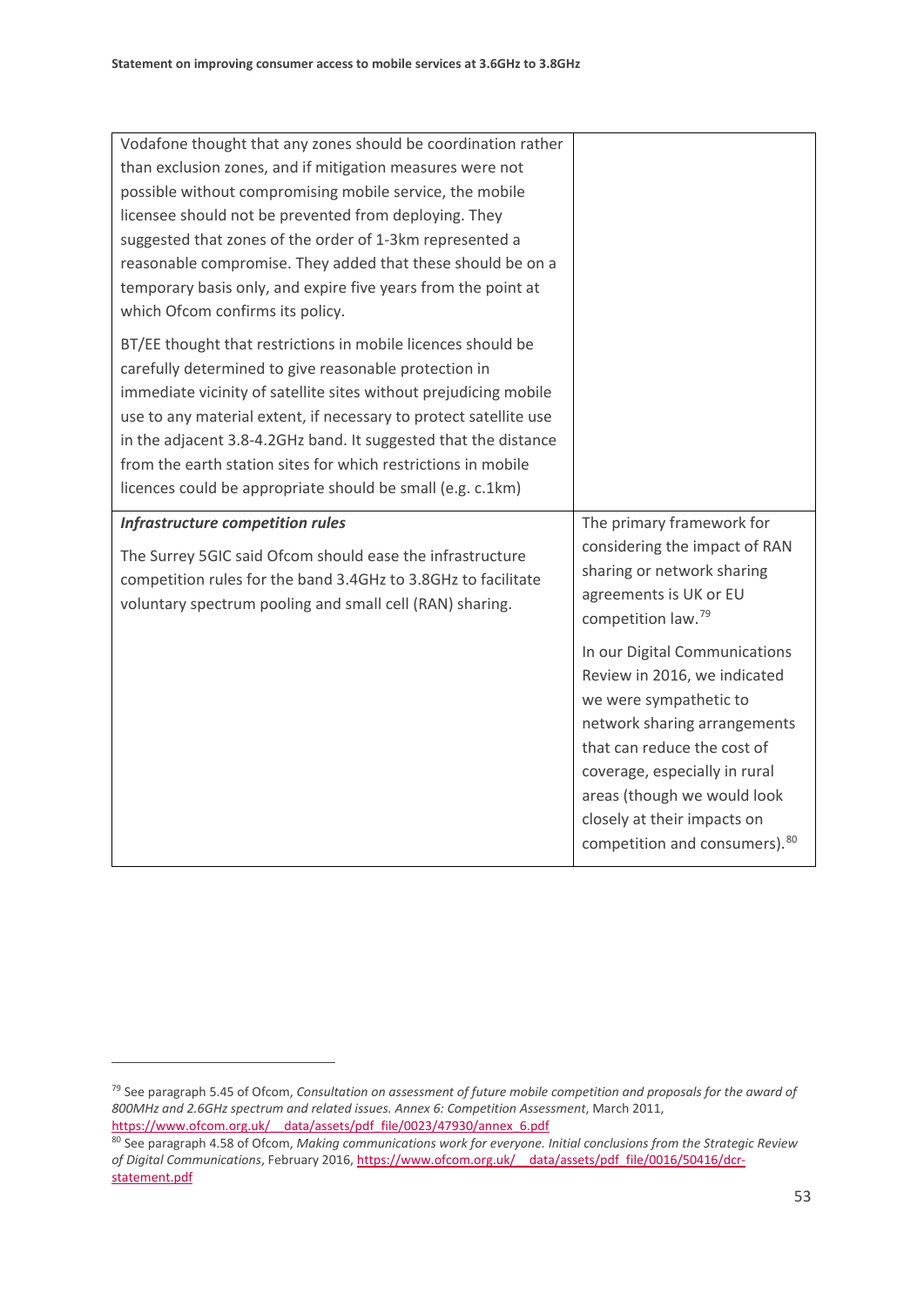| Vodafone thought that any zones should be coordination rather     |                                                               |
|-------------------------------------------------------------------|---------------------------------------------------------------|
| than exclusion zones, and if mitigation measures were not         |                                                               |
| possible without compromising mobile service, the mobile          |                                                               |
| licensee should not be prevented from deploying. They             |                                                               |
| suggested that zones of the order of 1-3km represented a          |                                                               |
| reasonable compromise. They added that these should be on a       |                                                               |
| temporary basis only, and expire five years from the point at     |                                                               |
| which Ofcom confirms its policy.                                  |                                                               |
| BT/EE thought that restrictions in mobile licences should be      |                                                               |
| carefully determined to give reasonable protection in             |                                                               |
| immediate vicinity of satellite sites without prejudicing mobile  |                                                               |
| use to any material extent, if necessary to protect satellite use |                                                               |
| in the adjacent 3.8-4.2GHz band. It suggested that the distance   |                                                               |
| from the earth station sites for which restrictions in mobile     |                                                               |
| licences could be appropriate should be small (e.g. c.1km)        |                                                               |
|                                                                   |                                                               |
| Infrastructure competition rules                                  | The primary framework for                                     |
|                                                                   | considering the impact of RAN                                 |
| The Surrey 5GIC said Ofcom should ease the infrastructure         | sharing or network sharing                                    |
| competition rules for the band 3.4GHz to 3.8GHz to facilitate     | agreements is UK or EU                                        |
| voluntary spectrum pooling and small cell (RAN) sharing.          | competition law. <sup>79</sup>                                |
|                                                                   |                                                               |
|                                                                   | In our Digital Communications                                 |
|                                                                   | Review in 2016, we indicated                                  |
|                                                                   | we were sympathetic to                                        |
|                                                                   | network sharing arrangements                                  |
|                                                                   | that can reduce the cost of                                   |
|                                                                   | coverage, especially in rural                                 |
|                                                                   | areas (though we would look                                   |
|                                                                   | closely at their impacts on<br>competition and consumers). 80 |

.<br>-

<span id="page-55-0"></span><sup>79</sup> See paragraph 5.45 of Ofcom, *Consultation on assessment of future mobile competition and proposals for the award of 800MHz and 2.6GHz spectrum and related issues. Annex 6: Competition Assessment*, March 2011, [https://www.ofcom.org.uk/\\_\\_data/assets/pdf\\_file/0023/47930/annex\\_6.pdf](https://www.ofcom.org.uk/__data/assets/pdf_file/0023/47930/annex_6.pdf)

<span id="page-55-1"></span><sup>80</sup> See paragraph 4.58 of Ofcom, *Making communications work for everyone. Initial conclusions from the Strategic Review of Digital Communications*, February 2016[, https://www.ofcom.org.uk/\\_\\_data/assets/pdf\\_file/0016/50416/dcr](https://www.ofcom.org.uk/__data/assets/pdf_file/0016/50416/dcr-statement.pdf)[statement.pdf](https://www.ofcom.org.uk/__data/assets/pdf_file/0016/50416/dcr-statement.pdf)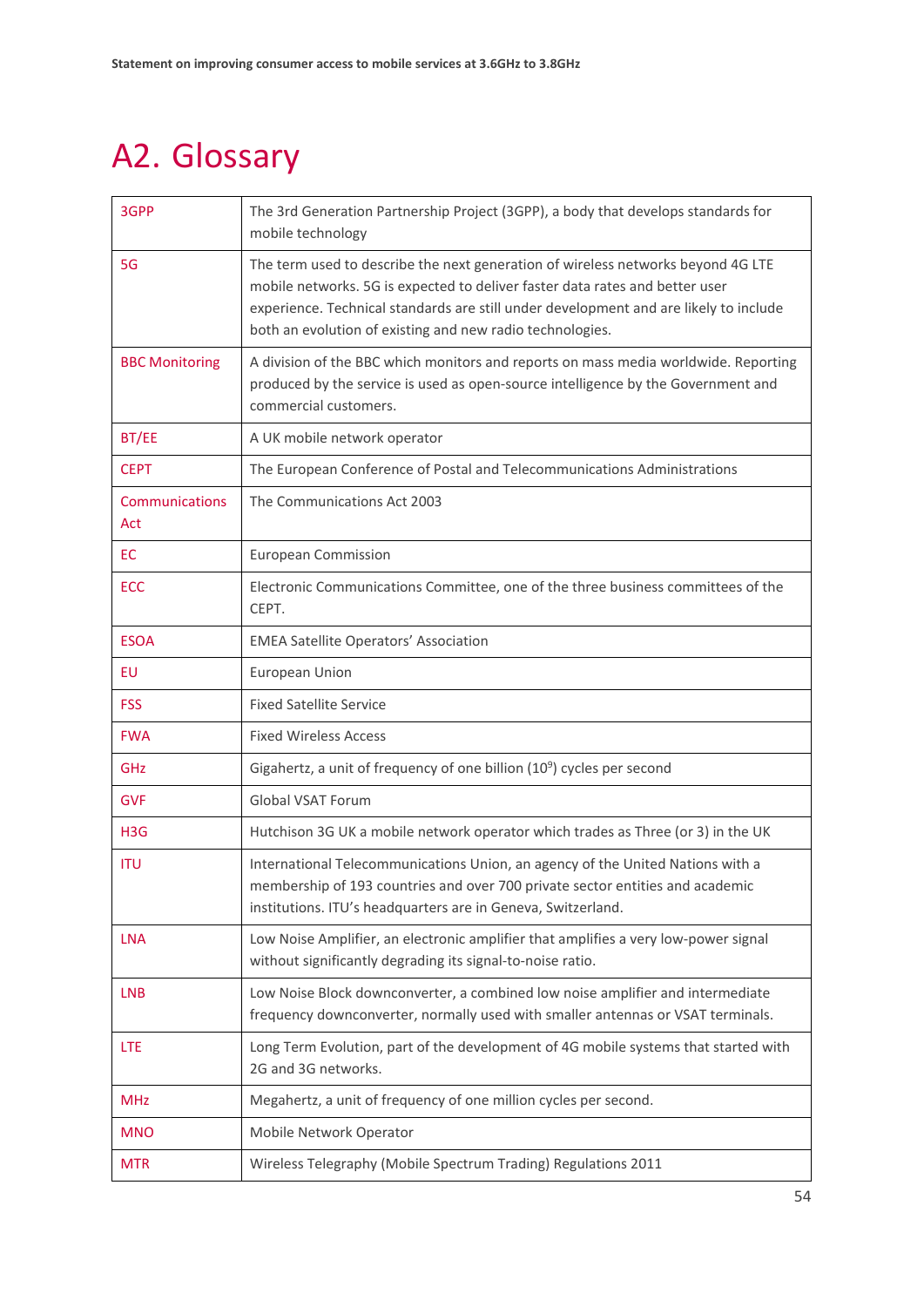# <span id="page-56-0"></span>A2. Glossary

| 3GPP                  | The 3rd Generation Partnership Project (3GPP), a body that develops standards for<br>mobile technology                                                                                                                                                                                                                 |
|-----------------------|------------------------------------------------------------------------------------------------------------------------------------------------------------------------------------------------------------------------------------------------------------------------------------------------------------------------|
| 5G                    | The term used to describe the next generation of wireless networks beyond 4G LTE<br>mobile networks. 5G is expected to deliver faster data rates and better user<br>experience. Technical standards are still under development and are likely to include<br>both an evolution of existing and new radio technologies. |
| <b>BBC Monitoring</b> | A division of the BBC which monitors and reports on mass media worldwide. Reporting<br>produced by the service is used as open-source intelligence by the Government and<br>commercial customers.                                                                                                                      |
| BT/EE                 | A UK mobile network operator                                                                                                                                                                                                                                                                                           |
| <b>CEPT</b>           | The European Conference of Postal and Telecommunications Administrations                                                                                                                                                                                                                                               |
| Communications<br>Act | The Communications Act 2003                                                                                                                                                                                                                                                                                            |
| <b>EC</b>             | <b>European Commission</b>                                                                                                                                                                                                                                                                                             |
| ECC                   | Electronic Communications Committee, one of the three business committees of the<br>CEPT.                                                                                                                                                                                                                              |
| <b>ESOA</b>           | <b>EMEA Satellite Operators' Association</b>                                                                                                                                                                                                                                                                           |
| EU                    | European Union                                                                                                                                                                                                                                                                                                         |
| <b>FSS</b>            | <b>Fixed Satellite Service</b>                                                                                                                                                                                                                                                                                         |
| <b>FWA</b>            | <b>Fixed Wireless Access</b>                                                                                                                                                                                                                                                                                           |
| GHz                   | Gigahertz, a unit of frequency of one billion $(10^9)$ cycles per second                                                                                                                                                                                                                                               |
| <b>GVF</b>            | <b>Global VSAT Forum</b>                                                                                                                                                                                                                                                                                               |
| H <sub>3</sub> G      | Hutchison 3G UK a mobile network operator which trades as Three (or 3) in the UK                                                                                                                                                                                                                                       |
| <b>ITU</b>            | International Telecommunications Union, an agency of the United Nations with a<br>membership of 193 countries and over 700 private sector entities and academic<br>institutions. ITU's headquarters are in Geneva, Switzerland.                                                                                        |
| <b>LNA</b>            | Low Noise Amplifier, an electronic amplifier that amplifies a very low-power signal<br>without significantly degrading its signal-to-noise ratio.                                                                                                                                                                      |
| <b>LNB</b>            | Low Noise Block downconverter, a combined low noise amplifier and intermediate<br>frequency downconverter, normally used with smaller antennas or VSAT terminals.                                                                                                                                                      |
| LTE                   | Long Term Evolution, part of the development of 4G mobile systems that started with<br>2G and 3G networks.                                                                                                                                                                                                             |
| <b>MHz</b>            | Megahertz, a unit of frequency of one million cycles per second.                                                                                                                                                                                                                                                       |
| <b>MNO</b>            | Mobile Network Operator                                                                                                                                                                                                                                                                                                |
| <b>MTR</b>            | Wireless Telegraphy (Mobile Spectrum Trading) Regulations 2011                                                                                                                                                                                                                                                         |